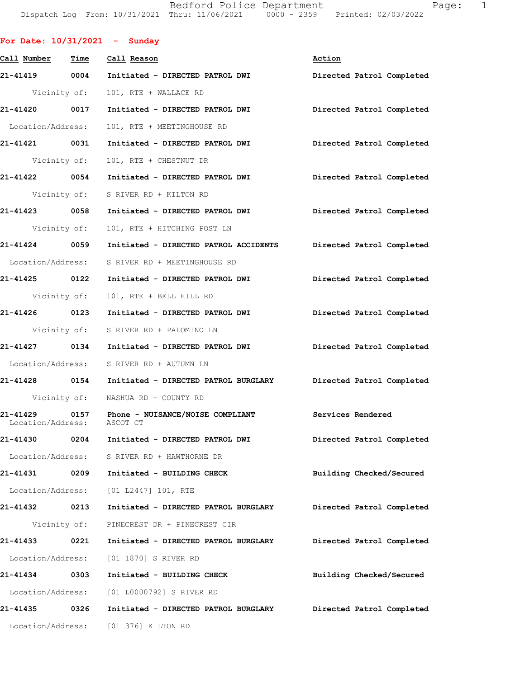Bedford Police Department Fage: 1 Dispatch Log From: 10/31/2021 Thru: 11/06/2021 0000 - 2359 Printed: 02/03/2022

|                   |              | For Date: $10/31/2021$ - Sunday                                              |                           |
|-------------------|--------------|------------------------------------------------------------------------------|---------------------------|
|                   |              | Call Number Time Call Reason                                                 | Action                    |
|                   |              | 21-41419 0004 Initiated - DIRECTED PATROL DWI                                | Directed Patrol Completed |
|                   |              | Vicinity of: 101, RTE + WALLACE RD                                           |                           |
|                   |              | 21-41420 0017 Initiated - DIRECTED PATROL DWI Directed Patrol Completed      |                           |
| Location/Address: |              | 101, RTE + MEETINGHOUSE RD                                                   |                           |
| 21-41421 0031     |              | Initiated - DIRECTED PATROL DWI Directed Patrol Completed                    |                           |
|                   |              | Vicinity of: 101, RTE + CHESTNUT DR                                          |                           |
|                   |              | 21-41422 0054 Initiated - DIRECTED PATROL DWI Directed Patrol Completed      |                           |
|                   |              | Vicinity of: S RIVER RD + KILTON RD                                          |                           |
|                   |              | 21-41423 0058 Initiated - DIRECTED PATROL DWI Directed Patrol Completed      |                           |
|                   |              | Vicinity of: 101, RTE + HITCHING POST LN                                     |                           |
| 21-41424 0059     |              | Initiated - DIRECTED PATROL ACCIDENTS Directed Patrol Completed              |                           |
|                   |              | Location/Address: S RIVER RD + MEETINGHOUSE RD                               |                           |
| 21-41425 0122     |              | Initiated - DIRECTED PATROL DWI Directed Patrol Completed                    |                           |
| Vicinity of:      |              | 101, RTE + BELL HILL RD                                                      |                           |
|                   |              | 21-41426 0123 Initiated - DIRECTED PATROL DWI Directed Patrol Completed      |                           |
|                   |              | Vicinity of: S RIVER RD + PALOMINO LN                                        |                           |
|                   |              | 21-41427 0134 Initiated - DIRECTED PATROL DWI Directed Patrol Completed      |                           |
|                   |              | Location/Address: S RIVER RD + AUTUMN LN                                     |                           |
|                   |              | 21-41428 0154 Initiated - DIRECTED PATROL BURGLARY Directed Patrol Completed |                           |
|                   |              | Vicinity of: NASHUA RD + COUNTY RD                                           |                           |
| Location/Address: |              | 21-41429 0157 Phone - NUISANCE/NOISE COMPLIANT<br>ASCOT CT                   | Services Rendered         |
| 21-41430          |              | 0204 Initiated - DIRECTED PATROL DWI                                         | Directed Patrol Completed |
|                   |              | Location/Address: S RIVER RD + HAWTHORNE DR                                  |                           |
| 21-41431 0209     |              | Initiated - BUILDING CHECK                                                   | Building Checked/Secured  |
|                   |              | Location/Address: [01 L2447] 101, RTE                                        |                           |
| 21-41432 0213     |              | Initiated - DIRECTED PATROL BURGLARY                                         | Directed Patrol Completed |
|                   | Vicinity of: | PINECREST DR + PINECREST CIR                                                 |                           |
| 21-41433          | 0221         | Initiated - DIRECTED PATROL BURGLARY                                         | Directed Patrol Completed |
|                   |              | Location/Address: [01 1870] S RIVER RD                                       |                           |
| 21-41434 0303     |              | Initiated - BUILDING CHECK                                                   | Building Checked/Secured  |
|                   |              | Location/Address: [01 L0000792] S RIVER RD                                   |                           |
| 21-41435 0326     |              | Initiated - DIRECTED PATROL BURGLARY                                         | Directed Patrol Completed |
|                   |              | Location/Address: [01 376] KILTON RD                                         |                           |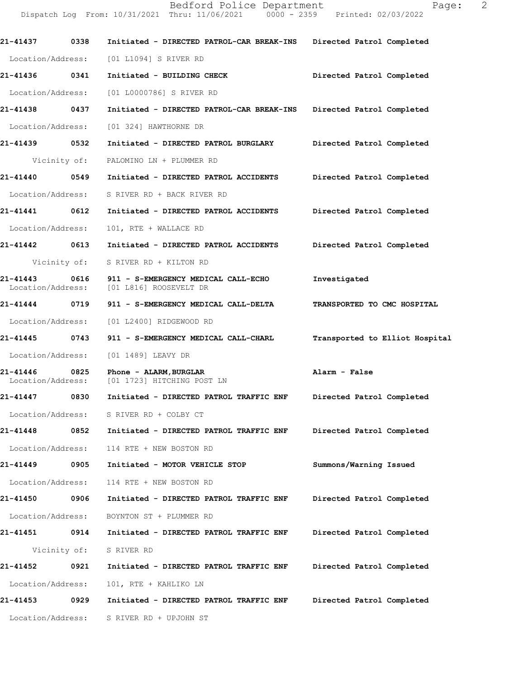Dispatch Log From: 10/31/2021 Thru: 11/06/2021 0000 - 2359 Printed: 02/03/2022 **21-41437 0338 Initiated - DIRECTED PATROL-CAR BREAK-INS Directed Patrol Completed**  Location/Address: [01 L1094] S RIVER RD **21-41436 0341 Initiated - BUILDING CHECK Directed Patrol Completed**  Location/Address: [01 L0000786] S RIVER RD **21-41438 0437 Initiated - DIRECTED PATROL-CAR BREAK-INS Directed Patrol Completed**  Location/Address: [01 324] HAWTHORNE DR **21-41439 0532 Initiated - DIRECTED PATROL BURGLARY Directed Patrol Completed**  Vicinity of: PALOMINO LN + PLUMMER RD **21-41440 0549 Initiated - DIRECTED PATROL ACCIDENTS Directed Patrol Completed**  Location/Address: S RIVER RD + BACK RIVER RD **21-41441 0612 Initiated - DIRECTED PATROL ACCIDENTS Directed Patrol Completed**  Location/Address: 101, RTE + WALLACE RD **21-41442 0613 Initiated - DIRECTED PATROL ACCIDENTS Directed Patrol Completed**  Vicinity of: S RIVER RD + KILTON RD **21-41443 0616 911 - S-EMERGENCY MEDICAL CALL-ECHO Investigated**  Location/Address: [01 L816] ROOSEVELT DR **21-41444 0719 911 - S-EMERGENCY MEDICAL CALL-DELTA TRANSPORTED TO CMC HOSPITAL**  Location/Address: [01 L2400] RIDGEWOOD RD **21-41445 0743 911 - S-EMERGENCY MEDICAL CALL-CHARL Transported to Elliot Hospital** Location/Address: [01 1489] LEAVY DR **21-41446 0825 Phone - ALARM,BURGLAR Alarm - False**  Location/Address: [01 1723] HITCHING POST LN **21-41447 0830 Initiated - DIRECTED PATROL TRAFFIC ENF Directed Patrol Completed**  Location/Address: S RIVER RD + COLBY CT **21-41448 0852 Initiated - DIRECTED PATROL TRAFFIC ENF Directed Patrol Completed**  Location/Address: 114 RTE + NEW BOSTON RD **21-41449 0905 Initiated - MOTOR VEHICLE STOP Summons/Warning Issued**  Location/Address: 114 RTE + NEW BOSTON RD **21-41450 0906 Initiated - DIRECTED PATROL TRAFFIC ENF Directed Patrol Completed**  Location/Address: BOYNTON ST + PLUMMER RD **21-41451 0914 Initiated - DIRECTED PATROL TRAFFIC ENF Directed Patrol Completed**  Vicinity of: S RIVER RD

**21-41452 0921 Initiated - DIRECTED PATROL TRAFFIC ENF Directed Patrol Completed**  Location/Address: 101, RTE + KAHLIKO LN **21-41453 0929 Initiated - DIRECTED PATROL TRAFFIC ENF Directed Patrol Completed** 

Location/Address: S RIVER RD + UPJOHN ST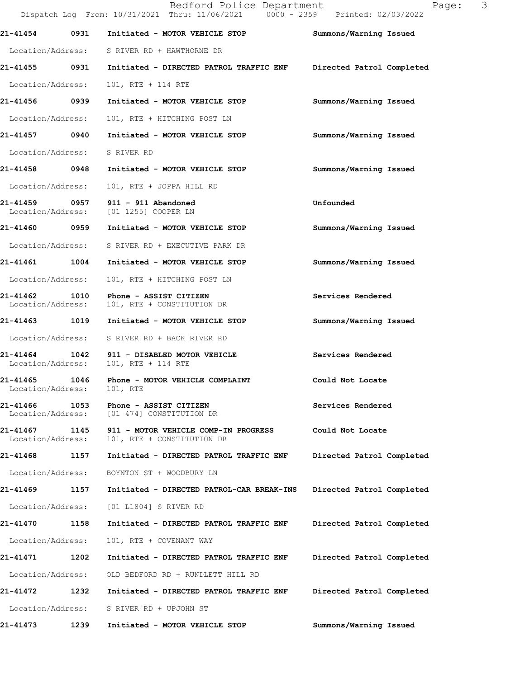|                               |      | Bedford Police Department<br>Dispatch Log From: 10/31/2021 Thru: 11/06/2021 0000 - 2359 Printed: 02/03/2022 | 3<br>Page:                |  |
|-------------------------------|------|-------------------------------------------------------------------------------------------------------------|---------------------------|--|
| 21-41454                      | 0931 | Initiated - MOTOR VEHICLE STOP                                                                              | Summons/Warning Issued    |  |
|                               |      | Location/Address: S RIVER RD + HAWTHORNE DR                                                                 |                           |  |
| 21-41455 0931                 |      | Initiated - DIRECTED PATROL TRAFFIC ENF Directed Patrol Completed                                           |                           |  |
| Location/Address:             |      | 101, RTE + 114 RTE                                                                                          |                           |  |
| 21-41456 0939                 |      | Initiated - MOTOR VEHICLE STOP                                                                              | Summons/Warning Issued    |  |
| Location/Address:             |      | 101, RTE + HITCHING POST LN                                                                                 |                           |  |
| 21-41457 0940                 |      | Initiated - MOTOR VEHICLE STOP                                                                              | Summons/Warning Issued    |  |
| Location/Address: S RIVER RD  |      |                                                                                                             |                           |  |
|                               |      | 21-41458 0948 Initiated - MOTOR VEHICLE STOP                                                                | Summons/Warning Issued    |  |
| Location/Address:             |      | 101, RTE + JOPPA HILL RD                                                                                    |                           |  |
|                               |      | 21-41459 0957 911 - 911 Abandoned<br>Location/Address: [01 1255] COOPER LN                                  | Unfounded                 |  |
| 21-41460 0959                 |      | Initiated - MOTOR VEHICLE STOP                                                                              | Summons/Warning Issued    |  |
|                               |      | Location/Address: S RIVER RD + EXECUTIVE PARK DR                                                            |                           |  |
| 21-41461 1004                 |      | Initiated - MOTOR VEHICLE STOP                                                                              | Summons/Warning Issued    |  |
| Location/Address:             |      | 101, RTE + HITCHING POST LN                                                                                 |                           |  |
| 21-41462<br>Location/Address: | 1010 | Phone - ASSIST CITIZEN<br>101, RTE + CONSTITUTION DR                                                        | Services Rendered         |  |
|                               |      |                                                                                                             | Summons/Warning Issued    |  |
|                               |      | Location/Address: S RIVER RD + BACK RIVER RD                                                                |                           |  |
| 21-41464<br>Location/Address: | 1042 | 911 - DISABLED MOTOR VEHICLE<br>101, RTE + 114 RTE                                                          | Services Rendered         |  |
| 21-41465<br>Location/Address: | 1046 | Phone - MOTOR VEHICLE COMPLAINT<br>101, RTE                                                                 | Could Not Locate          |  |
| 21-41466<br>Location/Address: | 1053 | Phone - ASSIST CITIZEN<br>[01 474] CONSTITUTION DR                                                          | Services Rendered         |  |
| 21-41467<br>Location/Address: | 1145 | 911 - MOTOR VEHICLE COMP-IN PROGRESS<br>101, RTE + CONSTITUTION DR                                          | Could Not Locate          |  |
| 21-41468                      | 1157 | Initiated - DIRECTED PATROL TRAFFIC ENF                                                                     | Directed Patrol Completed |  |
| Location/Address:             |      | BOYNTON ST + WOODBURY LN                                                                                    |                           |  |
| 21-41469                      | 1157 | Initiated - DIRECTED PATROL-CAR BREAK-INS                                                                   | Directed Patrol Completed |  |
| Location/Address:             |      | [01 L1804] S RIVER RD                                                                                       |                           |  |
| 21-41470                      | 1158 | Initiated - DIRECTED PATROL TRAFFIC ENF                                                                     | Directed Patrol Completed |  |
| Location/Address:             |      | 101, RTE + COVENANT WAY                                                                                     |                           |  |
| 21-41471                      | 1202 | Initiated - DIRECTED PATROL TRAFFIC ENF                                                                     | Directed Patrol Completed |  |
| Location/Address:             |      | OLD BEDFORD RD + RUNDLETT HILL RD                                                                           |                           |  |
| 21-41472                      | 1232 | Initiated - DIRECTED PATROL TRAFFIC ENF                                                                     | Directed Patrol Completed |  |
| Location/Address:             |      | S RIVER RD + UPJOHN ST                                                                                      |                           |  |
| 21-41473                      | 1239 | Initiated - MOTOR VEHICLE STOP                                                                              | Summons/Warning Issued    |  |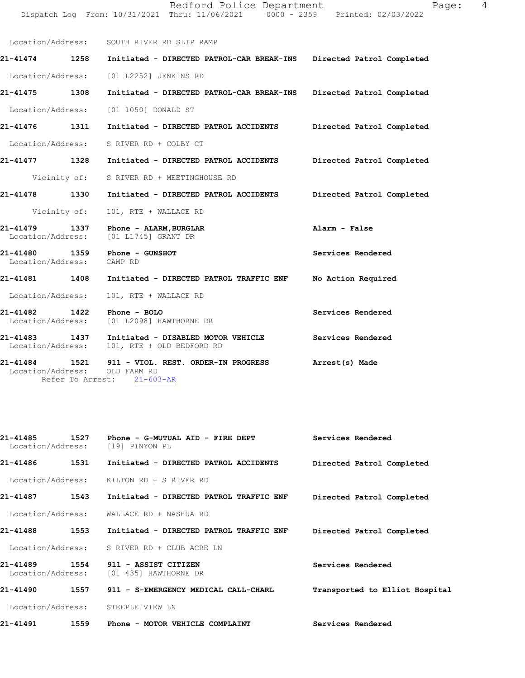Location/Address: SOUTH RIVER RD SLIP RAMP **21-41474 1258 Initiated - DIRECTED PATROL-CAR BREAK-INS Directed Patrol Completed** Location/Address: [01 L2252] JENKINS RD **21-41475 1308 Initiated - DIRECTED PATROL-CAR BREAK-INS Directed Patrol Completed** Location/Address: [01 1050] DONALD ST **21-41476 1311 Initiated - DIRECTED PATROL ACCIDENTS Directed Patrol Completed** Location/Address: S RIVER RD + COLBY CT **21-41477 1328 Initiated - DIRECTED PATROL ACCIDENTS Directed Patrol Completed** Vicinity of: S RIVER RD + MEETINGHOUSE RD **21-41478 1330 Initiated - DIRECTED PATROL ACCIDENTS Directed Patrol Completed** Vicinity of: 101, RTE + WALLACE RD **21-41479 1337 Phone - ALARM,BURGLAR Alarm - False** Location/Address: [01 L1745] GRANT DR **21-41480 1359 Phone - GUNSHOT Services Rendered** Location/Address: CAMP RD **21-41481 1408 Initiated - DIRECTED PATROL TRAFFIC ENF No Action Required** Location/Address: 101, RTE + WALLACE RD **21-41482 1422 Phone - BOLO Services Rendered** Location/Address: [01 L2098] HAWTHORNE DR **21-41483 1437 Initiated - DISABLED MOTOR VEHICLE Services Rendered** Location/Address: 101, RTE + OLD BEDFORD RD 21-41484 1521 911 - VIOL. REST. ORDER-IN PROGRESS **Arrest(s) Made** 

Dispatch Log From: 10/31/2021 Thru: 11/06/2021 0000 - 2359 Printed: 02/03/2022

Bedford Police Department Fage: 4

 Location/Address: OLD FARM RD Refer To Arrest: 21-603-AR

| 21-41485<br>1527<br>Location/Address: | Phone - G-MUTUAL AID - FIRE DEPT<br>[19] PINYON PL    | Services Rendered              |
|---------------------------------------|-------------------------------------------------------|--------------------------------|
| 1531<br>21-41486                      | Initiated - DIRECTED PATROL ACCIDENTS                 | Directed Patrol Completed      |
| Location/Address:                     | KILTON RD + S RIVER RD                                |                                |
| 21-41487<br>1543                      | Initiated - DIRECTED PATROL TRAFFIC ENF               | Directed Patrol Completed      |
| Location/Address:                     | WALLACE RD + NASHUA RD                                |                                |
| 1553<br>21-41488                      | Initiated - DIRECTED PATROL TRAFFIC ENF               | Directed Patrol Completed      |
| Location/Address:                     | S RIVER RD + CLUB ACRE LN                             |                                |
| 21-41489<br>Location/Address:         | 1554<br>911 - ASSIST CITIZEN<br>[01 435] HAWTHORNE DR | Services Rendered              |
| 21-41490<br>1557                      | 911 - S-EMERGENCY MEDICAL CALL-CHARL                  | Transported to Elliot Hospital |
| Location/Address:                     | STEEPLE VIEW LN                                       |                                |
| 21-41491<br>1559                      | Phone - MOTOR VEHICLE COMPLAINT                       | Services Rendered              |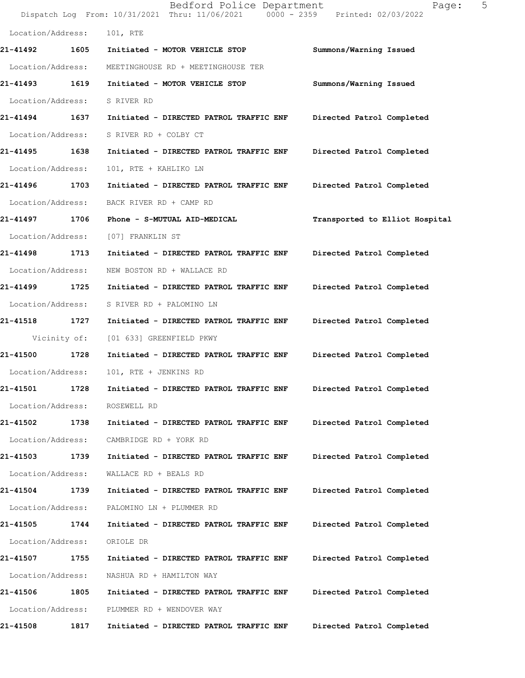|                               |              | Bedford Police Department<br>Dispatch Log From: 10/31/2021 Thru: 11/06/2021 0000 - 2359 Printed: 02/03/2022 | 5<br>Page:                     |
|-------------------------------|--------------|-------------------------------------------------------------------------------------------------------------|--------------------------------|
| Location/Address:             |              | 101, RTE                                                                                                    |                                |
| 21-41492                      | 1605         | Initiated - MOTOR VEHICLE STOP                                                                              | Summons/Warning Issued         |
| Location/Address:             |              | MEETINGHOUSE RD + MEETINGHOUSE TER                                                                          |                                |
| 21-41493                      | 1619         | Initiated - MOTOR VEHICLE STOP                                                                              | Summons/Warning Issued         |
| Location/Address:             |              | S RIVER RD                                                                                                  |                                |
| 21-41494 1637                 |              | Initiated - DIRECTED PATROL TRAFFIC ENF                                                                     | Directed Patrol Completed      |
| Location/Address:             |              | S RIVER RD + COLBY CT                                                                                       |                                |
| 21-41495                      | 1638         | Initiated - DIRECTED PATROL TRAFFIC ENF                                                                     | Directed Patrol Completed      |
| Location/Address:             |              | 101, RTE + KAHLIKO LN                                                                                       |                                |
| 21-41496                      | 1703         | Initiated - DIRECTED PATROL TRAFFIC ENF                                                                     | Directed Patrol Completed      |
| Location/Address:             |              | BACK RIVER RD + CAMP RD                                                                                     |                                |
| 21-41497 1706                 |              | Phone - S-MUTUAL AID-MEDICAL                                                                                | Transported to Elliot Hospital |
| Location/Address:             |              | [07] FRANKLIN ST                                                                                            |                                |
| 21-41498 1713                 |              | Initiated - DIRECTED PATROL TRAFFIC ENF                                                                     | Directed Patrol Completed      |
| Location/Address:             |              | NEW BOSTON RD + WALLACE RD                                                                                  |                                |
| 21-41499                      | 1725         | Initiated - DIRECTED PATROL TRAFFIC ENF                                                                     | Directed Patrol Completed      |
| Location/Address:             |              | S RIVER RD + PALOMINO LN                                                                                    |                                |
| 21-41518                      | 1727         | Initiated - DIRECTED PATROL TRAFFIC ENF                                                                     | Directed Patrol Completed      |
|                               | Vicinity of: | [01 633] GREENFIELD PKWY                                                                                    |                                |
| 21-41500                      | 1728         | Initiated - DIRECTED PATROL TRAFFIC ENF                                                                     | Directed Patrol Completed      |
| Location/Address:             |              | 101, RTE + JENKINS RD                                                                                       |                                |
| 21-41501                      | 1728         | Initiated - DIRECTED PATROL TRAFFIC ENF                                                                     | Directed Patrol Completed      |
| Location/Address:             |              | ROSEWELL RD                                                                                                 |                                |
| 21-41502                      | 1738         | Initiated - DIRECTED PATROL TRAFFIC ENF                                                                     | Directed Patrol Completed      |
| Location/Address:             |              | CAMBRIDGE RD + YORK RD                                                                                      |                                |
| 21-41503                      | 1739         | Initiated - DIRECTED PATROL TRAFFIC ENF                                                                     | Directed Patrol Completed      |
| Location/Address:             |              | WALLACE RD + BEALS RD                                                                                       |                                |
| 21-41504                      | 1739         | Initiated - DIRECTED PATROL TRAFFIC ENF                                                                     | Directed Patrol Completed      |
| Location/Address:             |              | PALOMINO LN + PLUMMER RD                                                                                    |                                |
| 21-41505                      | 1744         | Initiated - DIRECTED PATROL TRAFFIC ENF                                                                     | Directed Patrol Completed      |
| Location/Address:             |              | ORIOLE DR                                                                                                   |                                |
| 21-41507<br>Location/Address: | 1755         | Initiated - DIRECTED PATROL TRAFFIC ENF                                                                     | Directed Patrol Completed      |
| 21-41506                      | 1805         | NASHUA RD + HAMILTON WAY<br>Initiated - DIRECTED PATROL TRAFFIC ENF                                         | Directed Patrol Completed      |
| Location/Address:             |              | PLUMMER RD + WENDOVER WAY                                                                                   |                                |
| 21-41508                      | 1817         | Initiated - DIRECTED PATROL TRAFFIC ENF                                                                     | Directed Patrol Completed      |
|                               |              |                                                                                                             |                                |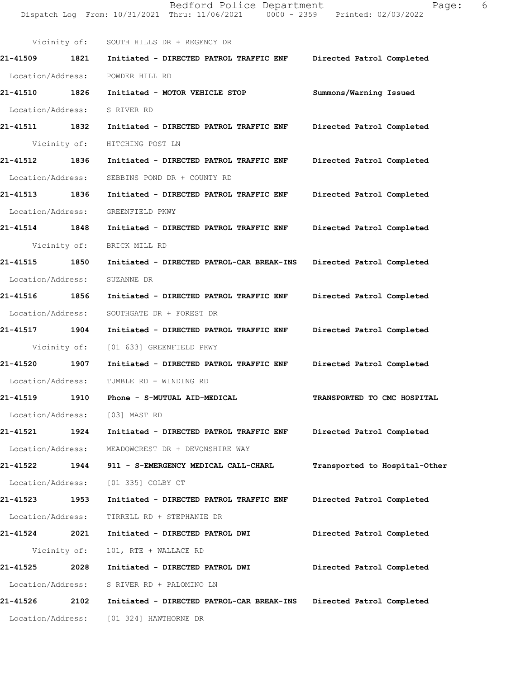Dispatch Log From: 10/31/2021 Thru: 11/06/2021 0000 - 2359 Printed: 02/03/2022 Vicinity of: SOUTH HILLS DR + REGENCY DR **21-41509 1821 Initiated - DIRECTED PATROL TRAFFIC ENF Directed Patrol Completed**  Location/Address: POWDER HILL RD **21-41510 1826 Initiated - MOTOR VEHICLE STOP Summons/Warning Issued**  Location/Address: S RIVER RD **21-41511 1832 Initiated - DIRECTED PATROL TRAFFIC ENF Directed Patrol Completed**  Vicinity of: HITCHING POST LN **21-41512 1836 Initiated - DIRECTED PATROL TRAFFIC ENF Directed Patrol Completed**  Location/Address: SEBBINS POND DR + COUNTY RD **21-41513 1836 Initiated - DIRECTED PATROL TRAFFIC ENF Directed Patrol Completed**  Location/Address: GREENFIELD PKWY **21-41514 1848 Initiated - DIRECTED PATROL TRAFFIC ENF Directed Patrol Completed**  Vicinity of: BRICK MILL RD **21-41515 1850 Initiated - DIRECTED PATROL-CAR BREAK-INS Directed Patrol Completed**  Location/Address: SUZANNE DR **21-41516 1856 Initiated - DIRECTED PATROL TRAFFIC ENF Directed Patrol Completed**  Location/Address: SOUTHGATE DR + FOREST DR **21-41517 1904 Initiated - DIRECTED PATROL TRAFFIC ENF Directed Patrol Completed**  Vicinity of: [01 633] GREENFIELD PKWY **21-41520 1907 Initiated - DIRECTED PATROL TRAFFIC ENF Directed Patrol Completed**  Location/Address: TUMBLE RD + WINDING RD **21-41519 1910 Phone - S-MUTUAL AID-MEDICAL TRANSPORTED TO CMC HOSPITAL**  Location/Address: [03] MAST RD **21-41521 1924 Initiated - DIRECTED PATROL TRAFFIC ENF Directed Patrol Completed**  Location/Address: MEADOWCREST DR + DEVONSHIRE WAY **21-41522 1944 911 - S-EMERGENCY MEDICAL CALL-CHARL Transported to Hospital-Other** Location/Address: [01 335] COLBY CT **21-41523 1953 Initiated - DIRECTED PATROL TRAFFIC ENF Directed Patrol Completed**  Location/Address: TIRRELL RD + STEPHANIE DR **21-41524 2021 Initiated - DIRECTED PATROL DWI Directed Patrol Completed**  Vicinity of: 101, RTE + WALLACE RD **21-41525 2028 Initiated - DIRECTED PATROL DWI Directed Patrol Completed**  Location/Address: S RIVER RD + PALOMINO LN **21-41526 2102 Initiated - DIRECTED PATROL-CAR BREAK-INS Directed Patrol Completed**  Location/Address: [01 324] HAWTHORNE DR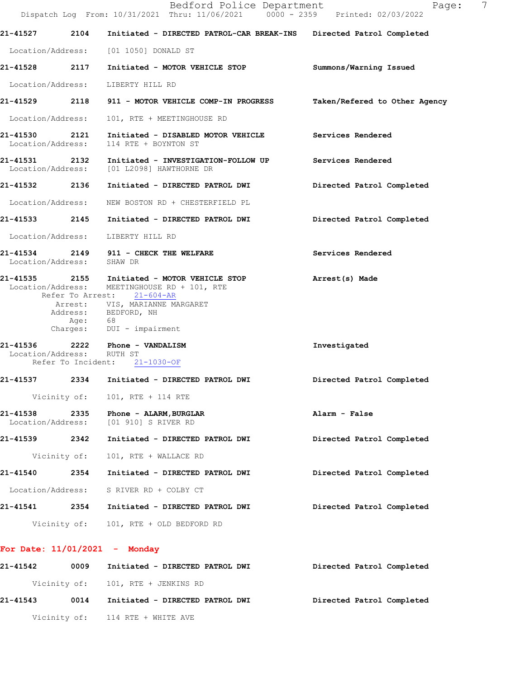|                               |              | Bedford Police Department<br>Dispatch Log From: 10/31/2021 Thru: 11/06/2021 0000 - 2359 Printed: 02/03/2022                                                                                                       | Page:                         | 7 |
|-------------------------------|--------------|-------------------------------------------------------------------------------------------------------------------------------------------------------------------------------------------------------------------|-------------------------------|---|
| 21-41527                      | 2104         | Initiated - DIRECTED PATROL-CAR BREAK-INS Directed Patrol Completed                                                                                                                                               |                               |   |
|                               |              | Location/Address: [01 1050] DONALD ST                                                                                                                                                                             |                               |   |
|                               |              | 21-41528 2117 Initiated - MOTOR VEHICLE STOP                                                                                                                                                                      | Summons/Warning Issued        |   |
|                               |              | Location/Address: LIBERTY HILL RD                                                                                                                                                                                 |                               |   |
|                               |              | 21-41529 2118 911 - MOTOR VEHICLE COMP-IN PROGRESS                                                                                                                                                                | Taken/Refered to Other Agency |   |
| Location/Address:             |              | 101, RTE + MEETINGHOUSE RD                                                                                                                                                                                        |                               |   |
| Location/Address:             |              | 21-41530 2121 Initiated - DISABLED MOTOR VEHICLE Services Rendered<br>114 RTE + BOYNTON ST                                                                                                                        |                               |   |
|                               |              | 21-41531 2132 Initiated - INVESTIGATION-FOLLOW UP<br>Location/Address: [01 L2098] HAWTHORNE DR                                                                                                                    | Services Rendered             |   |
|                               |              | 21-41532 2136 Initiated - DIRECTED PATROL DWI                                                                                                                                                                     | Directed Patrol Completed     |   |
| Location/Address:             |              | NEW BOSTON RD + CHESTERFIELD PL                                                                                                                                                                                   |                               |   |
|                               |              | 21-41533 2145 Initiated - DIRECTED PATROL DWI                                                                                                                                                                     | Directed Patrol Completed     |   |
|                               |              | Location/Address: LIBERTY HILL RD                                                                                                                                                                                 |                               |   |
| Location/Address: SHAW DR     |              | 21-41534 2149 911 - CHECK THE WELFARE                                                                                                                                                                             | Services Rendered             |   |
|                               | Age: 68      | 21-41535 2155 Initiated - MOTOR VEHICLE STOP<br>Location/Address: MEETINGHOUSE RD + 101, RTE<br>Refer To Arrest: 21-604-AR<br>Arrest: VIS, MARIANNE MARGARET<br>Address: BEDFORD, NH<br>Charges: DUI - impairment | Arrest(s) Made                |   |
| Location/Address: RUTH ST     |              | 21-41536 2222 Phone - VANDALISM<br>Refer To Incident: 21-1030-OF                                                                                                                                                  | Investigated                  |   |
| 21-41537                      |              | 2334 Initiated - DIRECTED PATROL DWI                                                                                                                                                                              | Directed Patrol Completed     |   |
|                               |              | Vicinity of: 101, RTE + 114 RTE                                                                                                                                                                                   |                               |   |
| 21-41538<br>Location/Address: | 2335         | Phone - ALARM, BURGLAR<br>[01 910] S RIVER RD                                                                                                                                                                     | Alarm - False                 |   |
| 21-41539 2342                 |              | Initiated - DIRECTED PATROL DWI                                                                                                                                                                                   | Directed Patrol Completed     |   |
|                               | Vicinity of: | 101, RTE + WALLACE RD                                                                                                                                                                                             |                               |   |
| 21-41540                      | 2354         | Initiated - DIRECTED PATROL DWI                                                                                                                                                                                   | Directed Patrol Completed     |   |
|                               |              | Location/Address: S RIVER RD + COLBY CT                                                                                                                                                                           |                               |   |
| 21-41541                      |              | 2354 Initiated - DIRECTED PATROL DWI                                                                                                                                                                              | Directed Patrol Completed     |   |
|                               |              | Vicinity of: 101, RTE + OLD BEDFORD RD                                                                                                                                                                            |                               |   |
|                               |              | For Date: $11/01/2021$ - Monday                                                                                                                                                                                   |                               |   |
| 21-41542                      | 0009         | Initiated - DIRECTED PATROL DWI                                                                                                                                                                                   | Directed Patrol Completed     |   |
|                               |              | Vicinity of: 101, RTE + JENKINS RD                                                                                                                                                                                |                               |   |

**21-41543 0014 Initiated - DIRECTED PATROL DWI Directed Patrol Completed** 

Vicinity of: 114 RTE + WHITE AVE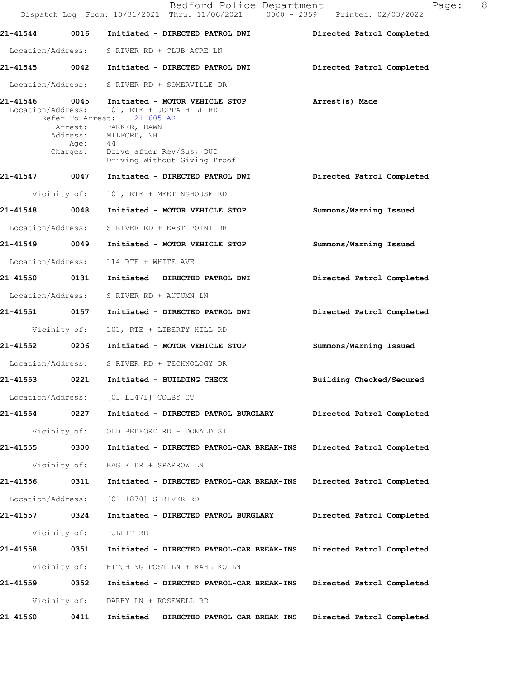|                   |                  | Bedford Police Department<br>Dispatch Log From: 10/31/2021 Thru: 11/06/2021 0000 - 2359 Printed: 02/03/2022                                                                              | 8 <sup>8</sup><br>Page:   |
|-------------------|------------------|------------------------------------------------------------------------------------------------------------------------------------------------------------------------------------------|---------------------------|
| 21-41544          | 0016             | Initiated - DIRECTED PATROL DWI                                                                                                                                                          | Directed Patrol Completed |
|                   |                  | Location/Address: S RIVER RD + CLUB ACRE LN                                                                                                                                              |                           |
|                   |                  | 21-41545 0042 Initiated - DIRECTED PATROL DWI                                                                                                                                            | Directed Patrol Completed |
|                   |                  | Location/Address: S RIVER RD + SOMERVILLE DR                                                                                                                                             |                           |
| Location/Address: | Age:<br>Charges: | 21-41546 0045 Initiated - MOTOR VEHICLE STOP<br>101, RTE + JOPPA HILL RD<br>Refer To Arrest: 21-605-AR<br>Arrest: PARKER, DAWN<br>Address: MILFORD, NH<br>44<br>Drive after Rev/Sus; DUI | Arrest(s) Made            |
| 21-41547 0047     |                  | Driving Without Giving Proof<br>Initiated - DIRECTED PATROL DWI                                                                                                                          | Directed Patrol Completed |
|                   | Vicinity of:     | 101, RTE + MEETINGHOUSE RD                                                                                                                                                               |                           |
|                   |                  | 21-41548 0048 Initiated - MOTOR VEHICLE STOP                                                                                                                                             | Summons/Warning Issued    |
|                   |                  | Location/Address: S RIVER RD + EAST POINT DR                                                                                                                                             |                           |
|                   |                  |                                                                                                                                                                                          | Summons/Warning Issued    |
| Location/Address: |                  | 114 RTE + WHITE AVE                                                                                                                                                                      |                           |
| 21-41550 0131     |                  | Initiated - DIRECTED PATROL DWI                                                                                                                                                          | Directed Patrol Completed |
|                   |                  | Location/Address: S RIVER RD + AUTUMN LN                                                                                                                                                 |                           |
|                   |                  |                                                                                                                                                                                          | Directed Patrol Completed |
|                   | Vicinity of:     | 101, RTE + LIBERTY HILL RD                                                                                                                                                               |                           |
| 21-41552 0206     |                  | Initiated - MOTOR VEHICLE STOP                                                                                                                                                           | Summons/Warning Issued    |
|                   |                  | Location/Address: S RIVER RD + TECHNOLOGY DR                                                                                                                                             |                           |
| 21-41553          | 0221             | Initiated - BUILDING CHECK                                                                                                                                                               | Building Checked/Secured  |
|                   |                  | Location/Address: [01 L1471] COLBY CT                                                                                                                                                    |                           |
| 21-41554          | 0227             | Initiated - DIRECTED PATROL BURGLARY                                                                                                                                                     | Directed Patrol Completed |
|                   | Vicinity of:     | OLD BEDFORD RD + DONALD ST                                                                                                                                                               |                           |
| 21-41555          | 0300             | Initiated - DIRECTED PATROL-CAR BREAK-INS                                                                                                                                                | Directed Patrol Completed |
|                   | Vicinity of:     | EAGLE DR + SPARROW LN                                                                                                                                                                    |                           |
| 21-41556          | 0311             | Initiated - DIRECTED PATROL-CAR BREAK-INS                                                                                                                                                | Directed Patrol Completed |
| Location/Address: |                  | [01 1870] S RIVER RD                                                                                                                                                                     |                           |
| 21-41557          | 0324             | Initiated - DIRECTED PATROL BURGLARY                                                                                                                                                     | Directed Patrol Completed |
|                   | Vicinity of:     | PULPIT RD                                                                                                                                                                                |                           |
| 21-41558          | 0351             | Initiated - DIRECTED PATROL-CAR BREAK-INS                                                                                                                                                | Directed Patrol Completed |
|                   | Vicinity of:     | HITCHING POST LN + KAHLIKO LN                                                                                                                                                            |                           |
| 21-41559          | 0352             | Initiated - DIRECTED PATROL-CAR BREAK-INS                                                                                                                                                | Directed Patrol Completed |
|                   | Vicinity of:     | DARBY LN + ROSEWELL RD                                                                                                                                                                   |                           |
| 21-41560          | 0411             | Initiated - DIRECTED PATROL-CAR BREAK-INS                                                                                                                                                | Directed Patrol Completed |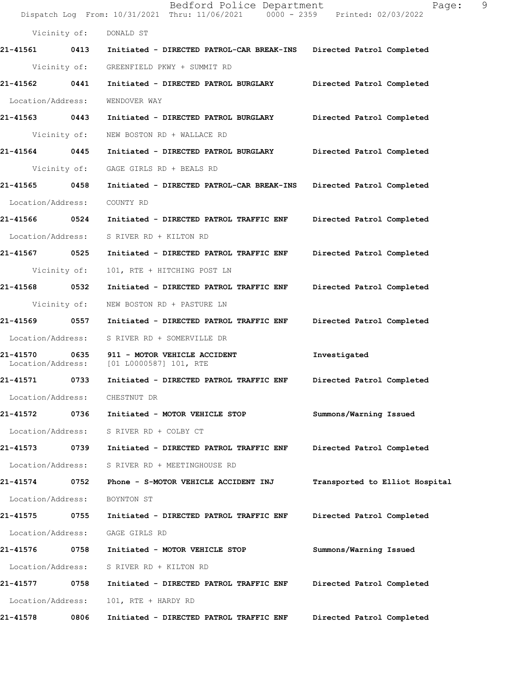Bedford Police Department Page: 9 Dispatch Log From: 10/31/2021 Thru: 11/06/2021 0000 - 2359 Printed: 02/03/2022 Vicinity of: DONALD ST **21-41561 0413 Initiated - DIRECTED PATROL-CAR BREAK-INS Directed Patrol Completed**  Vicinity of: GREENFIELD PKWY + SUMMIT RD **21-41562 0441 Initiated - DIRECTED PATROL BURGLARY Directed Patrol Completed**  Location/Address: WENDOVER WAY **21-41563 0443 Initiated - DIRECTED PATROL BURGLARY Directed Patrol Completed**  Vicinity of: NEW BOSTON RD + WALLACE RD **21-41564 0445 Initiated - DIRECTED PATROL BURGLARY Directed Patrol Completed**  Vicinity of: GAGE GIRLS RD + BEALS RD **21-41565 0458 Initiated - DIRECTED PATROL-CAR BREAK-INS Directed Patrol Completed**  Location/Address: COUNTY RD **21-41566 0524 Initiated - DIRECTED PATROL TRAFFIC ENF Directed Patrol Completed**  Location/Address: S RIVER RD + KILTON RD **21-41567 0525 Initiated - DIRECTED PATROL TRAFFIC ENF Directed Patrol Completed**  Vicinity of: 101, RTE + HITCHING POST LN **21-41568 0532 Initiated - DIRECTED PATROL TRAFFIC ENF Directed Patrol Completed**  Vicinity of: NEW BOSTON RD + PASTURE LN **21-41569 0557 Initiated - DIRECTED PATROL TRAFFIC ENF Directed Patrol Completed**  Location/Address: S RIVER RD + SOMERVILLE DR **21-41570 0635 911 - MOTOR VEHICLE ACCIDENT Investigated**  Location/Address: [01 L0000587] 101, RTE **21-41571 0733 Initiated - DIRECTED PATROL TRAFFIC ENF Directed Patrol Completed**  Location/Address: CHESTNUT DR **21-41572 0736 Initiated - MOTOR VEHICLE STOP Summons/Warning Issued**  Location/Address: S RIVER RD + COLBY CT **21-41573 0739 Initiated - DIRECTED PATROL TRAFFIC ENF Directed Patrol Completed**  Location/Address: S RIVER RD + MEETINGHOUSE RD **21-41574 0752 Phone - S-MOTOR VEHICLE ACCIDENT INJ Transported to Elliot Hospital** Location/Address: BOYNTON ST **21-41575 0755 Initiated - DIRECTED PATROL TRAFFIC ENF Directed Patrol Completed**  Location/Address: GAGE GIRLS RD **21-41576 0758 Initiated - MOTOR VEHICLE STOP Summons/Warning Issued**  Location/Address: S RIVER RD + KILTON RD **21-41577 0758 Initiated - DIRECTED PATROL TRAFFIC ENF Directed Patrol Completed**  Location/Address: 101, RTE + HARDY RD **21-41578 0806 Initiated - DIRECTED PATROL TRAFFIC ENF Directed Patrol Completed**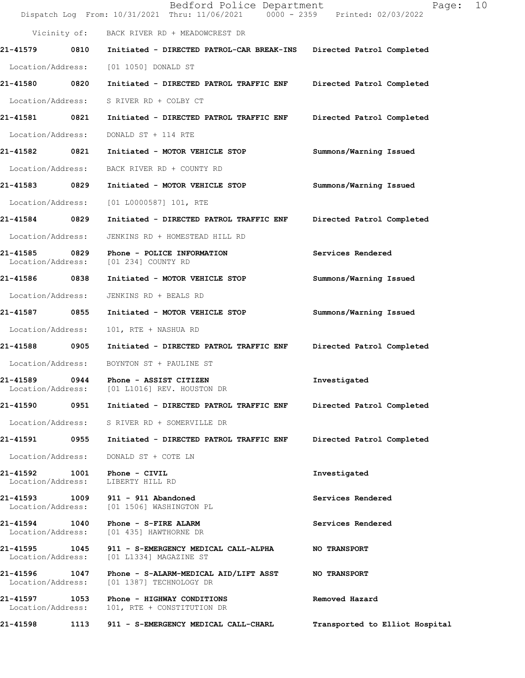|                                    |      | Bedford Police Department<br>Dispatch Log From: 10/31/2021 Thru: 11/06/2021 0000 - 2359 Printed: 02/03/2022 | 10<br>Page:                    |
|------------------------------------|------|-------------------------------------------------------------------------------------------------------------|--------------------------------|
|                                    |      | Vicinity of: BACK RIVER RD + MEADOWCREST DR                                                                 |                                |
| 21-41579 0810                      |      | Initiated - DIRECTED PATROL-CAR BREAK-INS                                                                   | Directed Patrol Completed      |
| Location/Address:                  |      | [01 1050] DONALD ST                                                                                         |                                |
| 21-41580 0820                      |      | Initiated - DIRECTED PATROL TRAFFIC ENF                                                                     | Directed Patrol Completed      |
| Location/Address:                  |      | S RIVER RD + COLBY CT                                                                                       |                                |
| 21-41581 0821                      |      | Initiated - DIRECTED PATROL TRAFFIC ENF                                                                     | Directed Patrol Completed      |
| Location/Address:                  |      | DONALD ST + 114 RTE                                                                                         |                                |
| 21-41582 0821                      |      | Initiated - MOTOR VEHICLE STOP                                                                              | Summons/Warning Issued         |
| Location/Address:                  |      | BACK RIVER RD + COUNTY RD                                                                                   |                                |
| 21-41583 0829                      |      | Initiated - MOTOR VEHICLE STOP                                                                              | Summons/Warning Issued         |
| Location/Address:                  |      | [01 L0000587] 101, RTE                                                                                      |                                |
| 21-41584 0829                      |      | Initiated - DIRECTED PATROL TRAFFIC ENF                                                                     | Directed Patrol Completed      |
| Location/Address:                  |      | JENKINS RD + HOMESTEAD HILL RD                                                                              |                                |
| 21-41585<br>Location/Address:      | 0829 | Phone - POLICE INFORMATION<br>[01 234] COUNTY RD                                                            | Services Rendered              |
| 21-41586 0838                      |      | Initiated - MOTOR VEHICLE STOP                                                                              | Summons/Warning Issued         |
| Location/Address:                  |      | JENKINS RD + BEALS RD                                                                                       |                                |
| 21-41587 0855                      |      | Initiated - MOTOR VEHICLE STOP                                                                              | Summons/Warning Issued         |
| Location/Address:                  |      | 101, RTE + NASHUA RD                                                                                        |                                |
| 21-41588 0905                      |      | Initiated - DIRECTED PATROL TRAFFIC ENF                                                                     | Directed Patrol Completed      |
|                                    |      | Location/Address: BOYNTON ST + PAULINE ST                                                                   |                                |
| 21-41589<br>Location/Address:      | 0944 | Phone - ASSIST CITIZEN<br>[01 L1016] REV. HOUSTON DR                                                        | Investigated                   |
| 21-41590                           | 0951 | Initiated - DIRECTED PATROL TRAFFIC ENF                                                                     | Directed Patrol Completed      |
| Location/Address:                  |      | S RIVER RD + SOMERVILLE DR                                                                                  |                                |
| 21-41591                           | 0955 | Initiated - DIRECTED PATROL TRAFFIC ENF                                                                     | Directed Patrol Completed      |
| Location/Address:                  |      | DONALD ST + COTE LN                                                                                         |                                |
| 21-41592<br>Location/Address:      | 1001 | Phone - CIVIL<br>LIBERTY HILL RD                                                                            | Investigated                   |
| 21-41593<br>Location/Address:      |      | 1009 911 - 911 Abandoned<br>[01 1506] WASHINGTON PL                                                         | Services Rendered              |
| 21-41594 1040<br>Location/Address: |      | Phone - S-FIRE ALARM<br>[01 435] HAWTHORNE DR                                                               | Services Rendered              |
| 21-41595<br>Location/Address:      |      | 1045 911 - S-EMERGENCY MEDICAL CALL-ALPHA<br>[01 L1334] MAGAZINE ST                                         | <b>NO TRANSPORT</b>            |
| 21-41596 1047<br>Location/Address: |      | Phone - S-ALARM-MEDICAL AID/LIFT ASST<br>[01 1387] TECHNOLOGY DR                                            | <b>NO TRANSPORT</b>            |
| 21-41597<br>Location/Address:      | 1053 | Phone - HIGHWAY CONDITIONS<br>101, RTE + CONSTITUTION DR                                                    | Removed Hazard                 |
| 21-41598                           | 1113 | 911 - S-EMERGENCY MEDICAL CALL-CHARL                                                                        | Transported to Elliot Hospital |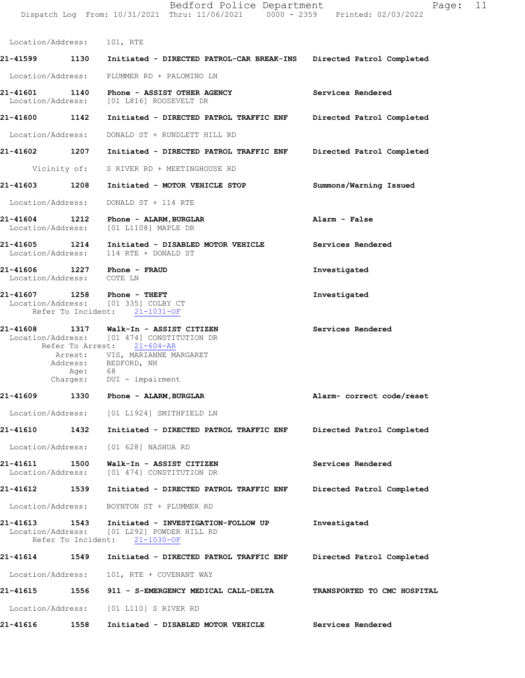Dispatch Log From: 10/31/2021 Thru: 11/06/2021 0000 - 2359 Printed: 02/03/2022 Location/Address: 101, RTE **21-41599 1130 Initiated - DIRECTED PATROL-CAR BREAK-INS Directed Patrol Completed** Location/Address: PLUMMER RD + PALOMINO LN **21-41601 1140 Phone - ASSIST OTHER AGENCY Services Rendered** Location/Address: [01 L816] ROOSEVELT DR **21-41600 1142 Initiated - DIRECTED PATROL TRAFFIC ENF Directed Patrol Completed** Location/Address: DONALD ST + RUNDLETT HILL RD **21-41602 1207 Initiated - DIRECTED PATROL TRAFFIC ENF Directed Patrol Completed** Vicinity of: S RIVER RD + MEETINGHOUSE RD **21-41603 1208 Initiated - MOTOR VEHICLE STOP Summons/Warning Issued** Location/Address: DONALD ST + 114 RTE **21-41604 1212 Phone - ALARM,BURGLAR Alarm - False** Location/Address: [01 L1108] MAPLE DR **21-41605 1214 Initiated - DISABLED MOTOR VEHICLE Services Rendered** Location/Address: 114 RTE + DONALD ST **21-41606 1227 Phone - FRAUD Investigated** Location/Address: COTE LN **21-41607 1258 Investigated Phone - THEFT** Location/Address: [01 335] COLBY CT Refer To Incident: 21-1031-OF **21-41608 1317 Services Rendered Walk-In - ASSIST CITIZEN** Location/Address: [01 474] CONSTITUTION DR Refer To Arrest: 21-604-AR **Alarm- correct code/reset Directed Patrol Completed 21-41610 1432 Initiated - DIRECTED PATROL TRAFFIC ENF Services Rendered Directed Patrol Completed 21-41613** 1543 Initiated - INVESTIGATION-FOLLOW UP Investigated Location/Address: [01 L292] POWDER HILL RD Location/Address: [01 L292] POWDER HILL RD Refer To Incident: 21-1030-OF **21-41614 1549 Initiated - DIRECTED PATROL TRAFFIC ENF Directed Patrol Completed**  Location/Address: 101, RTE + COVENANT WAY **21-41615 1556 911 - S-EMERGENCY MEDICAL CALL-DELTA TRANSPORTED TO CMC HOSPITAL**  Location/Address: [01 L110] S RIVER RD **21-41616 1558 Initiated - DISABLED MOTOR VEHICLE Services Rendered**  Arrest: VIS, MARIANNE MARGARET Address: BEDFORD, NH Age: 68 Charges: DUI - impairment **21-41609 1330 Phone - ALARM,BURGLAR** Location/Address: [01 L1924] SMITHFIELD LN Location/Address: [01 628] NASHUA RD **21-41611 1500 Walk-In - ASSIST CITIZEN** Location/Address: [01 474] CONSTITUTION DR **21-41612 1539 Initiated - DIRECTED PATROL TRAFFIC ENF** Location/Address: BOYNTON ST + PLUMMER RD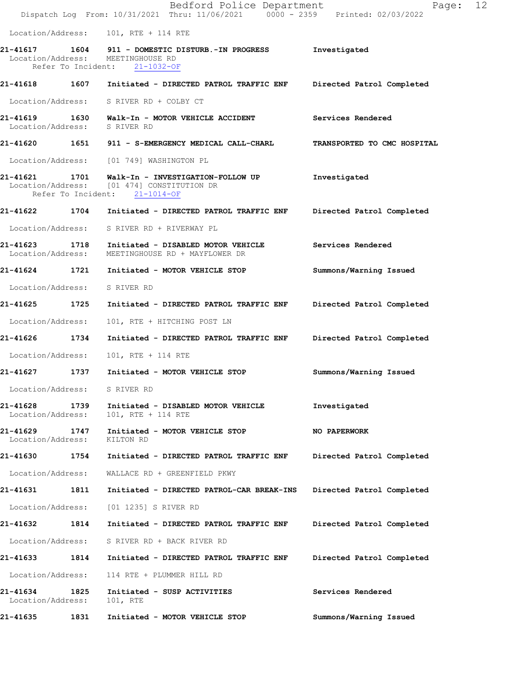|                               |      | Bedford Police Department<br>Dispatch Log From: 10/31/2021 Thru: 11/06/2021 0000 - 2359 Printed: 02/03/2022                    | Page:                       | 12 |
|-------------------------------|------|--------------------------------------------------------------------------------------------------------------------------------|-----------------------------|----|
|                               |      | Location/Address: 101, RTE + 114 RTE                                                                                           |                             |    |
|                               |      | Location/Address: MEETINGHOUSE RD<br>Refer To Incident: 21-1032-OF                                                             | Investigated                |    |
|                               |      | 21-41618 1607 Initiated - DIRECTED PATROL TRAFFIC ENF Directed Patrol Completed                                                |                             |    |
|                               |      | Location/Address: S RIVER RD + COLBY CT                                                                                        |                             |    |
| Location/Address:             |      | S RIVER RD                                                                                                                     | Services Rendered           |    |
|                               |      | 21-41620 1651 911 - S-EMERGENCY MEDICAL CALL-CHARL                                                                             | TRANSPORTED TO CMC HOSPITAL |    |
|                               |      | Location/Address: [01 749] WASHINGTON PL                                                                                       |                             |    |
|                               |      | 21-41621 1701 Walk-In - INVESTIGATION-FOLLOW UP<br>Location/Address: [01 474] CONSTITUTION DR<br>Refer To Incident: 21-1014-OF | Investigated                |    |
|                               |      | 21-41622 1704 Initiated - DIRECTED PATROL TRAFFIC ENF                                                                          | Directed Patrol Completed   |    |
|                               |      | Location/Address: S RIVER RD + RIVERWAY PL                                                                                     |                             |    |
| 21-41623<br>Location/Address: | 1718 | Initiated - DISABLED MOTOR VEHICLE<br>MEETINGHOUSE RD + MAYFLOWER DR                                                           | Services Rendered           |    |
| 21-41624 1721                 |      | Initiated - MOTOR VEHICLE STOP                                                                                                 | Summons/Warning Issued      |    |
| Location/Address:             |      | S RIVER RD                                                                                                                     |                             |    |
| 21-41625 1725                 |      | Initiated - DIRECTED PATROL TRAFFIC ENF                                                                                        | Directed Patrol Completed   |    |
| Location/Address:             |      | 101, RTE + HITCHING POST LN                                                                                                    |                             |    |
| 21-41626 1734                 |      | Initiated - DIRECTED PATROL TRAFFIC ENF                                                                                        | Directed Patrol Completed   |    |
| Location/Address:             |      | 101, RTE + 114 RTE                                                                                                             |                             |    |
| 21-41627                      | 1737 | Initiated - MOTOR VEHICLE STOP                                                                                                 | Summons/Warning Issued      |    |
| Location/Address:             |      | S RIVER RD                                                                                                                     |                             |    |
| 21-41628<br>Location/Address: | 1739 | Initiated - DISABLED MOTOR VEHICLE<br>101, RTE + 114 RTE                                                                       | Investigated                |    |
| 21-41629<br>Location/Address: | 1747 | Initiated - MOTOR VEHICLE STOP<br>KILTON RD                                                                                    | <b>NO PAPERWORK</b>         |    |
| 21-41630                      | 1754 | Initiated - DIRECTED PATROL TRAFFIC ENF                                                                                        | Directed Patrol Completed   |    |
| Location/Address:             |      | WALLACE RD + GREENFIELD PKWY                                                                                                   |                             |    |
| 21-41631                      | 1811 | Initiated - DIRECTED PATROL-CAR BREAK-INS                                                                                      | Directed Patrol Completed   |    |
| Location/Address:             |      | [01 1235] S RIVER RD                                                                                                           |                             |    |
| 21-41632                      | 1814 | Initiated - DIRECTED PATROL TRAFFIC ENF                                                                                        | Directed Patrol Completed   |    |
| Location/Address:             |      | S RIVER RD + BACK RIVER RD                                                                                                     |                             |    |
| 21-41633                      | 1814 | Initiated - DIRECTED PATROL TRAFFIC ENF                                                                                        | Directed Patrol Completed   |    |
| Location/Address:             |      | 114 RTE + PLUMMER HILL RD                                                                                                      |                             |    |
| 21-41634<br>Location/Address: | 1825 | Initiated - SUSP ACTIVITIES<br>101, RTE                                                                                        | Services Rendered           |    |
| 21-41635                      | 1831 | Initiated - MOTOR VEHICLE STOP                                                                                                 | Summons/Warning Issued      |    |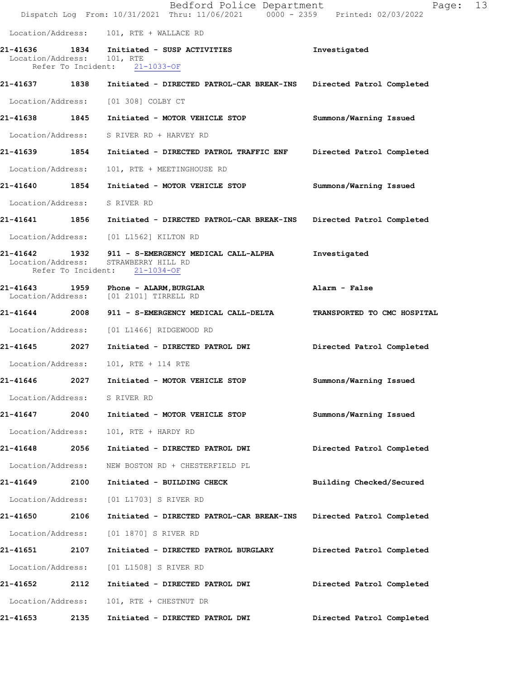|                              |      | Bedford Police Department<br>Dispatch Log From: 10/31/2021 Thru: 11/06/2021 0000 - 2359 Printed: 02/03/2022 | Page:                       | 13 |
|------------------------------|------|-------------------------------------------------------------------------------------------------------------|-----------------------------|----|
|                              |      | Location/Address: 101, RTE + WALLACE RD                                                                     |                             |    |
| Location/Address: 101, RTE   |      | 21-41636 1834 Initiated - SUSP ACTIVITIES<br>Refer To Incident: 21-1033-OF                                  | Investigated                |    |
|                              |      | 21-41637 1838 Initiated - DIRECTED PATROL-CAR BREAK-INS Directed Patrol Completed                           |                             |    |
|                              |      | Location/Address: [01 308] COLBY CT                                                                         |                             |    |
| 21-41638 1845                |      | Initiated - MOTOR VEHICLE STOP                                                                              | Summons/Warning Issued      |    |
|                              |      | Location/Address: S RIVER RD + HARVEY RD                                                                    |                             |    |
|                              |      | 21-41639 1854 Initiated - DIRECTED PATROL TRAFFIC ENF                                                       | Directed Patrol Completed   |    |
| Location/Address:            |      | 101, RTE + MEETINGHOUSE RD                                                                                  |                             |    |
| 21-41640 1854                |      | Initiated - MOTOR VEHICLE STOP                                                                              | Summons/Warning Issued      |    |
| Location/Address: S RIVER RD |      |                                                                                                             |                             |    |
| 21-41641 1856                |      | Initiated - DIRECTED PATROL-CAR BREAK-INS                                                                   | Directed Patrol Completed   |    |
| Location/Address:            |      | [01 L1562] KILTON RD                                                                                        |                             |    |
| Location/Address:            |      | 21-41642 1932 911 - S-EMERGENCY MEDICAL CALL-ALPHA<br>STRAWBERRY HILL RD<br>Refer To Incident: 21-1034-OF   | Investigated                |    |
| 21-41643                     |      | 1959 Phone - ALARM, BURGLAR<br>Location/Address: [01 2101] TIRRELL RD                                       | Alarm - False               |    |
|                              |      |                                                                                                             | TRANSPORTED TO CMC HOSPITAL |    |
|                              |      | Location/Address: [01 L1466] RIDGEWOOD RD                                                                   |                             |    |
| 21-41645 2027                |      | Initiated - DIRECTED PATROL DWI                                                                             | Directed Patrol Completed   |    |
| Location/Address:            |      | 101, RTE + 114 RTE                                                                                          |                             |    |
| 21-41646                     | 2027 | Initiated - MOTOR VEHICLE STOP                                                                              | Summons/Warning Issued      |    |
| Location/Address: S RIVER RD |      |                                                                                                             |                             |    |
| 21-41647                     | 2040 | Initiated - MOTOR VEHICLE STOP                                                                              | Summons/Warning Issued      |    |
| Location/Address:            |      | 101, RTE + HARDY RD                                                                                         |                             |    |
| 21-41648                     | 2056 | Initiated - DIRECTED PATROL DWI                                                                             | Directed Patrol Completed   |    |
| Location/Address:            |      | NEW BOSTON RD + CHESTERFIELD PL                                                                             |                             |    |
| 21-41649                     | 2100 | Initiated - BUILDING CHECK                                                                                  | Building Checked/Secured    |    |
| Location/Address:            |      | [01 L1703] S RIVER RD                                                                                       |                             |    |
| 21-41650                     | 2106 | Initiated - DIRECTED PATROL-CAR BREAK-INS                                                                   | Directed Patrol Completed   |    |
| Location/Address:            |      | [01 1870] S RIVER RD                                                                                        |                             |    |
| 21-41651                     | 2107 | Initiated - DIRECTED PATROL BURGLARY                                                                        | Directed Patrol Completed   |    |
| Location/Address:            |      | [01 L1508] S RIVER RD                                                                                       |                             |    |
| 21-41652                     | 2112 | Initiated - DIRECTED PATROL DWI                                                                             | Directed Patrol Completed   |    |
| Location/Address:            |      | 101, RTE + CHESTNUT DR                                                                                      |                             |    |
| 21-41653                     | 2135 | Initiated - DIRECTED PATROL DWI                                                                             | Directed Patrol Completed   |    |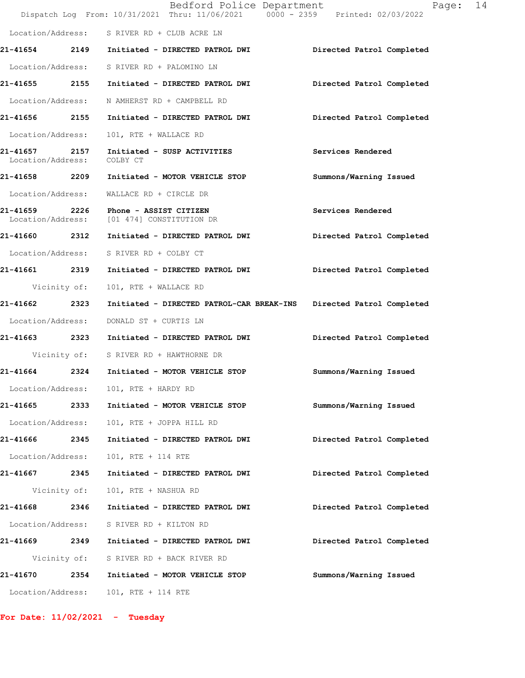|                                    |      | Bedford Police Department<br>Dispatch Log From: 10/31/2021 Thru: 11/06/2021 0000 - 2359 Printed: 02/03/2022 | Page: 14                  |
|------------------------------------|------|-------------------------------------------------------------------------------------------------------------|---------------------------|
|                                    |      | Location/Address: S RIVER RD + CLUB ACRE LN                                                                 |                           |
|                                    |      | 21-41654 2149 Initiated - DIRECTED PATROL DWI                                                               | Directed Patrol Completed |
|                                    |      | Location/Address: S RIVER RD + PALOMINO LN                                                                  |                           |
|                                    |      | 21-41655  2155  Initiated - DIRECTED PATROL DWI                                                             | Directed Patrol Completed |
|                                    |      | Location/Address: N AMHERST RD + CAMPBELL RD                                                                |                           |
|                                    |      | 21-41656  2155  Initiated - DIRECTED PATROL DWI                                                             | Directed Patrol Completed |
| Location/Address:                  |      | 101, RTE + WALLACE RD                                                                                       |                           |
| 21-41657 2157<br>Location/Address: |      | Initiated - SUSP ACTIVITIES<br>COLBY CT                                                                     | Services Rendered         |
|                                    |      | 21-41658 2209 Initiated - MOTOR VEHICLE STOP                                                                | Summons/Warning Issued    |
|                                    |      | Location/Address: WALLACE RD + CIRCLE DR                                                                    |                           |
| Location/Address:                  |      | 21-41659 2226 Phone - ASSIST CITIZEN<br>[01 474] CONSTITUTION DR                                            | Services Rendered         |
|                                    |      | 21-41660  2312 Initiated - DIRECTED PATROL DWI                                                              | Directed Patrol Completed |
|                                    |      | Location/Address: S RIVER RD + COLBY CT                                                                     |                           |
|                                    |      | 21-41661 2319 Initiated - DIRECTED PATROL DWI                                                               | Directed Patrol Completed |
| Vicinity of:                       |      | 101, RTE + WALLACE RD                                                                                       |                           |
| 21-41662 2323                      |      | Initiated - DIRECTED PATROL-CAR BREAK-INS                                                                   | Directed Patrol Completed |
| Location/Address:                  |      | DONALD ST + CURTIS LN                                                                                       |                           |
|                                    |      | 21-41663 2323 Initiated - DIRECTED PATROL DWI                                                               | Directed Patrol Completed |
|                                    |      | Vicinity of: S RIVER RD + HAWTHORNE DR                                                                      |                           |
|                                    |      | 21-41664 2324 Initiated - MOTOR VEHICLE STOP                                                                | Summons/Warning Issued    |
| Location/Address:                  |      | 101, RTE + HARDY RD                                                                                         |                           |
| 21-41665                           | 2333 | Initiated - MOTOR VEHICLE STOP                                                                              | Summons/Warning Issued    |
| Location/Address:                  |      | 101, RTE + JOPPA HILL RD                                                                                    |                           |
| 21-41666                           | 2345 | Initiated - DIRECTED PATROL DWI                                                                             | Directed Patrol Completed |
| Location/Address:                  |      | 101, RTE + 114 RTE                                                                                          |                           |
| 21-41667 2345                      |      | Initiated - DIRECTED PATROL DWI                                                                             | Directed Patrol Completed |
| Vicinity of:                       |      | 101, RTE + NASHUA RD                                                                                        |                           |
| 21-41668 2346                      |      | Initiated - DIRECTED PATROL DWI                                                                             | Directed Patrol Completed |
| Location/Address:                  |      | S RIVER RD + KILTON RD                                                                                      |                           |
| 21-41669                           | 2349 | Initiated - DIRECTED PATROL DWI                                                                             | Directed Patrol Completed |
| Vicinity of:                       |      | S RIVER RD + BACK RIVER RD                                                                                  |                           |
| <b>21-41670</b>                    | 2354 | Initiated - MOTOR VEHICLE STOP                                                                              | Summons/Warning Issued    |
| Location/Address:                  |      | 101, RTE + 114 RTE                                                                                          |                           |

**For Date: 11/02/2021 - Tuesday**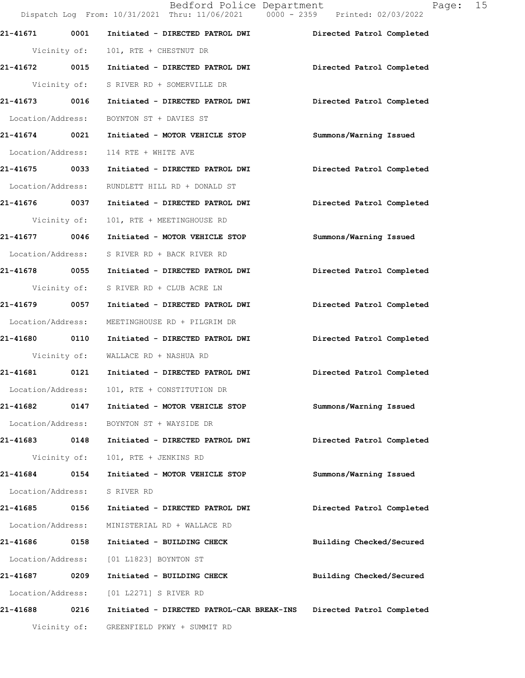Dispatch Log From: 10/31/2021 Thru: 11/06/2021 0000 - 2359 Printed: 02/03/2022 **21-41671 0001 Initiated - DIRECTED PATROL DWI Directed Patrol Completed**  Vicinity of: 101, RTE + CHESTNUT DR **21-41672 0015 Initiated - DIRECTED PATROL DWI Directed Patrol Completed**  Vicinity of: S RIVER RD + SOMERVILLE DR **21-41673 0016 Initiated - DIRECTED PATROL DWI Directed Patrol Completed**  Location/Address: BOYNTON ST + DAVIES ST **21-41674 0021 Initiated - MOTOR VEHICLE STOP Summons/Warning Issued**  Location/Address: 114 RTE + WHITE AVE **21-41675 0033 Initiated - DIRECTED PATROL DWI Directed Patrol Completed**  Location/Address: RUNDLETT HILL RD + DONALD ST **21-41676 0037 Initiated - DIRECTED PATROL DWI Directed Patrol Completed**  Vicinity of: 101, RTE + MEETINGHOUSE RD **21-41677 0046 Initiated - MOTOR VEHICLE STOP Summons/Warning Issued**  Location/Address: S RIVER RD + BACK RIVER RD **21-41678 0055 Initiated - DIRECTED PATROL DWI Directed Patrol Completed**  Vicinity of: S RIVER RD + CLUB ACRE LN **21-41679 0057 Initiated - DIRECTED PATROL DWI Directed Patrol Completed**  Location/Address: MEETINGHOUSE RD + PILGRIM DR **21-41680 0110 Initiated - DIRECTED PATROL DWI Directed Patrol Completed**  Vicinity of: WALLACE RD + NASHUA RD **21-41681 0121 Initiated - DIRECTED PATROL DWI Directed Patrol Completed**  Location/Address: 101, RTE + CONSTITUTION DR **21-41682 0147 Initiated - MOTOR VEHICLE STOP Summons/Warning Issued**  Location/Address: BOYNTON ST + WAYSIDE DR **21-41683 0148 Initiated - DIRECTED PATROL DWI Directed Patrol Completed**  Vicinity of: 101, RTE + JENKINS RD **21-41684 0154 Initiated - MOTOR VEHICLE STOP Summons/Warning Issued**  Location/Address: S RIVER RD **21-41685 0156 Initiated - DIRECTED PATROL DWI Directed Patrol Completed**  Location/Address: MINISTERIAL RD + WALLACE RD **21-41686 0158 Initiated - BUILDING CHECK Building Checked/Secured**  Location/Address: [01 L1823] BOYNTON ST **21-41687 0209 Initiated - BUILDING CHECK Building Checked/Secured**  Location/Address: [01 L2271] S RIVER RD **21-41688 0216 Initiated - DIRECTED PATROL-CAR BREAK-INS Directed Patrol Completed**  Vicinity of: GREENFIELD PKWY + SUMMIT RD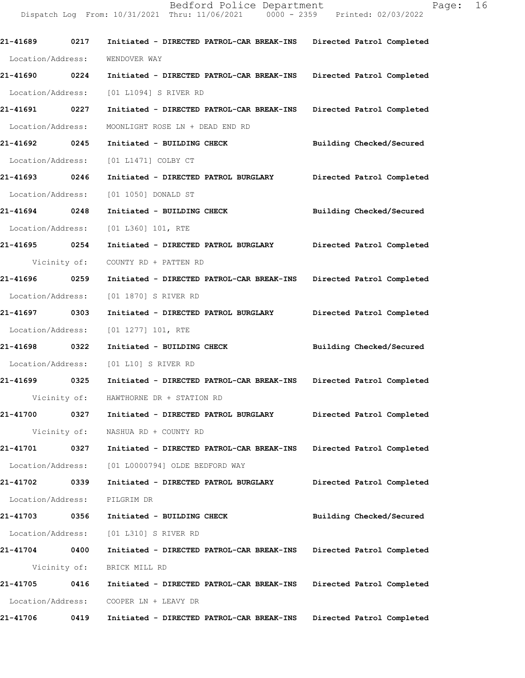Bedford Police Department Page: 16 Dispatch Log From: 10/31/2021 Thru: 11/06/2021 0000 - 2359 Printed: 02/03/2022 **21-41689 0217 Initiated - DIRECTED PATROL-CAR BREAK-INS Directed Patrol Completed**  Location/Address: WENDOVER WAY **21-41690 0224 Initiated - DIRECTED PATROL-CAR BREAK-INS Directed Patrol Completed**  Location/Address: [01 L1094] S RIVER RD **21-41691 0227 Initiated - DIRECTED PATROL-CAR BREAK-INS Directed Patrol Completed**  Location/Address: MOONLIGHT ROSE LN + DEAD END RD **21-41692 0245 Initiated - BUILDING CHECK Building Checked/Secured**  Location/Address: [01 L1471] COLBY CT **21-41693 0246 Initiated - DIRECTED PATROL BURGLARY Directed Patrol Completed**  Location/Address: [01 1050] DONALD ST

**21-41694 0248 Initiated - BUILDING CHECK Building Checked/Secured**  Location/Address: [01 L360] 101, RTE

**21-41695 0254 Initiated - DIRECTED PATROL BURGLARY Directed Patrol Completed**  Vicinity of: COUNTY RD + PATTEN RD

**21-41696 0259 Initiated - DIRECTED PATROL-CAR BREAK-INS Directed Patrol Completed**  Location/Address: [01 1870] S RIVER RD

**21-41697 0303 Initiated - DIRECTED PATROL BURGLARY Directed Patrol Completed**  Location/Address: [01 1277] 101, RTE

**21-41698 0322 Initiated - BUILDING CHECK Building Checked/Secured**  Location/Address: [01 L10] S RIVER RD

**21-41699 0325 Initiated - DIRECTED PATROL-CAR BREAK-INS Directed Patrol Completed**  Vicinity of: HAWTHORNE DR + STATION RD

**21-41700 0327 Initiated - DIRECTED PATROL BURGLARY Directed Patrol Completed**  Vicinity of: NASHUA RD + COUNTY RD

**21-41701 0327 Initiated - DIRECTED PATROL-CAR BREAK-INS Directed Patrol Completed**  Location/Address: [01 L0000794] OLDE BEDFORD WAY

**21-41702 0339 Initiated - DIRECTED PATROL BURGLARY Directed Patrol Completed**  Location/Address: PILGRIM DR

**21-41703 0356 Initiated - BUILDING CHECK Building Checked/Secured**  Location/Address: [01 L310] S RIVER RD **21-41704 0400 Initiated - DIRECTED PATROL-CAR BREAK-INS Directed Patrol Completed**  Vicinity of: BRICK MILL RD **21-41705 0416 Initiated - DIRECTED PATROL-CAR BREAK-INS Directed Patrol Completed** 

Location/Address: COOPER LN + LEAVY DR

**21-41706 0419 Initiated - DIRECTED PATROL-CAR BREAK-INS Directed Patrol Completed**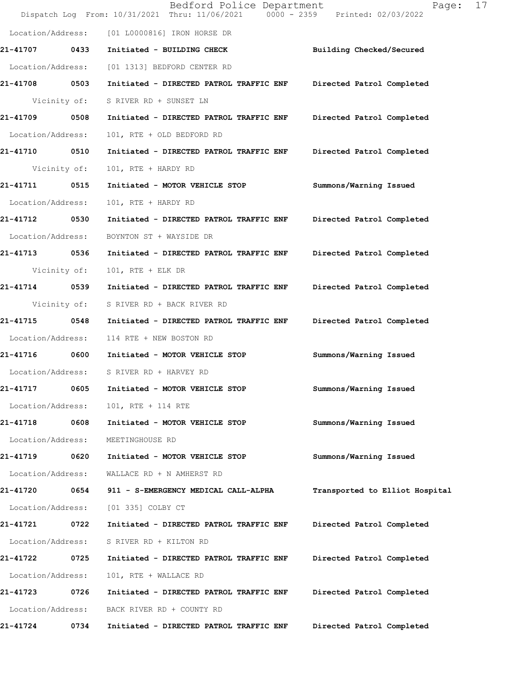|                   |              | Bedford Police Department<br>Dispatch Log From: 10/31/2021 Thru: 11/06/2021 0000 - 2359 Printed: 02/03/2022 | 17<br>Page:                    |
|-------------------|--------------|-------------------------------------------------------------------------------------------------------------|--------------------------------|
| Location/Address: |              | [01 L0000816] IRON HORSE DR                                                                                 |                                |
| <b>21-41707</b>   | 0433         | Initiated - BUILDING CHECK                                                                                  | Building Checked/Secured       |
| Location/Address: |              | [01 1313] BEDFORD CENTER RD                                                                                 |                                |
| 21-41708          | 0503         | Initiated - DIRECTED PATROL TRAFFIC ENF                                                                     | Directed Patrol Completed      |
|                   | Vicinity of: | S RIVER RD + SUNSET LN                                                                                      |                                |
| 21-41709          | 0508         | Initiated - DIRECTED PATROL TRAFFIC ENF                                                                     | Directed Patrol Completed      |
| Location/Address: |              | 101, RTE + OLD BEDFORD RD                                                                                   |                                |
| <b>21-41710</b>   | 0510         | Initiated - DIRECTED PATROL TRAFFIC ENF                                                                     | Directed Patrol Completed      |
| Vicinity of:      |              | 101, RTE + HARDY RD                                                                                         |                                |
| 21-41711          | 0515         | Initiated - MOTOR VEHICLE STOP                                                                              | Summons/Warning Issued         |
| Location/Address: |              | 101, RTE + HARDY RD                                                                                         |                                |
| 21-41712          | 0530         | Initiated - DIRECTED PATROL TRAFFIC ENF                                                                     | Directed Patrol Completed      |
| Location/Address: |              | BOYNTON ST + WAYSIDE DR                                                                                     |                                |
| 21-41713 0536     |              | Initiated - DIRECTED PATROL TRAFFIC ENF                                                                     | Directed Patrol Completed      |
| Vicinity of:      |              | 101, RTE + ELK DR                                                                                           |                                |
| 21-41714          | 0539         | Initiated - DIRECTED PATROL TRAFFIC ENF                                                                     | Directed Patrol Completed      |
| Vicinity of:      |              | S RIVER RD + BACK RIVER RD                                                                                  |                                |
| 21-41715          | 0548         | Initiated - DIRECTED PATROL TRAFFIC ENF                                                                     | Directed Patrol Completed      |
| Location/Address: |              | 114 RTE + NEW BOSTON RD                                                                                     |                                |
| 21-41716 0600     |              | Initiated - MOTOR VEHICLE STOP                                                                              | Summons/Warning Issued         |
|                   |              | Location/Address: S RIVER RD + HARVEY RD                                                                    |                                |
| 21-41717          | 0605         | Initiated - MOTOR VEHICLE STOP                                                                              | Summons/Warning Issued         |
| Location/Address: |              | 101, RTE + 114 RTE                                                                                          |                                |
| 21-41718          | 0608         | Initiated - MOTOR VEHICLE STOP                                                                              | Summons/Warning Issued         |
| Location/Address: |              | MEETINGHOUSE RD                                                                                             |                                |
| 21-41719          | 0620         | Initiated - MOTOR VEHICLE STOP                                                                              | Summons/Warning Issued         |
| Location/Address: |              | WALLACE RD + N AMHERST RD                                                                                   |                                |
| 21-41720          | 0654         | 911 - S-EMERGENCY MEDICAL CALL-ALPHA                                                                        | Transported to Elliot Hospital |
| Location/Address: |              | [01 335] COLBY CT                                                                                           |                                |
| 21-41721          | 0722         | Initiated - DIRECTED PATROL TRAFFIC ENF                                                                     | Directed Patrol Completed      |
| Location/Address: |              | S RIVER RD + KILTON RD                                                                                      |                                |
| 21-41722          | 0725         | Initiated - DIRECTED PATROL TRAFFIC ENF                                                                     | Directed Patrol Completed      |
| Location/Address: |              | 101, RTE + WALLACE RD                                                                                       |                                |
| 21-41723          | 0726         | Initiated - DIRECTED PATROL TRAFFIC ENF                                                                     | Directed Patrol Completed      |
| Location/Address: |              | BACK RIVER RD + COUNTY RD                                                                                   |                                |
| 21-41724          | 0734         | Initiated - DIRECTED PATROL TRAFFIC ENF                                                                     | Directed Patrol Completed      |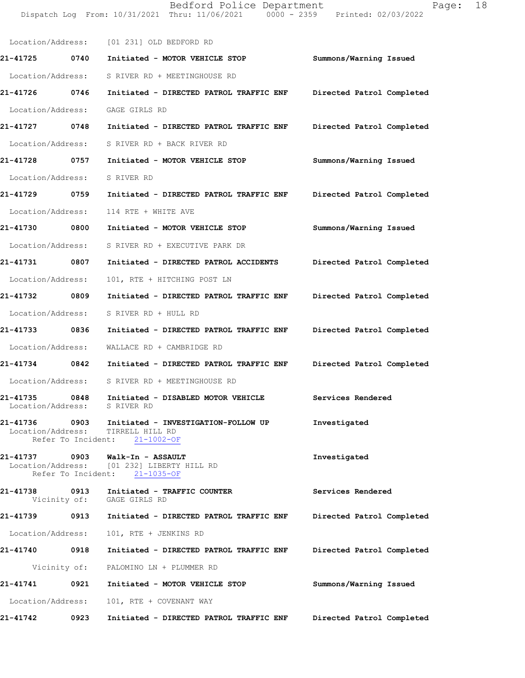Location/Address: [01 231] OLD BEDFORD RD **21-41725 0740 Initiated - MOTOR VEHICLE STOP Summons/Warning Issued**  Location/Address: S RIVER RD + MEETINGHOUSE RD **21-41726 0746 Initiated - DIRECTED PATROL TRAFFIC ENF Directed Patrol Completed**  Location/Address: GAGE GIRLS RD **21-41727 0748 Initiated - DIRECTED PATROL TRAFFIC ENF Directed Patrol Completed**  Location/Address: S RIVER RD + BACK RIVER RD **21-41728 0757 Initiated - MOTOR VEHICLE STOP Summons/Warning Issued**  Location/Address: S RIVER RD **21-41729 0759 Initiated - DIRECTED PATROL TRAFFIC ENF Directed Patrol Completed**  Location/Address: 114 RTE + WHITE AVE **21-41730 0800 Initiated - MOTOR VEHICLE STOP Summons/Warning Issued**  Location/Address: S RIVER RD + EXECUTIVE PARK DR **21-41731 0807 Initiated - DIRECTED PATROL ACCIDENTS Directed Patrol Completed**  Location/Address: 101, RTE + HITCHING POST LN **21-41732 0809 Initiated - DIRECTED PATROL TRAFFIC ENF Directed Patrol Completed**  Location/Address: S RIVER RD + HULL RD **21-41733 0836 Initiated - DIRECTED PATROL TRAFFIC ENF Directed Patrol Completed**  Location/Address: WALLACE RD + CAMBRIDGE RD **21-41734 0842 Initiated - DIRECTED PATROL TRAFFIC ENF Directed Patrol Completed**  Location/Address: S RIVER RD + MEETINGHOUSE RD **21-41735 0848 Initiated - DISABLED MOTOR VEHICLE Services Rendered** Location/Address: S RIVER RD Location/Address: **21-41736 0903 Initiated - INVESTIGATION-FOLLOW UP Investigated**  Location/Address: TIRRELL HILL RD Refer To Incident: 21-1002-OF **21-41737 0903 Walk-In - ASSAULT Investigated**  Location/Address: [01 232] LIBERTY HILL RD Refer To Incident: 21-1035-OF **21-41738 0913 Initiated - TRAFFIC COUNTER Services Rendered**  Vicinity of: GAGE GIRLS RD **21-41739 0913 Initiated - DIRECTED PATROL TRAFFIC ENF Directed Patrol Completed**  Location/Address: 101, RTE + JENKINS RD **21-41740 0918 Initiated - DIRECTED PATROL TRAFFIC ENF Directed Patrol Completed**  Vicinity of: PALOMINO LN + PLUMMER RD **21-41741 0921 Initiated - MOTOR VEHICLE STOP Summons/Warning Issued**  Location/Address: 101, RTE + COVENANT WAY **21-41742 0923 Initiated - DIRECTED PATROL TRAFFIC ENF Directed Patrol Completed** 

Dispatch Log From: 10/31/2021 Thru: 11/06/2021 0000 - 2359 Printed: 02/03/2022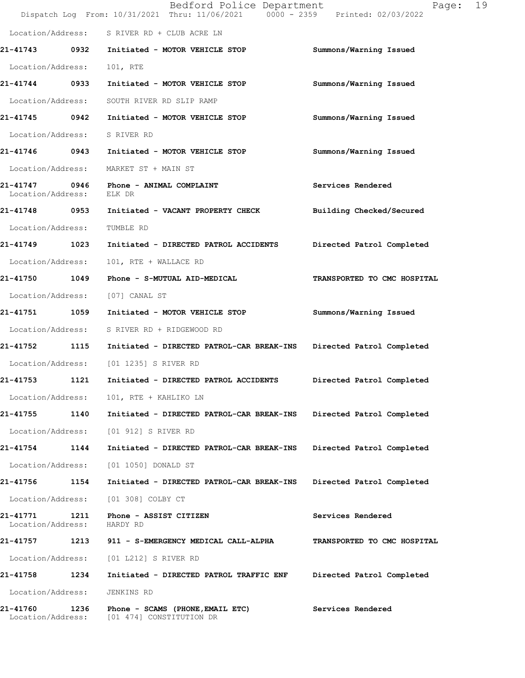|                               |      | Bedford Police Department<br>Dispatch Log From: 10/31/2021 Thru: 11/06/2021 0000 - 2359 Printed: 02/03/2022 | 19<br>Page:                 |
|-------------------------------|------|-------------------------------------------------------------------------------------------------------------|-----------------------------|
|                               |      | Location/Address: S RIVER RD + CLUB ACRE LN                                                                 |                             |
|                               |      | 21-41743 0932 Initiated - MOTOR VEHICLE STOP                                                                | Summons/Warning Issued      |
| Location/Address:             |      | 101, RTE                                                                                                    |                             |
| 21-41744 0933                 |      | Initiated - MOTOR VEHICLE STOP                                                                              | Summons/Warning Issued      |
| Location/Address:             |      | SOUTH RIVER RD SLIP RAMP                                                                                    |                             |
|                               |      | 21-41745  0942 Initiated - MOTOR VEHICLE STOP                                                               | Summons/Warning Issued      |
| Location/Address:             |      | S RIVER RD                                                                                                  |                             |
|                               |      | 21-41746 0943 Initiated - MOTOR VEHICLE STOP                                                                | Summons/Warning Issued      |
|                               |      | Location/Address: MARKET ST + MAIN ST                                                                       |                             |
| 21-41747<br>Location/Address: |      | 0946 Phone - ANIMAL COMPLAINT<br>ELK DR                                                                     | Services Rendered           |
| 21-41748 0953                 |      | Initiated - VACANT PROPERTY CHECK                                                                           | Building Checked/Secured    |
| Location/Address:             |      | TUMBLE RD                                                                                                   |                             |
| 21-41749 1023                 |      | Initiated - DIRECTED PATROL ACCIDENTS                                                                       | Directed Patrol Completed   |
| Location/Address:             |      | 101, RTE + WALLACE RD                                                                                       |                             |
| 21-41750 1049                 |      | Phone - S-MUTUAL AID-MEDICAL                                                                                | TRANSPORTED TO CMC HOSPITAL |
| Location/Address:             |      | [07] CANAL ST                                                                                               |                             |
| 21-41751 1059                 |      | Initiated - MOTOR VEHICLE STOP                                                                              | Summons/Warning Issued      |
| Location/Address:             |      | S RIVER RD + RIDGEWOOD RD                                                                                   |                             |
| 21-41752 1115                 |      | Initiated - DIRECTED PATROL-CAR BREAK-INS                                                                   | Directed Patrol Completed   |
| Location/Address:             |      | [01 1235] S RIVER RD                                                                                        |                             |
| 21-41753                      | 1121 | Initiated - DIRECTED PATROL ACCIDENTS                                                                       | Directed Patrol Completed   |
| Location/Address:             |      | 101, RTE + KAHLIKO LN                                                                                       |                             |
| 21-41755                      | 1140 | Initiated - DIRECTED PATROL-CAR BREAK-INS                                                                   | Directed Patrol Completed   |
| Location/Address:             |      | [01 912] S RIVER RD                                                                                         |                             |
| 21-41754                      | 1144 | Initiated - DIRECTED PATROL-CAR BREAK-INS                                                                   | Directed Patrol Completed   |
| Location/Address:             |      | [01 1050] DONALD ST                                                                                         |                             |
| 21-41756                      | 1154 | Initiated - DIRECTED PATROL-CAR BREAK-INS                                                                   | Directed Patrol Completed   |
| Location/Address:             |      | [01 308] COLBY CT                                                                                           |                             |
| 21-41771<br>Location/Address: | 1211 | Phone - ASSIST CITIZEN<br>HARDY RD                                                                          | Services Rendered           |
| 21-41757                      | 1213 | 911 - S-EMERGENCY MEDICAL CALL-ALPHA                                                                        | TRANSPORTED TO CMC HOSPITAL |
| Location/Address:             |      | [01 L212] S RIVER RD                                                                                        |                             |
| 21-41758                      | 1234 | Initiated - DIRECTED PATROL TRAFFIC ENF                                                                     | Directed Patrol Completed   |
| Location/Address:             |      | JENKINS RD                                                                                                  |                             |
| 21-41760<br>Location/Address: | 1236 | Phone - SCAMS (PHONE, EMAIL ETC)<br>[01 474] CONSTITUTION DR                                                | Services Rendered           |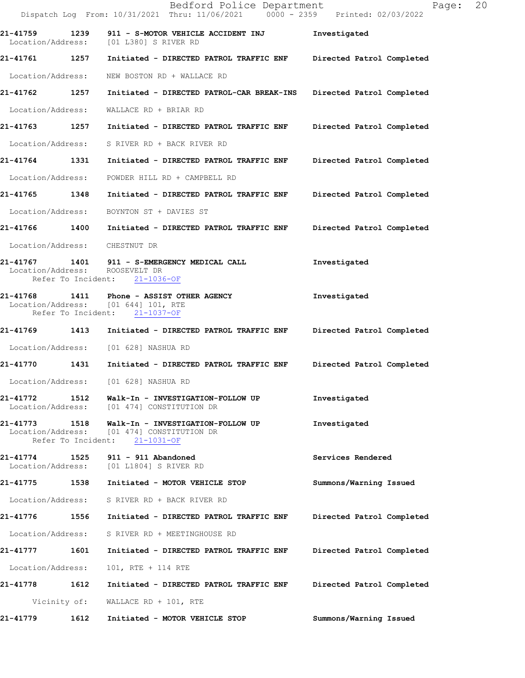|                                                             | Bedford Police Department<br>Dispatch Log From: 10/31/2021 Thru: 11/06/2021 0000 - 2359 Printed: 02/03/2022 | 20<br>Page:               |
|-------------------------------------------------------------|-------------------------------------------------------------------------------------------------------------|---------------------------|
| 21-41759 1239                                               | 911 - S-MOTOR VEHICLE ACCIDENT INJ<br>Location/Address: [01 L380] S RIVER RD                                | Investigated              |
|                                                             |                                                                                                             | Directed Patrol Completed |
| Location/Address:                                           | NEW BOSTON RD + WALLACE RD                                                                                  |                           |
| 21-41762<br>1257                                            | Initiated - DIRECTED PATROL-CAR BREAK-INS Directed Patrol Completed                                         |                           |
| Location/Address:                                           | WALLACE RD + BRIAR RD                                                                                       |                           |
| 21-41763 1257                                               | Initiated - DIRECTED PATROL TRAFFIC ENF                                                                     | Directed Patrol Completed |
|                                                             | Location/Address: S RIVER RD + BACK RIVER RD                                                                |                           |
| 21-41764 1331                                               | Initiated - DIRECTED PATROL TRAFFIC ENF                                                                     | Directed Patrol Completed |
| Location/Address:                                           | POWDER HILL RD + CAMPBELL RD                                                                                |                           |
| 21-41765 1348                                               | Initiated - DIRECTED PATROL TRAFFIC ENF Directed Patrol Completed                                           |                           |
| Location/Address:                                           | BOYNTON ST + DAVIES ST                                                                                      |                           |
|                                                             | 21-41766 1400 Initiated - DIRECTED PATROL TRAFFIC ENF                                                       | Directed Patrol Completed |
| Location/Address: CHESTNUT DR                               |                                                                                                             |                           |
| Location/Address:                                           | 21-41767 1401 911 - S-EMERGENCY MEDICAL CALL<br>ROOSEVELT DR<br>Refer To Incident: 21-1036-OF               | Investigated              |
|                                                             | Location/Address: [01 644] 101, RTE<br>Refer To Incident: 21-1037-OF                                        | Investigated              |
|                                                             | 21-41769 1413 Initiated - DIRECTED PATROL TRAFFIC ENF Directed Patrol Completed                             |                           |
|                                                             | Location/Address: [01 628] NASHUA RD                                                                        |                           |
| 21-41770 1431                                               | Initiated - DIRECTED PATROL TRAFFIC ENF                                                                     | Directed Patrol Completed |
| Location/Address:                                           | [01 628] NASHUA RD                                                                                          |                           |
| 21-41772                                                    | 1512 Walk-In - INVESTIGATION-FOLLOW UP<br>Location/Address: [01 474] CONSTITUTION DR                        | Investigated              |
| 21-41773<br>1518<br>Location/Address:<br>Refer To Incident: | Walk-In - INVESTIGATION-FOLLOW UP<br>[01 474] CONSTITUTION DR<br>$21 - 1031 - OF$                           | Investigated              |
| 21-41774<br>1525<br>Location/Address:                       | 911 - 911 Abandoned<br>[01 L1804] S RIVER RD                                                                | Services Rendered         |
| 21-41775 1538                                               | Initiated - MOTOR VEHICLE STOP                                                                              | Summons/Warning Issued    |
| Location/Address:                                           | S RIVER RD + BACK RIVER RD                                                                                  |                           |
| 21-41776<br>1556                                            | Initiated - DIRECTED PATROL TRAFFIC ENF                                                                     | Directed Patrol Completed |
| Location/Address:                                           | S RIVER RD + MEETINGHOUSE RD                                                                                |                           |
| 1601<br>21-41777                                            | Initiated - DIRECTED PATROL TRAFFIC ENF                                                                     | Directed Patrol Completed |
| Location/Address:                                           | 101, RTE + 114 RTE                                                                                          |                           |
| 1612<br>21-41778                                            | Initiated - DIRECTED PATROL TRAFFIC ENF                                                                     | Directed Patrol Completed |
| Vicinity of:                                                | WALLACE RD + 101, RTE                                                                                       |                           |
| 21-41779<br>1612                                            | Initiated - MOTOR VEHICLE STOP                                                                              | Summons/Warning Issued    |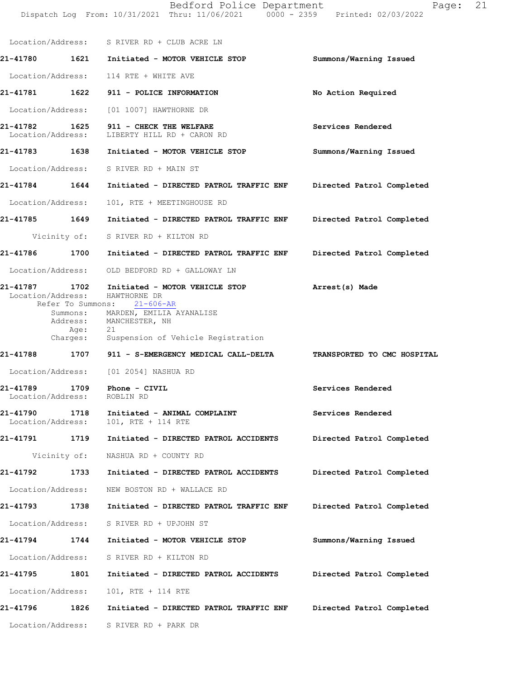|                               |                  | Location/Address: S RIVER RD + CLUB ACRE LN                                                                                                                                         |                                    |
|-------------------------------|------------------|-------------------------------------------------------------------------------------------------------------------------------------------------------------------------------------|------------------------------------|
| 21-41780                      |                  | 1621 Initiated - MOTOR VEHICLE STOP                                                                                                                                                 | Summons/Warning Issued             |
|                               |                  | Location/Address: 114 RTE + WHITE AVE                                                                                                                                               |                                    |
|                               |                  | 21-41781   1622   911 - POLICE INFORMATION                                                                                                                                          | No Action Required                 |
|                               |                  | Location/Address: [01 1007] HAWTHORNE DR                                                                                                                                            |                                    |
|                               |                  | 21-41782 1625 911 - CHECK THE WELFARE<br>Location/Address: LIBERTY HILL RD + CARON RD                                                                                               | Services Rendered                  |
|                               |                  | 21-41783 1638 Initiated - MOTOR VEHICLE STOP                                                                                                                                        | Summons/Warning Issued             |
|                               |                  | Location/Address: S RIVER RD + MAIN ST                                                                                                                                              |                                    |
| 21-41784 1644                 |                  | Initiated - DIRECTED PATROL TRAFFIC ENF                                                                                                                                             | Directed Patrol Completed          |
| Location/Address:             |                  | 101, RTE + MEETINGHOUSE RD                                                                                                                                                          |                                    |
| 21-41785 1649                 |                  | Initiated - DIRECTED PATROL TRAFFIC ENF                                                                                                                                             | Directed Patrol Completed          |
|                               |                  | Vicinity of: S RIVER RD + KILTON RD                                                                                                                                                 |                                    |
| 21-41786 1700                 |                  | Initiated - DIRECTED PATROL TRAFFIC ENF                                                                                                                                             | Directed Patrol Completed          |
|                               |                  | Location/Address: OLD BEDFORD RD + GALLOWAY LN                                                                                                                                      |                                    |
|                               | Age:<br>Charges: | 21-41787 1702 Initiated - MOTOR VEHICLE STOP<br>Location/Address: HAWTHORNE DR<br>Refer To Summons: 21-606-AR<br>Summons: MARDEN, EMILIA AYANALISE<br>Address: MANCHESTER, NH<br>21 | Arrest(s) Made                     |
|                               |                  | Suspension of Vehicle Registration<br>21-41788 1707 911 - S-EMERGENCY MEDICAL CALL-DELTA                                                                                            | <b>TRANSPORTED TO CMC HOSPITAL</b> |
|                               |                  | Location/Address: [01 2054] NASHUA RD                                                                                                                                               |                                    |
| Location/Address: ROBLIN RD   |                  | 21-41789    1709    Phone - CIVIL                                                                                                                                                   | Services Rendered                  |
| 21-41790<br>Location/Address: | 1718             | Initiated - ANIMAL COMPLAINT<br>101, RTE + 114 RTE                                                                                                                                  | Services Rendered                  |
| 21-41791 1719                 |                  | Initiated - DIRECTED PATROL ACCIDENTS                                                                                                                                               | Directed Patrol Completed          |
|                               | Vicinity of:     | NASHUA RD + COUNTY RD                                                                                                                                                               |                                    |
| 21-41792                      | 1733             | Initiated - DIRECTED PATROL ACCIDENTS                                                                                                                                               | Directed Patrol Completed          |
|                               |                  | Location/Address: NEW BOSTON RD + WALLACE RD                                                                                                                                        |                                    |
| 21-41793                      | 1738             | Initiated - DIRECTED PATROL TRAFFIC ENF                                                                                                                                             | Directed Patrol Completed          |
| Location/Address:             |                  | S RIVER RD + UPJOHN ST                                                                                                                                                              |                                    |
| 21-41794                      | 1744             | Initiated - MOTOR VEHICLE STOP                                                                                                                                                      | Summons/Warning Issued             |
| Location/Address:             |                  | S RIVER RD + KILTON RD                                                                                                                                                              |                                    |
| 21-41795                      | 1801             | Initiated - DIRECTED PATROL ACCIDENTS                                                                                                                                               | Directed Patrol Completed          |
| Location/Address:             |                  | 101, RTE + 114 RTE                                                                                                                                                                  |                                    |
| 21-41796                      | 1826             | Initiated - DIRECTED PATROL TRAFFIC ENF                                                                                                                                             | Directed Patrol Completed          |
| Location/Address:             |                  | S RIVER RD + PARK DR                                                                                                                                                                |                                    |

Dispatch Log From: 10/31/2021 Thru: 11/06/2021 0000 - 2359 Printed: 02/03/2022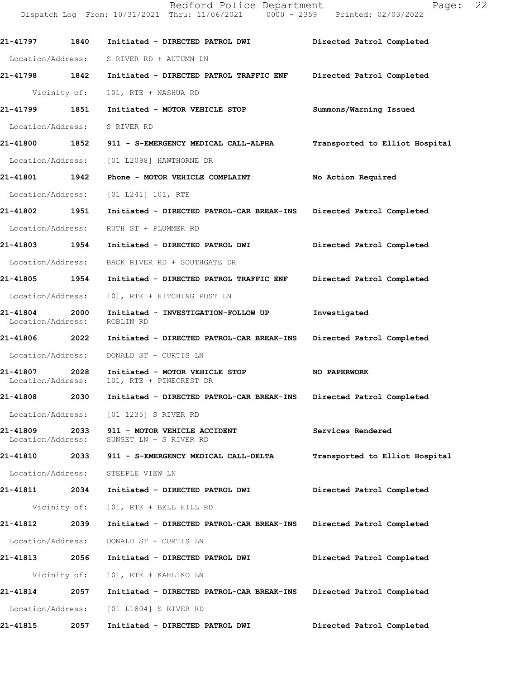Dispatch Log From: 10/31/2021 Thru: 11/06/2021 0000 - 2359 Printed: 02/03/2022 **21-41797 1840 Initiated - DIRECTED PATROL DWI Directed Patrol Completed**  Location/Address: S RIVER RD + AUTUMN LN **21-41798 1842 Initiated - DIRECTED PATROL TRAFFIC ENF Directed Patrol Completed**  Vicinity of: 101, RTE + NASHUA RD **21-41799 1851 Initiated - MOTOR VEHICLE STOP Summons/Warning Issued**  Location/Address: S RIVER RD **21-41800 1852 911 - S-EMERGENCY MEDICAL CALL-ALPHA Transported to Elliot Hospital** Location/Address: [01 L2098] HAWTHORNE DR **21-41801 1942 Phone - MOTOR VEHICLE COMPLAINT No Action Required**  Location/Address: [01 L241] 101, RTE **21-41802 1951 Initiated - DIRECTED PATROL-CAR BREAK-INS Directed Patrol Completed**  Location/Address: RUTH ST + PLUMMER RD **21-41803 1954 Initiated - DIRECTED PATROL DWI Directed Patrol Completed**  Location/Address: BACK RIVER RD + SOUTHGATE DR **21-41805 1954 Initiated - DIRECTED PATROL TRAFFIC ENF Directed Patrol Completed**  Location/Address: 101, RTE + HITCHING POST LN **21-41804 2000 Initiated - INVESTIGATION-FOLLOW UP Investigated**  Location/Address: **21-41806 2022 Initiated - DIRECTED PATROL-CAR BREAK-INS Directed Patrol Completed**  Location/Address: DONALD ST + CURTIS LN **21-41807 2028 Initiated - MOTOR VEHICLE STOP NO PAPERWORK**  101, RTE + PINECREST DR **21-41808 2030 Initiated - DIRECTED PATROL-CAR BREAK-INS Directed Patrol Completed**  Location/Address: [01 1235] S RIVER RD **21-41809 2033 911 - MOTOR VEHICLE ACCIDENT Services Rendered**  Location/Address: SUNSET LN + S RIVER RD **21-41810 2033 911 - S-EMERGENCY MEDICAL CALL-DELTA Transported to Elliot Hospital** Location/Address: STEEPLE VIEW LN **21-41811 2034 Initiated - DIRECTED PATROL DWI Directed Patrol Completed**  Vicinity of: 101, RTE + BELL HILL RD **21-41812 2039 Initiated - DIRECTED PATROL-CAR BREAK-INS Directed Patrol Completed**  Location/Address: DONALD ST + CURTIS LN **21-41813 2056 Initiated - DIRECTED PATROL DWI Directed Patrol Completed**  Vicinity of: 101, RTE + KAHLIKO LN **21-41814 2057 Initiated - DIRECTED PATROL-CAR BREAK-INS Directed Patrol Completed**  Location/Address: [01 L1804] S RIVER RD **21-41815 2057 Initiated - DIRECTED PATROL DWI Directed Patrol Completed**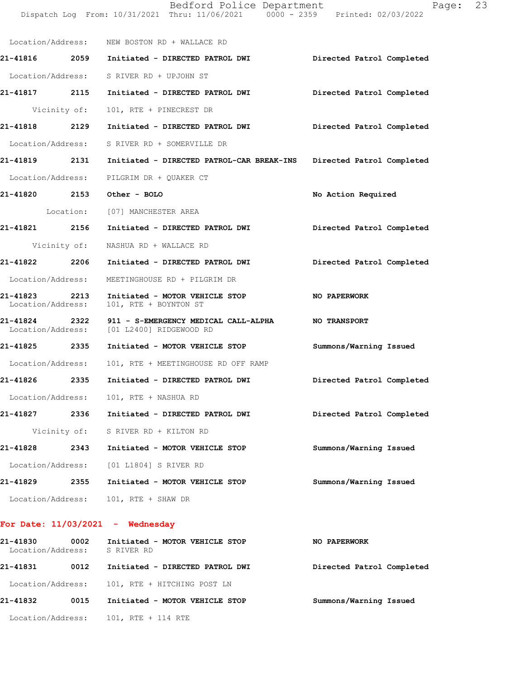|                   |                                                         | Page:                                                                                                                                                                                                                                                                                                                                                                                                                                                                              | 23                                                                                                                                                                                                                                                                                                                                |
|-------------------|---------------------------------------------------------|------------------------------------------------------------------------------------------------------------------------------------------------------------------------------------------------------------------------------------------------------------------------------------------------------------------------------------------------------------------------------------------------------------------------------------------------------------------------------------|-----------------------------------------------------------------------------------------------------------------------------------------------------------------------------------------------------------------------------------------------------------------------------------------------------------------------------------|
|                   |                                                         |                                                                                                                                                                                                                                                                                                                                                                                                                                                                                    |                                                                                                                                                                                                                                                                                                                                   |
|                   |                                                         | Directed Patrol Completed                                                                                                                                                                                                                                                                                                                                                                                                                                                          |                                                                                                                                                                                                                                                                                                                                   |
|                   |                                                         |                                                                                                                                                                                                                                                                                                                                                                                                                                                                                    |                                                                                                                                                                                                                                                                                                                                   |
|                   |                                                         | Directed Patrol Completed                                                                                                                                                                                                                                                                                                                                                                                                                                                          |                                                                                                                                                                                                                                                                                                                                   |
|                   | 101, RTE + PINECREST DR                                 |                                                                                                                                                                                                                                                                                                                                                                                                                                                                                    |                                                                                                                                                                                                                                                                                                                                   |
|                   | Initiated - DIRECTED PATROL DWI                         | Directed Patrol Completed                                                                                                                                                                                                                                                                                                                                                                                                                                                          |                                                                                                                                                                                                                                                                                                                                   |
|                   |                                                         |                                                                                                                                                                                                                                                                                                                                                                                                                                                                                    |                                                                                                                                                                                                                                                                                                                                   |
|                   |                                                         | Directed Patrol Completed                                                                                                                                                                                                                                                                                                                                                                                                                                                          |                                                                                                                                                                                                                                                                                                                                   |
|                   | PILGRIM DR + QUAKER CT                                  |                                                                                                                                                                                                                                                                                                                                                                                                                                                                                    |                                                                                                                                                                                                                                                                                                                                   |
|                   |                                                         | No Action Required                                                                                                                                                                                                                                                                                                                                                                                                                                                                 |                                                                                                                                                                                                                                                                                                                                   |
|                   |                                                         |                                                                                                                                                                                                                                                                                                                                                                                                                                                                                    |                                                                                                                                                                                                                                                                                                                                   |
|                   |                                                         | Directed Patrol Completed                                                                                                                                                                                                                                                                                                                                                                                                                                                          |                                                                                                                                                                                                                                                                                                                                   |
|                   | NASHUA RD + WALLACE RD                                  |                                                                                                                                                                                                                                                                                                                                                                                                                                                                                    |                                                                                                                                                                                                                                                                                                                                   |
|                   |                                                         | Directed Patrol Completed                                                                                                                                                                                                                                                                                                                                                                                                                                                          |                                                                                                                                                                                                                                                                                                                                   |
|                   | MEETINGHOUSE RD + PILGRIM DR                            |                                                                                                                                                                                                                                                                                                                                                                                                                                                                                    |                                                                                                                                                                                                                                                                                                                                   |
| Location/Address: | Initiated - MOTOR VEHICLE STOP<br>101, RTE + BOYNTON ST | NO PAPERWORK                                                                                                                                                                                                                                                                                                                                                                                                                                                                       |                                                                                                                                                                                                                                                                                                                                   |
|                   | [01 L2400] RIDGEWOOD RD                                 |                                                                                                                                                                                                                                                                                                                                                                                                                                                                                    |                                                                                                                                                                                                                                                                                                                                   |
|                   |                                                         | Summons/Warning Issued                                                                                                                                                                                                                                                                                                                                                                                                                                                             |                                                                                                                                                                                                                                                                                                                                   |
| Location/Address: | 101, RTE + MEETINGHOUSE RD OFF RAMP                     |                                                                                                                                                                                                                                                                                                                                                                                                                                                                                    |                                                                                                                                                                                                                                                                                                                                   |
| 2335              | Initiated - DIRECTED PATROL DWI                         | Directed Patrol Completed                                                                                                                                                                                                                                                                                                                                                                                                                                                          |                                                                                                                                                                                                                                                                                                                                   |
|                   | 101, RTE + NASHUA RD                                    |                                                                                                                                                                                                                                                                                                                                                                                                                                                                                    |                                                                                                                                                                                                                                                                                                                                   |
|                   | Initiated - DIRECTED PATROL DWI                         | Directed Patrol Completed                                                                                                                                                                                                                                                                                                                                                                                                                                                          |                                                                                                                                                                                                                                                                                                                                   |
| Vicinity of:      | S RIVER RD + KILTON RD                                  |                                                                                                                                                                                                                                                                                                                                                                                                                                                                                    |                                                                                                                                                                                                                                                                                                                                   |
| 2343              | Initiated - MOTOR VEHICLE STOP                          | Summons/Warning Issued                                                                                                                                                                                                                                                                                                                                                                                                                                                             |                                                                                                                                                                                                                                                                                                                                   |
| Location/Address: | [01 L1804] S RIVER RD                                   |                                                                                                                                                                                                                                                                                                                                                                                                                                                                                    |                                                                                                                                                                                                                                                                                                                                   |
| 2355              | Initiated - MOTOR VEHICLE STOP                          | Summons/Warning Issued                                                                                                                                                                                                                                                                                                                                                                                                                                                             |                                                                                                                                                                                                                                                                                                                                   |
| Location/Address: | 101, RTE + SHAW DR                                      |                                                                                                                                                                                                                                                                                                                                                                                                                                                                                    |                                                                                                                                                                                                                                                                                                                                   |
|                   |                                                         | Location/Address: NEW BOSTON RD + WALLACE RD<br>Location/Address: S RIVER RD + UPJOHN ST<br>Vicinity of:<br>21-41818 2129<br>Location/Address: S RIVER RD + SOMERVILLE DR<br>21-41819 2131<br>Location/Address:<br>21-41820 2153 Other - BOLO<br>Location: [07] MANCHESTER AREA<br>21-41821 2156<br>Vicinity of:<br>21-41822 2206 Initiated - DIRECTED PATROL DWI<br>Location/Address:<br>2213<br>21-41824 2322<br>Location/Address:<br>21-41825 2335<br>Location/Address:<br>2336 | Bedford Police Department<br>Dispatch Log From: 10/31/2021 Thru: 11/06/2021 0000 - 2359 Printed: 02/03/2022<br>21-41816  2059  Initiated - DIRECTED PATROL DWI<br>21-41817 2115 Initiated - DIRECTED PATROL DWI<br>Initiated - DIRECTED PATROL-CAR BREAK-INS<br>Initiated - DIRECTED PATROL DWI<br>Initiated - MOTOR VEHICLE STOP |

# **For Date: 11/03/2021 - Wednesday**

| 21-41830<br>Location/Address: | 0002 | Initiated - MOTOR VEHICLE STOP<br>S RIVER RD  | <b>NO PAPERWORK</b>       |
|-------------------------------|------|-----------------------------------------------|---------------------------|
| 21-41831                      | 0012 | Initiated - DIRECTED PATROL DWI               | Directed Patrol Completed |
|                               |      | Location/Address: 101, RTE + HITCHING POST LN |                           |
| 21-41832                      | 0015 | Initiated - MOTOR VEHICLE STOP                | Summons/Warning Issued    |
| Location/Address:             |      | 101, RTE + 114 RTE                            |                           |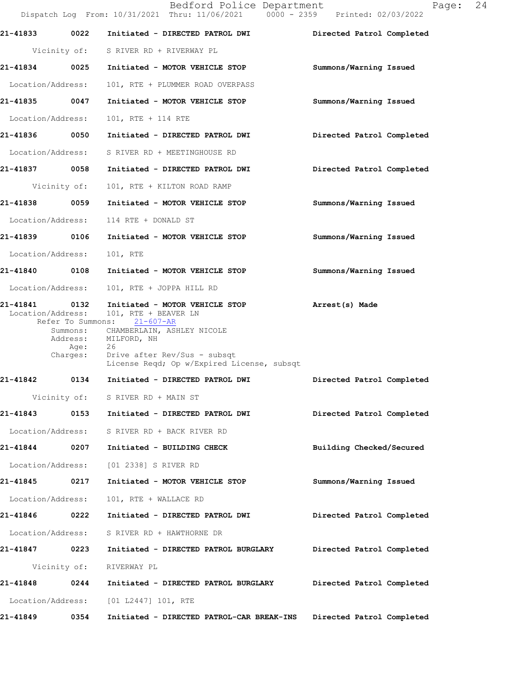|                               |                                      | Bedford Police Department<br>Dispatch Log From: 10/31/2021 Thru: 11/06/2021 0000 - 2359 Printed: 02/03/2022                                                                                                                     | 24<br>Page:               |
|-------------------------------|--------------------------------------|---------------------------------------------------------------------------------------------------------------------------------------------------------------------------------------------------------------------------------|---------------------------|
| 21-41833                      | 0022                                 | Initiated - DIRECTED PATROL DWI                                                                                                                                                                                                 | Directed Patrol Completed |
|                               |                                      | Vicinity of: S RIVER RD + RIVERWAY PL                                                                                                                                                                                           |                           |
| 21-41834                      | 0025                                 | Initiated - MOTOR VEHICLE STOP                                                                                                                                                                                                  | Summons/Warning Issued    |
| Location/Address:             |                                      | 101, RTE + PLUMMER ROAD OVERPASS                                                                                                                                                                                                |                           |
| 21-41835                      | 0047                                 | Initiated - MOTOR VEHICLE STOP                                                                                                                                                                                                  | Summons/Warning Issued    |
| Location/Address:             |                                      | 101, RTE + 114 RTE                                                                                                                                                                                                              |                           |
| 21-41836                      | 0050                                 | Initiated - DIRECTED PATROL DWI                                                                                                                                                                                                 | Directed Patrol Completed |
| Location/Address:             |                                      | S RIVER RD + MEETINGHOUSE RD                                                                                                                                                                                                    |                           |
| 21-41837 0058                 |                                      | Initiated - DIRECTED PATROL DWI                                                                                                                                                                                                 | Directed Patrol Completed |
|                               | Vicinity of:                         | 101, RTE + KILTON ROAD RAMP                                                                                                                                                                                                     |                           |
| 21-41838 0059                 |                                      | Initiated - MOTOR VEHICLE STOP                                                                                                                                                                                                  | Summons/Warning Issued    |
| Location/Address:             |                                      | 114 RTE + DONALD ST                                                                                                                                                                                                             |                           |
| 21-41839                      | 0106                                 | Initiated - MOTOR VEHICLE STOP                                                                                                                                                                                                  | Summons/Warning Issued    |
| Location/Address:             |                                      | 101, RTE                                                                                                                                                                                                                        |                           |
| 21-41840 0108                 |                                      | Initiated - MOTOR VEHICLE STOP                                                                                                                                                                                                  | Summons/Warning Issued    |
| Location/Address:             |                                      | 101, RTE + JOPPA HILL RD                                                                                                                                                                                                        |                           |
| 21-41841<br>Location/Address: | 0132<br>Address:<br>Age:<br>Charges: | Initiated - MOTOR VEHICLE STOP<br>101, RTE + BEAVER LN<br>Refer To Summons: 21-607-AR<br>Summons: CHAMBERLAIN, ASHLEY NICOLE<br>MILFORD, NH<br>26<br>Drive after Rev/Sus - subsqt<br>License Reqd; Op w/Expired License, subsqt | Arrest(s) Made            |
| 21-41842                      | 0134                                 | Initiated - DIRECTED PATROL DWI                                                                                                                                                                                                 | Directed Patrol Completed |
|                               |                                      | Vicinity of: S RIVER RD + MAIN ST                                                                                                                                                                                               |                           |
| 21-41843                      | 0153                                 | Initiated - DIRECTED PATROL DWI                                                                                                                                                                                                 | Directed Patrol Completed |
| Location/Address:             |                                      | S RIVER RD + BACK RIVER RD                                                                                                                                                                                                      |                           |
| 21-41844                      | 0207                                 | Initiated - BUILDING CHECK                                                                                                                                                                                                      | Building Checked/Secured  |
| Location/Address:             |                                      | [01 2338] S RIVER RD                                                                                                                                                                                                            |                           |
| 21-41845                      | 0217                                 | Initiated - MOTOR VEHICLE STOP                                                                                                                                                                                                  | Summons/Warning Issued    |
| Location/Address:             |                                      | 101, RTE + WALLACE RD                                                                                                                                                                                                           |                           |
| 21-41846 0222                 |                                      | Initiated - DIRECTED PATROL DWI                                                                                                                                                                                                 | Directed Patrol Completed |
| Location/Address:             |                                      | S RIVER RD + HAWTHORNE DR                                                                                                                                                                                                       |                           |
| 21-41847                      | 0223                                 | Initiated - DIRECTED PATROL BURGLARY                                                                                                                                                                                            | Directed Patrol Completed |
|                               | Vicinity of:                         | RIVERWAY PL                                                                                                                                                                                                                     |                           |
| 21-41848                      | 0244                                 | Initiated - DIRECTED PATROL BURGLARY                                                                                                                                                                                            | Directed Patrol Completed |
| Location/Address:             |                                      | [01 L2447] 101, RTE                                                                                                                                                                                                             |                           |
| 21-41849                      | 0354                                 | Initiated - DIRECTED PATROL-CAR BREAK-INS                                                                                                                                                                                       | Directed Patrol Completed |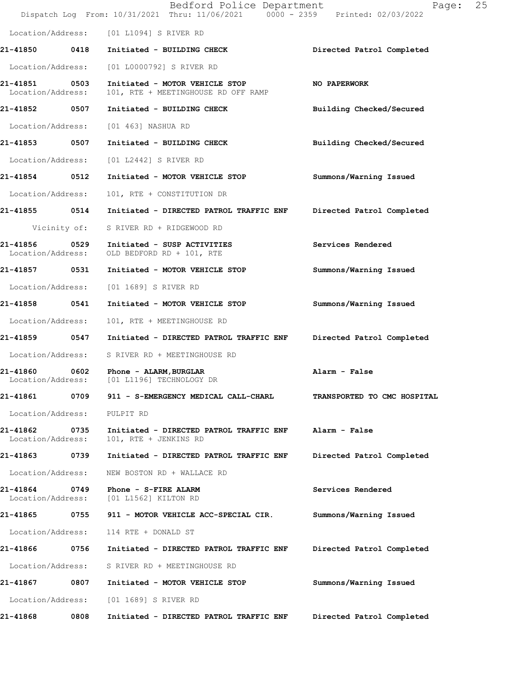|                                    |              | Bedford Police Department<br>Dispatch Log From: 10/31/2021 Thru: 11/06/2021 0000 - 2359 Printed: 02/03/2022 | Page:                       | 25 |
|------------------------------------|--------------|-------------------------------------------------------------------------------------------------------------|-----------------------------|----|
|                                    |              | Location/Address: [01 L1094] S RIVER RD                                                                     |                             |    |
| 21-41850 0418                      |              | Initiated - BUILDING CHECK                                                                                  | Directed Patrol Completed   |    |
| Location/Address:                  |              | [01 L0000792] S RIVER RD                                                                                    |                             |    |
| 21-41851 0503<br>Location/Address: |              | Initiated - MOTOR VEHICLE STOP<br>101, RTE + MEETINGHOUSE RD OFF RAMP                                       | NO PAPERWORK                |    |
| 21-41852 0507                      |              | Initiated - BUILDING CHECK                                                                                  | Building Checked/Secured    |    |
| Location/Address:                  |              | [01 463] NASHUA RD                                                                                          |                             |    |
| 21-41853 0507                      |              | Initiated - BUILDING CHECK                                                                                  | Building Checked/Secured    |    |
| Location/Address:                  |              | [01 L2442] S RIVER RD                                                                                       |                             |    |
| 21-41854 0512                      |              | Initiated - MOTOR VEHICLE STOP                                                                              | Summons/Warning Issued      |    |
| Location/Address:                  |              | 101, RTE + CONSTITUTION DR                                                                                  |                             |    |
| 21-41855 0514                      |              | Initiated - DIRECTED PATROL TRAFFIC ENF                                                                     | Directed Patrol Completed   |    |
|                                    | Vicinity of: | S RIVER RD + RIDGEWOOD RD                                                                                   |                             |    |
| 21-41856<br>Location/Address:      | 0529         | Initiated - SUSP ACTIVITIES<br>OLD BEDFORD RD + 101, RTE                                                    | Services Rendered           |    |
| 21-41857 0531                      |              | Initiated - MOTOR VEHICLE STOP                                                                              | Summons/Warning Issued      |    |
| Location/Address:                  |              | [01 1689] S RIVER RD                                                                                        |                             |    |
| 21-41858 0541                      |              | Initiated - MOTOR VEHICLE STOP                                                                              | Summons/Warning Issued      |    |
| Location/Address:                  |              | 101, RTE + MEETINGHOUSE RD                                                                                  |                             |    |
| 21-41859 0547                      |              | Initiated - DIRECTED PATROL TRAFFIC ENF                                                                     | Directed Patrol Completed   |    |
| Location/Address:                  |              | S RIVER RD + MEETINGHOUSE RD                                                                                |                             |    |
|                                    |              | 21-41860 0602 Phone - ALARM, BURGLAR<br>Location/Address: [01 L1196] TECHNOLOGY DR                          | Alarm - False               |    |
| 21-41861                           | 0709         | 911 - S-EMERGENCY MEDICAL CALL-CHARL                                                                        | TRANSPORTED TO CMC HOSPITAL |    |
| Location/Address:                  |              | PULPIT RD                                                                                                   |                             |    |
| 21-41862<br>Location/Address:      | 0735         | Initiated - DIRECTED PATROL TRAFFIC ENF<br>101, RTE + JENKINS RD                                            | Alarm - False               |    |
| 21-41863                           | 0739         | Initiated - DIRECTED PATROL TRAFFIC ENF                                                                     | Directed Patrol Completed   |    |
| Location/Address:                  |              | NEW BOSTON RD + WALLACE RD                                                                                  |                             |    |
| 21-41864<br>Location/Address:      | 0749         | Phone - S-FIRE ALARM<br>[01 L1562] KILTON RD                                                                | Services Rendered           |    |
| 21-41865                           | 0755         | 911 - MOTOR VEHICLE ACC-SPECIAL CIR.                                                                        | Summons/Warning Issued      |    |
| Location/Address:                  |              | 114 RTE + DONALD ST                                                                                         |                             |    |
| 21-41866                           | 0756         | Initiated - DIRECTED PATROL TRAFFIC ENF                                                                     | Directed Patrol Completed   |    |
| Location/Address:                  |              | S RIVER RD + MEETINGHOUSE RD                                                                                |                             |    |
| 21-41867                           | 0807         | Initiated - MOTOR VEHICLE STOP                                                                              | Summons/Warning Issued      |    |
| Location/Address:                  |              | [01 1689] S RIVER RD                                                                                        |                             |    |
| 21-41868                           | 0808         | Initiated - DIRECTED PATROL TRAFFIC ENF                                                                     | Directed Patrol Completed   |    |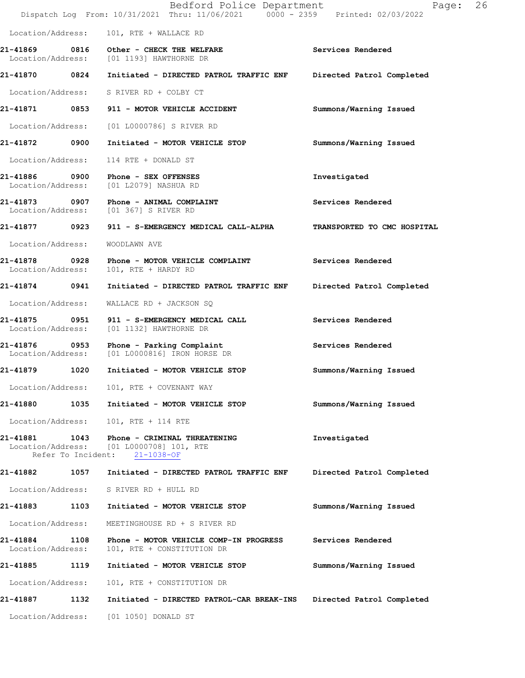|                                    |                            | Bedford Police Department<br>Dispatch Log From: 10/31/2021 Thru: 11/06/2021 0000 - 2359 Printed: 02/03/2022 | Page:                       | 26 |
|------------------------------------|----------------------------|-------------------------------------------------------------------------------------------------------------|-----------------------------|----|
| Location/Address:                  |                            | 101, RTE + WALLACE RD                                                                                       |                             |    |
|                                    |                            | 21-41869 0816 Other - CHECK THE WELFARE<br>Location/Address: [01 1193] HAWTHORNE DR                         | Services Rendered           |    |
| 21-41870 0824                      |                            | Initiated - DIRECTED PATROL TRAFFIC ENF                                                                     | Directed Patrol Completed   |    |
|                                    |                            | Location/Address: S RIVER RD + COLBY CT                                                                     |                             |    |
|                                    |                            |                                                                                                             | Summons/Warning Issued      |    |
| Location/Address:                  |                            | [01 L0000786] S RIVER RD                                                                                    |                             |    |
| 21-41872 0900                      |                            | Initiated - MOTOR VEHICLE STOP                                                                              | Summons/Warning Issued      |    |
| Location/Address:                  |                            | 114 RTE + DONALD ST                                                                                         |                             |    |
|                                    |                            | 21-41886 0900 Phone - SEX OFFENSES<br>Location/Address: [01 L2079] NASHUA RD                                | Investigated                |    |
|                                    |                            | 21-41873 0907 Phone - ANIMAL COMPLAINT<br>Location/Address: [01 367] S RIVER RD                             | Services Rendered           |    |
| 21-41877 0923                      |                            | 911 - S-EMERGENCY MEDICAL CALL-ALPHA                                                                        | TRANSPORTED TO CMC HOSPITAL |    |
| Location/Address:                  |                            | WOODLAWN AVE                                                                                                |                             |    |
| 21-41878 0928<br>Location/Address: |                            | Phone - MOTOR VEHICLE COMPLAINT<br>101, RTE + HARDY RD                                                      | Services Rendered           |    |
| 21-41874 0941                      |                            | Initiated - DIRECTED PATROL TRAFFIC ENF                                                                     | Directed Patrol Completed   |    |
| Location/Address:                  |                            | WALLACE RD + JACKSON SQ                                                                                     |                             |    |
| Location/Address:                  |                            | 21-41875 0951 911 - S-EMERGENCY MEDICAL CALL<br>[01 1132] HAWTHORNE DR                                      | Services Rendered           |    |
|                                    |                            | 21-41876 0953 Phone - Parking Complaint<br>Location/Address: [01 L0000816] IRON HORSE DR                    | Services Rendered           |    |
| 21-41879                           | 1020                       | Initiated - MOTOR VEHICLE STOP                                                                              | Summons/Warning Issued      |    |
| Location/Address:                  |                            | 101, RTE + COVENANT WAY                                                                                     |                             |    |
| 21-41880                           | 1035                       | Initiated - MOTOR VEHICLE STOP                                                                              | Summons/Warning Issued      |    |
| Location/Address:                  |                            | 101, RTE + 114 RTE                                                                                          |                             |    |
| 21-41881                           | 1043<br>Refer To Incident: | Phone - CRIMINAL THREATENING<br>Location/Address: [01 L0000708] 101, RTE<br>$21 - 1038 - OF$                | Investigated                |    |
| 21-41882                           | 1057                       | Initiated - DIRECTED PATROL TRAFFIC ENF                                                                     | Directed Patrol Completed   |    |
| Location/Address:                  |                            | S RIVER RD + HULL RD                                                                                        |                             |    |
| 21-41883                           | 1103                       | Initiated - MOTOR VEHICLE STOP                                                                              | Summons/Warning Issued      |    |
| Location/Address:                  |                            | MEETINGHOUSE RD + S RIVER RD                                                                                |                             |    |
| 21-41884<br>Location/Address:      | 1108                       | Phone - MOTOR VEHICLE COMP-IN PROGRESS<br>101, RTE + CONSTITUTION DR                                        | Services Rendered           |    |
| 21-41885                           | 1119                       | Initiated - MOTOR VEHICLE STOP                                                                              | Summons/Warning Issued      |    |
| Location/Address:                  |                            | 101, RTE + CONSTITUTION DR                                                                                  |                             |    |
| 21-41887                           | 1132                       | Initiated - DIRECTED PATROL-CAR BREAK-INS                                                                   | Directed Patrol Completed   |    |
| Location/Address:                  |                            | [01 1050] DONALD ST                                                                                         |                             |    |
|                                    |                            |                                                                                                             |                             |    |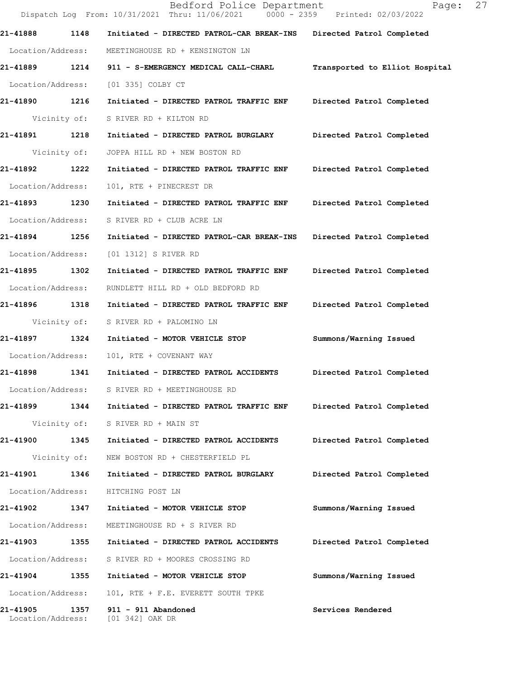|                               |              | Bedford Police Department<br>Dispatch Log From: 10/31/2021 Thru: 11/06/2021 0000 - 2359 Printed: 02/03/2022 | Page:                          | 27 |
|-------------------------------|--------------|-------------------------------------------------------------------------------------------------------------|--------------------------------|----|
| 21-41888                      | 1148         | Initiated - DIRECTED PATROL-CAR BREAK-INS                                                                   | Directed Patrol Completed      |    |
| Location/Address:             |              | MEETINGHOUSE RD + KENSINGTON LN                                                                             |                                |    |
| 21-41889 1214                 |              | 911 - S-EMERGENCY MEDICAL CALL-CHARL                                                                        | Transported to Elliot Hospital |    |
| Location/Address:             |              | [01 335] COLBY CT                                                                                           |                                |    |
| 21-41890 1216                 |              | Initiated - DIRECTED PATROL TRAFFIC ENF                                                                     | Directed Patrol Completed      |    |
|                               | Vicinity of: | S RIVER RD + KILTON RD                                                                                      |                                |    |
| 21-41891 1218                 |              | Initiated - DIRECTED PATROL BURGLARY                                                                        | Directed Patrol Completed      |    |
|                               | Vicinity of: | JOPPA HILL RD + NEW BOSTON RD                                                                               |                                |    |
| 21-41892 1222                 |              | Initiated - DIRECTED PATROL TRAFFIC ENF                                                                     | Directed Patrol Completed      |    |
| Location/Address:             |              | 101, RTE + PINECREST DR                                                                                     |                                |    |
| 21-41893                      | 1230         | Initiated - DIRECTED PATROL TRAFFIC ENF                                                                     | Directed Patrol Completed      |    |
| Location/Address:             |              | S RIVER RD + CLUB ACRE LN                                                                                   |                                |    |
| 21-41894                      | 1256         | Initiated - DIRECTED PATROL-CAR BREAK-INS                                                                   | Directed Patrol Completed      |    |
| Location/Address:             |              | [01 1312] S RIVER RD                                                                                        |                                |    |
| 21-41895 1302                 |              | Initiated - DIRECTED PATROL TRAFFIC ENF                                                                     | Directed Patrol Completed      |    |
| Location/Address:             |              | RUNDLETT HILL RD + OLD BEDFORD RD                                                                           |                                |    |
| 21-41896 1318                 |              | Initiated - DIRECTED PATROL TRAFFIC ENF                                                                     | Directed Patrol Completed      |    |
|                               | Vicinity of: | S RIVER RD + PALOMINO LN                                                                                    |                                |    |
| 21-41897                      | 1324         | Initiated - MOTOR VEHICLE STOP                                                                              | Summons/Warning Issued         |    |
| Location/Address:             |              | 101, RTE + COVENANT WAY                                                                                     |                                |    |
| 21-41898                      | 1341         | Initiated - DIRECTED PATROL ACCIDENTS                                                                       | Directed Patrol Completed      |    |
| Location/Address:             |              | S RIVER RD + MEETINGHOUSE RD                                                                                |                                |    |
| 21-41899                      | 1344         | Initiated - DIRECTED PATROL TRAFFIC ENF                                                                     | Directed Patrol Completed      |    |
|                               | Vicinity of: | S RIVER RD + MAIN ST                                                                                        |                                |    |
| 21-41900 1345                 |              | Initiated - DIRECTED PATROL ACCIDENTS                                                                       | Directed Patrol Completed      |    |
|                               | Vicinity of: | NEW BOSTON RD + CHESTERFIELD PL                                                                             |                                |    |
| 21-41901 1346                 |              | Initiated - DIRECTED PATROL BURGLARY                                                                        | Directed Patrol Completed      |    |
| Location/Address:             |              | HITCHING POST LN                                                                                            |                                |    |
| 21-41902                      | 1347         | Initiated - MOTOR VEHICLE STOP                                                                              | Summons/Warning Issued         |    |
| Location/Address:             |              | MEETINGHOUSE RD + S RIVER RD                                                                                |                                |    |
| 21-41903                      | 1355         | Initiated - DIRECTED PATROL ACCIDENTS                                                                       | Directed Patrol Completed      |    |
| Location/Address:             |              | S RIVER RD + MOORES CROSSING RD                                                                             |                                |    |
| 21-41904 1355                 |              | Initiated - MOTOR VEHICLE STOP                                                                              | Summons/Warning Issued         |    |
| Location/Address:             |              | 101, RTE + F.E. EVERETT SOUTH TPKE                                                                          |                                |    |
| 21-41905<br>Location/Address: | 1357         | 911 - 911 Abandoned<br>[01 342] OAK DR                                                                      | Services Rendered              |    |
|                               |              |                                                                                                             |                                |    |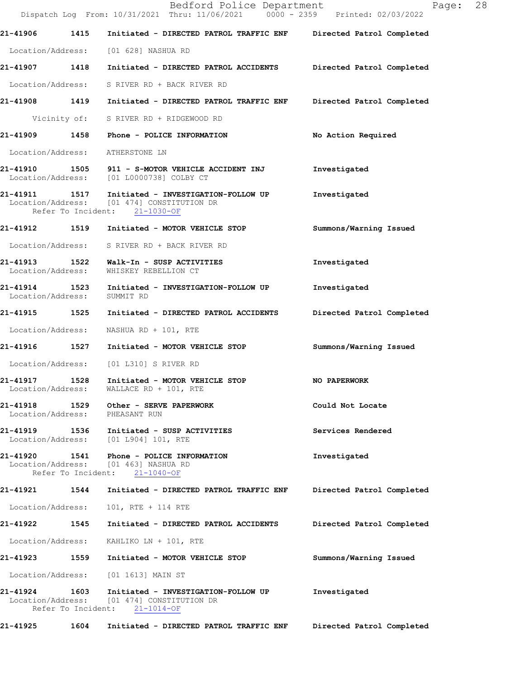|                                            |      | Bedford Police Department<br>Dispatch Log From: 10/31/2021 Thru: 11/06/2021 0000 - 2359 Printed: 02/03/2022                      | 28<br>Page:               |
|--------------------------------------------|------|----------------------------------------------------------------------------------------------------------------------------------|---------------------------|
|                                            |      | 21-41906 1415 Initiated - DIRECTED PATROL TRAFFIC ENF Directed Patrol Completed                                                  |                           |
|                                            |      | Location/Address: [01 628] NASHUA RD                                                                                             |                           |
|                                            |      | 21-41907 1418 Initiated - DIRECTED PATROL ACCIDENTS Directed Patrol Completed                                                    |                           |
|                                            |      | Location/Address: S RIVER RD + BACK RIVER RD                                                                                     |                           |
|                                            |      | 21-41908 1419 Initiated - DIRECTED PATROL TRAFFIC ENF Directed Patrol Completed                                                  |                           |
|                                            |      | Vicinity of: S RIVER RD + RIDGEWOOD RD                                                                                           |                           |
|                                            |      | 21-41909 1458 Phone - POLICE INFORMATION                                                                                         | No Action Required        |
|                                            |      | Location/Address: ATHERSTONE LN                                                                                                  |                           |
|                                            |      | 21-41910 1505 911 - S-MOTOR VEHICLE ACCIDENT INJ<br>Location/Address: [01 L0000738] COLBY CT                                     | Investigated              |
|                                            |      | 21-41911 1517 Initiated - INVESTIGATION-FOLLOW UP<br>Location/Address: [01 474] CONSTITUTION DR<br>Refer To Incident: 21-1030-OF | Investigated              |
|                                            |      | 21-41912 1519 Initiated - MOTOR VEHICLE STOP                                                                                     | Summons/Warning Issued    |
|                                            |      | Location/Address: S RIVER RD + BACK RIVER RD                                                                                     |                           |
| Location/Address:                          |      | 21-41913 1522 Walk-In - SUSP ACTIVITIES<br>WHISKEY REBELLION CT                                                                  | Investigated              |
| Location/Address: SUMMIT RD                |      | 21-41914 1523 Initiated - INVESTIGATION-FOLLOW UP                                                                                | Investigated              |
|                                            |      | 21-41915 1525 Initiated - DIRECTED PATROL ACCIDENTS                                                                              | Directed Patrol Completed |
| Location/Address:                          |      | NASHUA RD + 101, RTE                                                                                                             |                           |
|                                            |      |                                                                                                                                  | Summons/Warning Issued    |
|                                            |      | Location/Address: [01 L310] S RIVER RD                                                                                           |                           |
| 21-41917                                   | 1528 | Initiated - MOTOR VEHICLE STOP<br>Location/Address: WALLACE RD + 101, RTE                                                        | <b>NO PAPERWORK</b>       |
| 21-41918<br>Location/Address: PHEASANT RUN |      | 1529 Other - SERVE PAPERWORK                                                                                                     | Could Not Locate          |
|                                            |      | 21-41919 1536 Initiated - SUSP ACTIVITIES<br>Location/Address: [01 L904] 101, RTE                                                | Services Rendered         |
|                                            |      | 21-41920  1541  Phone - POLICE INFORMATION<br>Location/Address: [01 463] NASHUA RD<br>Refer To Incident: 21-1040-OF              | Investigated              |
| 21-41921                                   |      | 1544 Initiated - DIRECTED PATROL TRAFFIC ENF                                                                                     | Directed Patrol Completed |
| Location/Address:                          |      | 101, RTE + 114 RTE                                                                                                               |                           |
|                                            |      | 21-41922 1545 Initiated - DIRECTED PATROL ACCIDENTS                                                                              | Directed Patrol Completed |
| Location/Address:                          |      | KAHLIKO LN + 101, RTE                                                                                                            |                           |
|                                            |      |                                                                                                                                  | Summons/Warning Issued    |
|                                            |      | Location/Address: [01 1613] MAIN ST                                                                                              |                           |
|                                            |      | 21-41924 1603 Initiated - INVESTIGATION-FOLLOW UP<br>Location/Address: [01 474] CONSTITUTION DR<br>Refer To Incident: 21-1014-OF | Investigated              |
| 21-41925 1604                              |      | Initiated - DIRECTED PATROL TRAFFIC ENF                                                                                          | Directed Patrol Completed |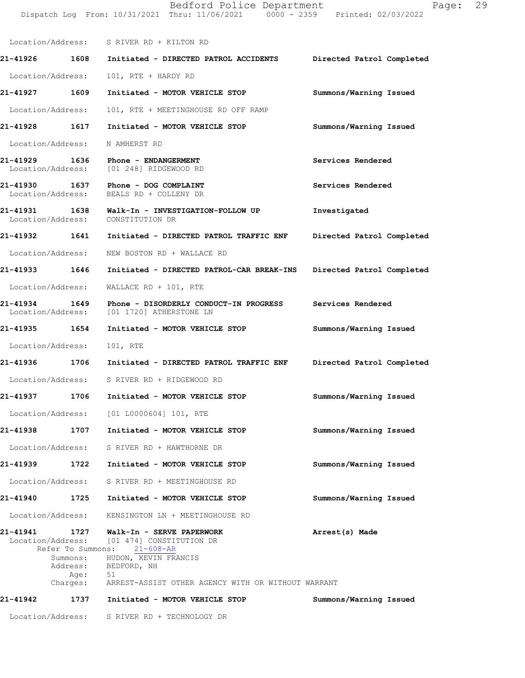|                                    |                                                   | Dispatch Log From: 10/31/2021 Thru: 11/06/2021 0000 - 2359 Printed: 02/03/2022                                                                 |                           |
|------------------------------------|---------------------------------------------------|------------------------------------------------------------------------------------------------------------------------------------------------|---------------------------|
|                                    |                                                   | Location/Address: S RIVER RD + KILTON RD                                                                                                       |                           |
|                                    |                                                   | 21-41926 1608 Initiated - DIRECTED PATROL ACCIDENTS Directed Patrol Completed                                                                  |                           |
| Location/Address:                  |                                                   | 101, RTE + HARDY RD                                                                                                                            |                           |
| 21-41927 1609                      |                                                   | Initiated - MOTOR VEHICLE STOP                                                                                                                 | Summons/Warning Issued    |
| Location/Address:                  |                                                   | 101, RTE + MEETINGHOUSE RD OFF RAMP                                                                                                            |                           |
|                                    |                                                   | 21-41928 1617 Initiated - MOTOR VEHICLE STOP                                                                                                   | Summons/Warning Issued    |
|                                    |                                                   | Location/Address: N AMHERST RD                                                                                                                 |                           |
|                                    |                                                   | 21-41929 1636 Phone - ENDANGERMENT<br>Location/Address: [01 248] RIDGEWOOD RD                                                                  | Services Rendered         |
|                                    |                                                   | 21-41930 1637 Phone - DOG COMPLAINT<br>Location/Address: BEALS RD + COLLENY DR                                                                 | Services Rendered         |
|                                    |                                                   | 21-41931  1638  Walk-In - INVESTIGATION-FOLLOW UP<br>Location/Address: CONSTITUTION DR                                                         | Investigated              |
|                                    |                                                   | 21-41932 1641 Initiated - DIRECTED PATROL TRAFFIC ENF                                                                                          | Directed Patrol Completed |
| Location/Address:                  |                                                   | NEW BOSTON RD + WALLACE RD                                                                                                                     |                           |
| 21-41933 1646                      |                                                   | Initiated - DIRECTED PATROL-CAR BREAK-INS                                                                                                      | Directed Patrol Completed |
| Location/Address:                  |                                                   | WALLACE RD + 101, RTE                                                                                                                          |                           |
| 21-41934 1649<br>Location/Address: |                                                   | Phone - DISORDERLY CONDUCT-IN PROGRESS Services Rendered<br>[01 1720] ATHERSTONE LN                                                            |                           |
| 21-41935 1654                      |                                                   | Initiated - MOTOR VEHICLE STOP                                                                                                                 | Summons/Warning Issued    |
| Location/Address:                  |                                                   | 101, RTE                                                                                                                                       |                           |
|                                    |                                                   | 21-41936 1706 Initiated - DIRECTED PATROL TRAFFIC ENF                                                                                          | Directed Patrol Completed |
|                                    |                                                   | Location/Address: S RIVER RD + RIDGEWOOD RD                                                                                                    |                           |
|                                    |                                                   | 21-41937 1706 Initiated - MOTOR VEHICLE STOP                                                                                                   | Summons/Warning Issued    |
|                                    |                                                   | Location/Address: [01 L0000604] 101, RTE                                                                                                       |                           |
| 21-41938                           | 1707                                              | Initiated - MOTOR VEHICLE STOP                                                                                                                 | Summons/Warning Issued    |
| Location/Address:                  |                                                   | S RIVER RD + HAWTHORNE DR                                                                                                                      |                           |
| 21-41939 1722                      |                                                   | Initiated - MOTOR VEHICLE STOP                                                                                                                 | Summons/Warning Issued    |
| Location/Address:                  |                                                   | S RIVER RD + MEETINGHOUSE RD                                                                                                                   |                           |
| 21-41940                           | 1725                                              | Initiated - MOTOR VEHICLE STOP                                                                                                                 | Summons/Warning Issued    |
| Location/Address:                  |                                                   | KENSINGTON LN + MEETINGHOUSE RD                                                                                                                |                           |
| Location/Address:                  | Refer To Summons:<br>Summons:<br>Address:<br>Age: | 21-41941        1727     Walk-In - SERVE PAPERWORK<br>[01 474] CONSTITUTION DR<br>$21 - 608 - AR$<br>HUDON, KEVIN FRANCIS<br>BEDFORD, NH<br>51 | Arrest(s) Made            |
|                                    | Charges:                                          | ARREST-ASSIST OTHER AGENCY WITH OR WITHOUT WARRANT                                                                                             |                           |
| 21-41942                           | 1737                                              | Initiated - MOTOR VEHICLE STOP                                                                                                                 | Summons/Warning Issued    |

Bedford Police Department Fage: 29

Location/Address: S RIVER RD + TECHNOLOGY DR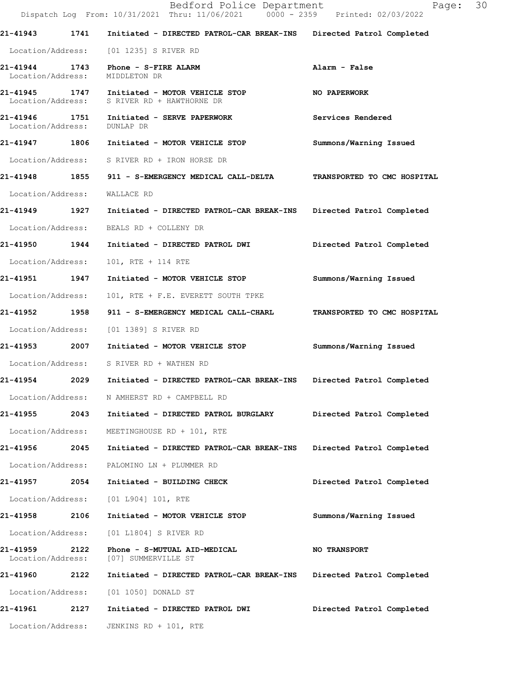|                                    |      | Bedford Police Department<br>Dispatch Log From: 10/31/2021 Thru: 11/06/2021 0000 - 2359 Printed: 02/03/2022 | Page:                       | 30 |
|------------------------------------|------|-------------------------------------------------------------------------------------------------------------|-----------------------------|----|
|                                    |      | 21-41943 1741 Initiated - DIRECTED PATROL-CAR BREAK-INS Directed Patrol Completed                           |                             |    |
|                                    |      | Location/Address: [01 1235] S RIVER RD                                                                      |                             |    |
| Location/Address:                  |      | 21-41944 1743 Phone - S-FIRE ALARM<br>MIDDLETON DR                                                          | Alarm - False               |    |
|                                    |      | 21-41945 1747 Initiated - MOTOR VEHICLE STOP<br>Location/Address: S RIVER RD + HAWTHORNE DR                 | <b>NO PAPERWORK</b>         |    |
| 21-41946 1751<br>Location/Address: |      | Initiated - SERVE PAPERWORK<br>DUNLAP DR                                                                    | Services Rendered           |    |
|                                    |      | 21-41947 1806 Initiated - MOTOR VEHICLE STOP                                                                | Summons/Warning Issued      |    |
|                                    |      | Location/Address: S RIVER RD + IRON HORSE DR                                                                |                             |    |
|                                    |      | 21-41948 1855 911 - S-EMERGENCY MEDICAL CALL-DELTA                                                          | TRANSPORTED TO CMC HOSPITAL |    |
| Location/Address: WALLACE RD       |      |                                                                                                             |                             |    |
|                                    |      | 21-41949 1927 Initiated - DIRECTED PATROL-CAR BREAK-INS Directed Patrol Completed                           |                             |    |
|                                    |      | Location/Address: BEALS RD + COLLENY DR                                                                     |                             |    |
|                                    |      | 21-41950 1944 Initiated - DIRECTED PATROL DWI                                                               | Directed Patrol Completed   |    |
| Location/Address:                  |      | 101, RTE + 114 RTE                                                                                          |                             |    |
| 21-41951 1947                      |      | Initiated - MOTOR VEHICLE STOP                                                                              | Summons/Warning Issued      |    |
| Location/Address:                  |      | 101, RTE + F.E. EVERETT SOUTH TPKE                                                                          |                             |    |
|                                    |      |                                                                                                             | TRANSPORTED TO CMC HOSPITAL |    |
| Location/Address:                  |      | [01 1389] S RIVER RD                                                                                        |                             |    |
|                                    |      | 21-41953  2007  Initiated - MOTOR VEHICLE STOP                                                              | Summons/Warning Issued      |    |
|                                    |      | Location/Address: S RIVER RD + WATHEN RD                                                                    |                             |    |
| 21-41954                           | 2029 | Initiated - DIRECTED PATROL-CAR BREAK-INS                                                                   | Directed Patrol Completed   |    |
| Location/Address:                  |      | N AMHERST RD + CAMPBELL RD                                                                                  |                             |    |
| 21-41955                           | 2043 | Initiated - DIRECTED PATROL BURGLARY                                                                        | Directed Patrol Completed   |    |
| Location/Address:                  |      | MEETINGHOUSE RD + 101, RTE                                                                                  |                             |    |
| 21-41956                           | 2045 | Initiated - DIRECTED PATROL-CAR BREAK-INS                                                                   | Directed Patrol Completed   |    |
| Location/Address:                  |      | PALOMINO LN + PLUMMER RD                                                                                    |                             |    |
| 21-41957                           | 2054 | Initiated - BUILDING CHECK                                                                                  | Directed Patrol Completed   |    |
| Location/Address:                  |      | [01 L904] 101, RTE                                                                                          |                             |    |
| 21-41958                           | 2106 | Initiated - MOTOR VEHICLE STOP                                                                              | Summons/Warning Issued      |    |
| Location/Address:                  |      | [01 L1804] S RIVER RD                                                                                       |                             |    |
| 21-41959<br>Location/Address:      | 2122 | Phone - S-MUTUAL AID-MEDICAL<br>[07] SUMMERVILLE ST                                                         | <b>NO TRANSPORT</b>         |    |
| <b>21-41960</b>                    | 2122 | Initiated - DIRECTED PATROL-CAR BREAK-INS                                                                   | Directed Patrol Completed   |    |
| Location/Address:                  |      | [01 1050] DONALD ST                                                                                         |                             |    |
| 21-41961                           | 2127 | Initiated - DIRECTED PATROL DWI                                                                             | Directed Patrol Completed   |    |
| Location/Address:                  |      | JENKINS RD + 101, RTE                                                                                       |                             |    |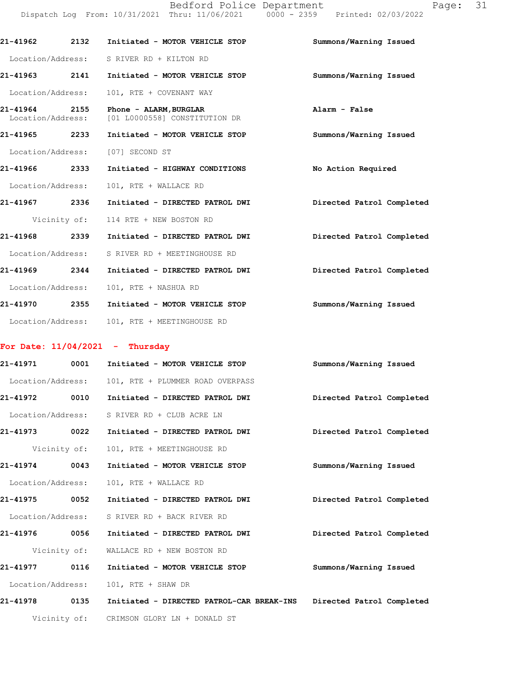Bedford Police Department Fage: 31 Dispatch Log From: 10/31/2021 Thru: 11/06/2021 0000 - 2359 Printed: 02/03/2022

| 21-41962 2132                      | Initiated - MOTOR VEHICLE STOP                          | Summons/Warning Issued    |
|------------------------------------|---------------------------------------------------------|---------------------------|
|                                    | Location/Address: S RIVER RD + KILTON RD                |                           |
| 21-41963 2141                      | Initiated - MOTOR VEHICLE STOP                          | Summons/Warning Issued    |
| Location/Address:                  | 101, RTE + COVENANT WAY                                 |                           |
| 21-41964 2155<br>Location/Address: | Phone - ALARM, BURGLAR<br>[01 L0000558] CONSTITUTION DR | Alarm - False             |
| 21-41965 2233                      | Initiated - MOTOR VEHICLE STOP                          | Summons/Warning Issued    |
|                                    | Location/Address: [07] SECOND ST                        |                           |
| 21-41966 2333                      | Initiated - HIGHWAY CONDITIONS                          | No Action Required        |
| Location/Address:                  | 101, RTE + WALLACE RD                                   |                           |
| 21-41967 2336                      | Initiated - DIRECTED PATROL DWI                         | Directed Patrol Completed |
|                                    | Vicinity of: 114 RTE + NEW BOSTON RD                    |                           |
| 21-41968 2339                      | Initiated - DIRECTED PATROL DWI                         | Directed Patrol Completed |
| Location/Address:                  | S RIVER RD + MEETINGHOUSE RD                            |                           |
| 21-41969 2344                      | Initiated - DIRECTED PATROL DWI                         | Directed Patrol Completed |
| Location/Address:                  | 101, RTE + NASHUA RD                                    |                           |
| 21-41970 2355                      | Initiated - MOTOR VEHICLE STOP                          | Summons/Warning Issued    |
| Location/Address:                  | 101, RTE + MEETINGHOUSE RD                              |                           |

### **For Date: 11/04/2021 - Thursday**

| 21-41971          | 0001         | Initiated - MOTOR VEHICLE STOP            | Summons/Warning Issued    |
|-------------------|--------------|-------------------------------------------|---------------------------|
| Location/Address: |              | 101, RTE + PLUMMER ROAD OVERPASS          |                           |
| 21-41972          | 0010         | Initiated - DIRECTED PATROL DWI           | Directed Patrol Completed |
| Location/Address: |              | S RIVER RD + CLUB ACRE LN                 |                           |
| 21-41973          | 0022         | Initiated - DIRECTED PATROL DWI           | Directed Patrol Completed |
|                   | Vicinity of: | 101, RTE + MEETINGHOUSE RD                |                           |
| 21-41974          | 0043         | Initiated - MOTOR VEHICLE STOP            | Summons/Warning Issued    |
| Location/Address: |              | 101, RTE + WALLACE RD                     |                           |
| 21-41975 0052     |              | Initiated - DIRECTED PATROL DWI           | Directed Patrol Completed |
| Location/Address: |              | S RIVER RD + BACK RIVER RD                |                           |
| 21-41976          | 0056         | Initiated - DIRECTED PATROL DWI           | Directed Patrol Completed |
|                   | Vicinity of: | WALLACE RD + NEW BOSTON RD                |                           |
| 21-41977          | 0116         | Initiated - MOTOR VEHICLE STOP            | Summons/Warning Issued    |
| Location/Address: |              | 101, RTE + SHAW DR                        |                           |
| 21-41978          | 0135         | Initiated - DIRECTED PATROL-CAR BREAK-INS | Directed Patrol Completed |
|                   |              | Vicinity of: CRIMSON GLORY LN + DONALD ST |                           |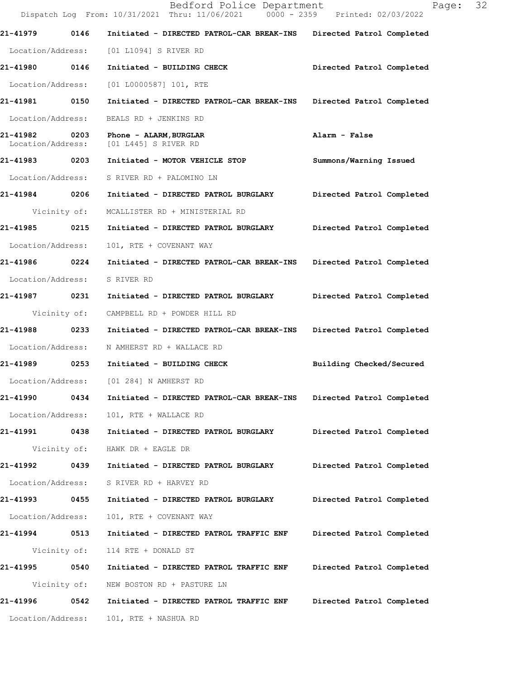Bedford Police Department Fage: 32 Dispatch Log From: 10/31/2021 Thru: 11/06/2021 0000 - 2359 Printed: 02/03/2022 **21-41979 0146 Initiated - DIRECTED PATROL-CAR BREAK-INS Directed Patrol Completed**  Location/Address: [01 L1094] S RIVER RD **21-41980 0146 Initiated - BUILDING CHECK Directed Patrol Completed**  Location/Address: [01 L0000587] 101, RTE **21-41981 0150 Initiated - DIRECTED PATROL-CAR BREAK-INS Directed Patrol Completed**  Location/Address: BEALS RD + JENKINS RD **21-41982 0203 Phone - ALARM,BURGLAR Alarm - False**  Location/Address: [01 L445] S RIVER RD **21-41983 0203 Initiated - MOTOR VEHICLE STOP Summons/Warning Issued**  Location/Address: S RIVER RD + PALOMINO LN **21-41984 0206 Initiated - DIRECTED PATROL BURGLARY Directed Patrol Completed**  Vicinity of: MCALLISTER RD + MINISTERIAL RD **21-41985 0215 Initiated - DIRECTED PATROL BURGLARY Directed Patrol Completed**  Location/Address: 101, RTE + COVENANT WAY **21-41986 0224 Initiated - DIRECTED PATROL-CAR BREAK-INS Directed Patrol Completed**  Location/Address: S RIVER RD **21-41987 0231 Initiated - DIRECTED PATROL BURGLARY Directed Patrol Completed**  Vicinity of: CAMPBELL RD + POWDER HILL RD **21-41988 0233 Initiated - DIRECTED PATROL-CAR BREAK-INS Directed Patrol Completed**  Location/Address: N AMHERST RD + WALLACE RD **21-41989 0253 Initiated - BUILDING CHECK Building Checked/Secured**  Location/Address: [01 284] N AMHERST RD **21-41990 0434 Initiated - DIRECTED PATROL-CAR BREAK-INS Directed Patrol Completed**  Location/Address: 101, RTE + WALLACE RD **21-41991 0438 Initiated - DIRECTED PATROL BURGLARY Directed Patrol Completed**  Vicinity of: HAWK DR + EAGLE DR **21-41992 0439 Initiated - DIRECTED PATROL BURGLARY Directed Patrol Completed**  Location/Address: S RIVER RD + HARVEY RD **21-41993 0455 Initiated - DIRECTED PATROL BURGLARY Directed Patrol Completed**  Location/Address: 101, RTE + COVENANT WAY **21-41994 0513 Initiated - DIRECTED PATROL TRAFFIC ENF Directed Patrol Completed**  Vicinity of: 114 RTE + DONALD ST **21-41995 0540 Initiated - DIRECTED PATROL TRAFFIC ENF Directed Patrol Completed**  Vicinity of: NEW BOSTON RD + PASTURE LN **21-41996 0542 Initiated - DIRECTED PATROL TRAFFIC ENF Directed Patrol Completed**  Location/Address: 101, RTE + NASHUA RD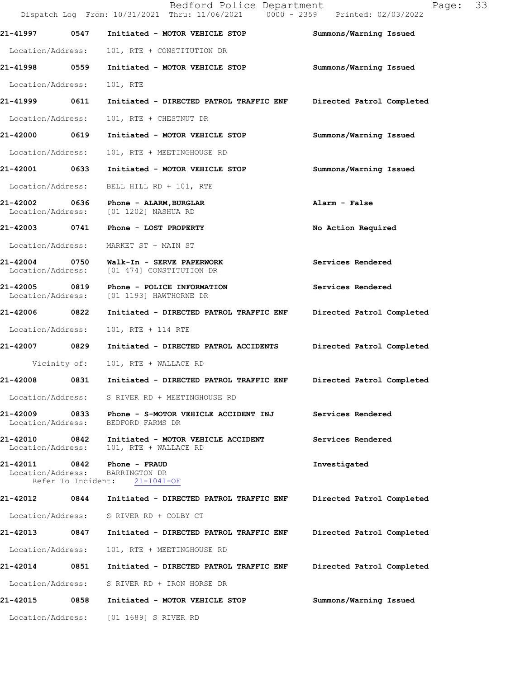|                                    |              | Bedford Police Department<br>Dispatch Log From: 10/31/2021 Thru: 11/06/2021 0000 - 2359 Printed: 02/03/2022 | 33<br>Page:               |
|------------------------------------|--------------|-------------------------------------------------------------------------------------------------------------|---------------------------|
| 21-41997                           | 0547         | Initiated - MOTOR VEHICLE STOP                                                                              | Summons/Warning Issued    |
| Location/Address:                  |              | 101, RTE + CONSTITUTION DR                                                                                  |                           |
| 21-41998 0559                      |              | Initiated - MOTOR VEHICLE STOP                                                                              | Summons/Warning Issued    |
| Location/Address:                  |              | 101, RTE                                                                                                    |                           |
| 21-41999                           | 0611         | Initiated - DIRECTED PATROL TRAFFIC ENF                                                                     | Directed Patrol Completed |
| Location/Address:                  |              | 101, RTE + CHESTNUT DR                                                                                      |                           |
| 21-42000 0619                      |              | Initiated - MOTOR VEHICLE STOP                                                                              | Summons/Warning Issued    |
| Location/Address:                  |              | 101, RTE + MEETINGHOUSE RD                                                                                  |                           |
| 21-42001 0633                      |              | Initiated - MOTOR VEHICLE STOP                                                                              | Summons/Warning Issued    |
| Location/Address:                  |              | BELL HILL RD + 101, RTE                                                                                     |                           |
| 21-42002                           |              | 0636 Phone - ALARM, BURGLAR<br>Location/Address: [01 1202] NASHUA RD                                        | Alarm - False             |
| 21-42003 0741                      |              | Phone - LOST PROPERTY                                                                                       | No Action Required        |
|                                    |              | Location/Address: MARKET ST + MAIN ST                                                                       |                           |
| Location/Address:                  |              | 21-42004 0750 Walk-In - SERVE PAPERWORK<br>[01 474] CONSTITUTION DR                                         | Services Rendered         |
| 21-42005<br>Location/Address:      | 0819         | Phone - POLICE INFORMATION<br>[01 1193] HAWTHORNE DR                                                        | Services Rendered         |
| 21-42006 0822                      |              | Initiated - DIRECTED PATROL TRAFFIC ENF                                                                     | Directed Patrol Completed |
| Location/Address:                  |              | 101, RTE + 114 RTE                                                                                          |                           |
| 21-42007 0829                      |              | Initiated - DIRECTED PATROL ACCIDENTS                                                                       | Directed Patrol Completed |
|                                    | Vicinity of: | 101, RTE + WALLACE RD                                                                                       |                           |
| 21-42008                           | 0831         | Initiated - DIRECTED PATROL TRAFFIC ENF                                                                     | Directed Patrol Completed |
|                                    |              | Location/Address: S RIVER RD + MEETINGHOUSE RD                                                              |                           |
| Location/Address:                  |              | 21-42009 0833 Phone - S-MOTOR VEHICLE ACCIDENT INJ<br>BEDFORD FARMS DR                                      | Services Rendered         |
| 21-42010 0842<br>Location/Address: |              | Initiated - MOTOR VEHICLE ACCIDENT<br>101, RTE + WALLACE RD                                                 | Services Rendered         |
| 21-42011<br>Location/Address:      | 0842         | Phone - FRAUD<br>BARRINGTON DR<br>Refer To Incident: 21-1041-OF                                             | Investigated              |
| 21-42012                           | 0844         | Initiated - DIRECTED PATROL TRAFFIC ENF                                                                     | Directed Patrol Completed |
|                                    |              | Location/Address: S RIVER RD + COLBY CT                                                                     |                           |
| 21-42013                           | 0847         | Initiated - DIRECTED PATROL TRAFFIC ENF                                                                     | Directed Patrol Completed |
| Location/Address:                  |              | 101, RTE + MEETINGHOUSE RD                                                                                  |                           |
| 21-42014 0851                      |              | Initiated - DIRECTED PATROL TRAFFIC ENF                                                                     | Directed Patrol Completed |
| Location/Address:                  |              | S RIVER RD + IRON HORSE DR                                                                                  |                           |
| 21-42015                           | 0858         | Initiated - MOTOR VEHICLE STOP                                                                              | Summons/Warning Issued    |
|                                    |              | Location/Address: [01 1689] S RIVER RD                                                                      |                           |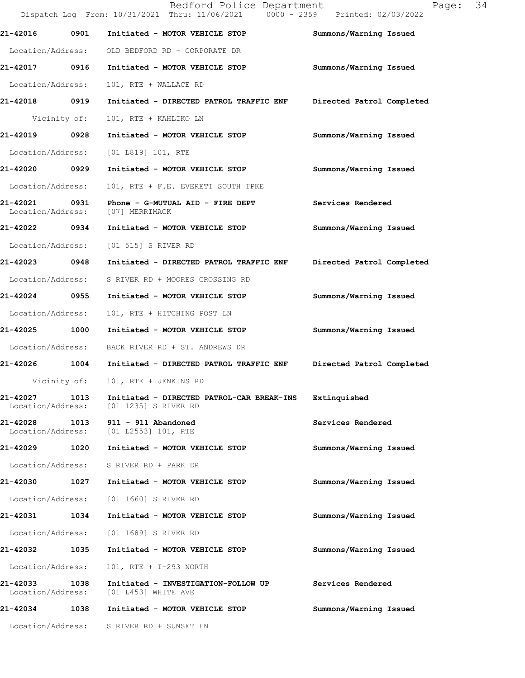|                               |      | Bedford Police Department<br>Dispatch Log From: 10/31/2021 Thru: 11/06/2021 0000 - 2359 Printed: 02/03/2022 | Page:                     | 34 |
|-------------------------------|------|-------------------------------------------------------------------------------------------------------------|---------------------------|----|
| 21-42016                      | 0901 | Initiated - MOTOR VEHICLE STOP                                                                              | Summons/Warning Issued    |    |
| Location/Address:             |      | OLD BEDFORD RD + CORPORATE DR                                                                               |                           |    |
| 21-42017 0916                 |      | Initiated - MOTOR VEHICLE STOP                                                                              | Summons/Warning Issued    |    |
| Location/Address:             |      | 101, RTE + WALLACE RD                                                                                       |                           |    |
| 21-42018 0919                 |      | Initiated - DIRECTED PATROL TRAFFIC ENF                                                                     | Directed Patrol Completed |    |
| Vicinity of:                  |      | 101, RTE + KAHLIKO LN                                                                                       |                           |    |
| 21-42019                      | 0928 | Initiated - MOTOR VEHICLE STOP                                                                              | Summons/Warning Issued    |    |
| Location/Address:             |      | [01 L819] 101, RTE                                                                                          |                           |    |
| 21-42020 0929                 |      | Initiated - MOTOR VEHICLE STOP                                                                              | Summons/Warning Issued    |    |
| Location/Address:             |      | 101, RTE + F.E. EVERETT SOUTH TPKE                                                                          |                           |    |
| 21-42021<br>Location/Address: | 0931 | Phone - G-MUTUAL AID - FIRE DEPT<br>[07] MERRIMACK                                                          | Services Rendered         |    |
| 21-42022                      | 0934 | Initiated - MOTOR VEHICLE STOP                                                                              | Summons/Warning Issued    |    |
| Location/Address:             |      | [01 515] S RIVER RD                                                                                         |                           |    |
| 21-42023 0948                 |      | Initiated - DIRECTED PATROL TRAFFIC ENF                                                                     | Directed Patrol Completed |    |
| Location/Address:             |      | S RIVER RD + MOORES CROSSING RD                                                                             |                           |    |
| 21-42024                      | 0955 | Initiated - MOTOR VEHICLE STOP                                                                              | Summons/Warning Issued    |    |
| Location/Address:             |      | 101, RTE + HITCHING POST LN                                                                                 |                           |    |
| 21-42025                      | 1000 | Initiated - MOTOR VEHICLE STOP                                                                              | Summons/Warning Issued    |    |
| Location/Address:             |      | BACK RIVER RD + ST. ANDREWS DR                                                                              |                           |    |
| 21-42026 1004                 |      | Initiated - DIRECTED PATROL TRAFFIC ENF                                                                     | Directed Patrol Completed |    |
| Vicinity of:                  |      | 101, RTE + JENKINS RD                                                                                       |                           |    |
| 21-42027<br>Location/Address: | 1013 | Initiated - DIRECTED PATROL-CAR BREAK-INS<br>[01 1235] S RIVER RD                                           | Extinquished              |    |
| 21-42028                      | 1013 | $911 - 911$ Abandoned<br>Location/Address: [01 L2553] 101, RTE                                              | Services Rendered         |    |
| 21-42029                      | 1020 | Initiated - MOTOR VEHICLE STOP                                                                              | Summons/Warning Issued    |    |
| Location/Address:             |      | S RIVER RD + PARK DR                                                                                        |                           |    |
| 21-42030                      | 1027 | Initiated - MOTOR VEHICLE STOP                                                                              | Summons/Warning Issued    |    |
| Location/Address:             |      | [01 1660] S RIVER RD                                                                                        |                           |    |
| 21-42031 1034                 |      | Initiated - MOTOR VEHICLE STOP                                                                              | Summons/Warning Issued    |    |
| Location/Address:             |      | [01 1689] S RIVER RD                                                                                        |                           |    |
| 21-42032                      | 1035 | Initiated - MOTOR VEHICLE STOP                                                                              | Summons/Warning Issued    |    |
| Location/Address:             |      | 101, RTE + I-293 NORTH                                                                                      |                           |    |
| 21-42033<br>Location/Address: | 1038 | Initiated - INVESTIGATION-FOLLOW UP<br>[01 L453] WHITE AVE                                                  | Services Rendered         |    |
| 21-42034                      | 1038 | Initiated - MOTOR VEHICLE STOP                                                                              | Summons/Warning Issued    |    |
|                               |      | Location/Address: S RIVER RD + SUNSET LN                                                                    |                           |    |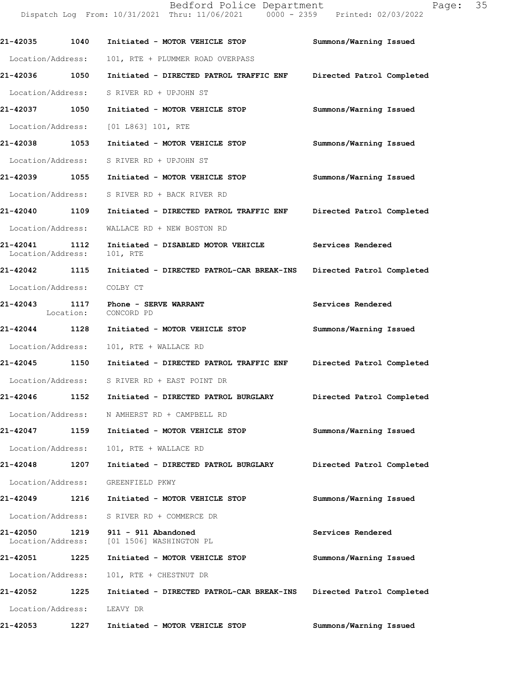Bedford Police Department Page: 35 Dispatch Log From: 10/31/2021 Thru: 11/06/2021 0000 - 2359 Printed: 02/03/2022 **21-42035 1040 Initiated - MOTOR VEHICLE STOP Summons/Warning Issued**  Location/Address: 101, RTE + PLUMMER ROAD OVERPASS **21-42036 1050 Initiated - DIRECTED PATROL TRAFFIC ENF Directed Patrol Completed**  Location/Address: S RIVER RD + UPJOHN ST **21-42037 1050 Initiated - MOTOR VEHICLE STOP Summons/Warning Issued**  Location/Address: [01 L863] 101, RTE **21-42038 1053 Initiated - MOTOR VEHICLE STOP Summons/Warning Issued**  Location/Address: S RIVER RD + UPJOHN ST **21-42039 1055 Initiated - MOTOR VEHICLE STOP Summons/Warning Issued**  Location/Address: S RIVER RD + BACK RIVER RD **21-42040 1109 Initiated - DIRECTED PATROL TRAFFIC ENF Directed Patrol Completed**  Location/Address: WALLACE RD + NEW BOSTON RD

**21-42041 1112 Initiated - DISABLED MOTOR VEHICLE Services Rendered**  Location/Address: 101, RTE

**21-42042 1115 Initiated - DIRECTED PATROL-CAR BREAK-INS Directed Patrol Completed**  Location/Address: COLBY CT

**21-42043 1117 Phone - SERVE WARRANT Services Rendered**  Location: CONCORD PD

**21-42044 1128 Initiated - MOTOR VEHICLE STOP Summons/Warning Issued**  Location/Address: 101, RTE + WALLACE RD

**21-42045 1150 Initiated - DIRECTED PATROL TRAFFIC ENF Directed Patrol Completed**  Location/Address: S RIVER RD + EAST POINT DR

**21-42046 1152 Initiated - DIRECTED PATROL BURGLARY Directed Patrol Completed**  Location/Address: N AMHERST RD + CAMPBELL RD

**21-42047 1159 Initiated - MOTOR VEHICLE STOP Summons/Warning Issued**  Location/Address: 101, RTE + WALLACE RD

**21-42048 1207 Initiated - DIRECTED PATROL BURGLARY Directed Patrol Completed**  Location/Address: GREENFIELD PKWY

**21-42049 1216 Initiated - MOTOR VEHICLE STOP Summons/Warning Issued** 

Location/Address: S RIVER RD + COMMERCE DR

**21-42050 1219 911 - 911 Abandoned Services Rendered**  Location/Address: [01 1506] WASHINGTON PL

**21-42051 1225 Initiated - MOTOR VEHICLE STOP Summons/Warning Issued**  Location/Address: 101, RTE + CHESTNUT DR **21-42052 1225 Initiated - DIRECTED PATROL-CAR BREAK-INS Directed Patrol Completed** 

Location/Address: LEAVY DR

**21-42053 1227 Initiated - MOTOR VEHICLE STOP Summons/Warning Issued**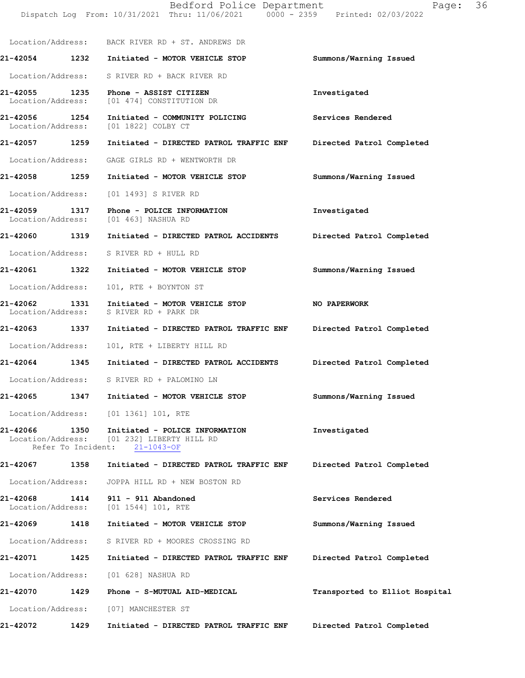|                                                     |      | Bedford Police Department<br>Dispatch Log From: 10/31/2021 Thru: 11/06/2021 0000 - 2359 Printed: 02/03/2022 | 36<br>Page:                    |
|-----------------------------------------------------|------|-------------------------------------------------------------------------------------------------------------|--------------------------------|
|                                                     |      | Location/Address: BACK RIVER RD + ST. ANDREWS DR                                                            |                                |
|                                                     |      | 21-42054 1232 Initiated - MOTOR VEHICLE STOP                                                                | Summons/Warning Issued         |
|                                                     |      | Location/Address: S RIVER RD + BACK RIVER RD                                                                |                                |
| Location/Address:                                   |      | 21-42055 1235 Phone - ASSIST CITIZEN<br>[01 474] CONSTITUTION DR                                            | Investigated                   |
|                                                     |      | 21-42056 1254 Initiated - COMMUNITY POLICING<br>Location/Address: [01 1822] COLBY CT                        | Services Rendered              |
|                                                     |      | 21-42057 1259 Initiated - DIRECTED PATROL TRAFFIC ENF                                                       | Directed Patrol Completed      |
|                                                     |      | Location/Address: GAGE GIRLS RD + WENTWORTH DR                                                              |                                |
| 21-42058 1259                                       |      | Initiated - MOTOR VEHICLE STOP                                                                              | Summons/Warning Issued         |
|                                                     |      | Location/Address: [01 1493] S RIVER RD                                                                      |                                |
| Location/Address:                                   |      | 21-42059 1317 Phone - POLICE INFORMATION<br>[01 463] NASHUA RD                                              | Investigated                   |
|                                                     |      | 21-42060 1319 Initiated - DIRECTED PATROL ACCIDENTS                                                         | Directed Patrol Completed      |
|                                                     |      | Location/Address: S RIVER RD + HULL RD                                                                      |                                |
|                                                     |      | 21-42061 1322 Initiated - MOTOR VEHICLE STOP                                                                | Summons/Warning Issued         |
| Location/Address:                                   |      | 101, RTE + BOYNTON ST                                                                                       |                                |
| 21-42062<br>Location/Address:                       |      | 1331 Initiated - MOTOR VEHICLE STOP<br>S RIVER RD + PARK DR                                                 | NO PAPERWORK                   |
|                                                     |      | 21-42063 1337 Initiated - DIRECTED PATROL TRAFFIC ENF Directed Patrol Completed                             |                                |
| Location/Address:                                   |      | 101, RTE + LIBERTY HILL RD                                                                                  |                                |
|                                                     |      | 21-42064 1345 Initiated - DIRECTED PATROL ACCIDENTS                                                         | Directed Patrol Completed      |
| Location/Address:                                   |      | S RIVER RD + PALOMINO LN                                                                                    |                                |
| 21-42065                                            | 1347 | Initiated - MOTOR VEHICLE STOP                                                                              | Summons/Warning Issued         |
| Location/Address:                                   |      | $[01\;1361]\;101$ , RTE                                                                                     |                                |
| 21-42066<br>Location/Address:<br>Refer To Incident: | 1350 | Initiated - POLICE INFORMATION<br>[01 232] LIBERTY HILL RD<br>$21 - 1043 - OF$                              | Investigated                   |
| 21-42067                                            | 1358 | Initiated - DIRECTED PATROL TRAFFIC ENF                                                                     | Directed Patrol Completed      |
| Location/Address:                                   |      | JOPPA HILL RD + NEW BOSTON RD                                                                               |                                |
| 21-42068<br>Location/Address:                       | 1414 | 911 - 911 Abandoned<br>$[01 1544] 101$ , RTE                                                                | Services Rendered              |
| 21-42069                                            | 1418 | Initiated - MOTOR VEHICLE STOP                                                                              | Summons/Warning Issued         |
| Location/Address:                                   |      | S RIVER RD + MOORES CROSSING RD                                                                             |                                |
| 21-42071                                            | 1425 | Initiated - DIRECTED PATROL TRAFFIC ENF                                                                     | Directed Patrol Completed      |
| Location/Address:                                   |      | [01 628] NASHUA RD                                                                                          |                                |
| 21-42070                                            | 1429 | Phone - S-MUTUAL AID-MEDICAL                                                                                | Transported to Elliot Hospital |
| Location/Address:                                   |      | [07] MANCHESTER ST                                                                                          |                                |
| 21-42072                                            | 1429 | Initiated - DIRECTED PATROL TRAFFIC ENF                                                                     | Directed Patrol Completed      |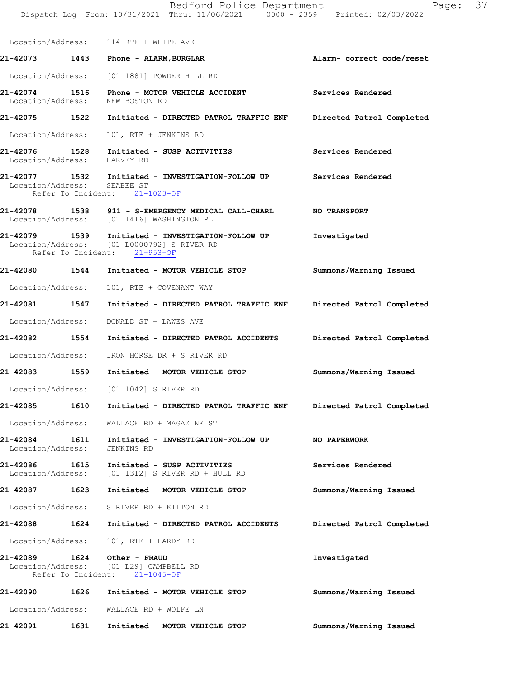Location/Address: 114 RTE + WHITE AVE

**21-42073 1443 Phone - ALARM,BURGLAR Alarm- correct code/reset**  Location/Address: [01 1881] POWDER HILL RD

**21-42074 1516 Phone - MOTOR VEHICLE ACCIDENT Services Rendered**  Location/Address: NEW BOSTON RD

**21-42075 1522 Initiated - DIRECTED PATROL TRAFFIC ENF Directed Patrol Completed** 

Location/Address: 101, RTE + JENKINS RD

**21-42076 1528 Initiated - SUSP ACTIVITIES Services Rendered**  Location/Address: HARVEY RD

- **21-42077 1532 Initiated INVESTIGATION-FOLLOW UP Services Rendered**  Location/Address: Refer To Incident: 21-1023-OF
- **21-42078 1538 911 S-EMERGENCY MEDICAL CALL-CHARL NO TRANSPORT**  Location/Address: [01 1416] WASHINGTON PL
- **21-42079 1539 Initiated INVESTIGATION-FOLLOW UP Investigated**  Location/Address: [01 L0000792] S RIVER RD Refer To Incident: 21-953-OF
- **21-42080 1544 Initiated MOTOR VEHICLE STOP Summons/Warning Issued**

Location/Address: 101, RTE + COVENANT WAY

**21-42081 1547 Initiated - DIRECTED PATROL TRAFFIC ENF Directed Patrol Completed**  Location/Address: DONALD ST + LAWES AVE

**21-42082 1554 Initiated - DIRECTED PATROL ACCIDENTS Directed Patrol Completed**  Location/Address: IRON HORSE DR + S RIVER RD

**21-42083 1559 Initiated - MOTOR VEHICLE STOP Summons/Warning Issued** 

Location/Address: [01 1042] S RIVER RD

**21-42085 1610 Initiated - DIRECTED PATROL TRAFFIC ENF Directed Patrol Completed** 

Location/Address: WALLACE RD + MAGAZINE ST

**21-42084 1611 Initiated - INVESTIGATION-FOLLOW UP NO PAPERWORK**  Location/Address: JENKINS RD

**21-42086 1615 Initiated - SUSP ACTIVITIES Services Rendered**  Location/Address: [01 1312] S RIVER RD + HULL RD

**21-42087 1623 Initiated - MOTOR VEHICLE STOP Summons/Warning Issued** 

Location/Address: S RIVER RD + KILTON RD

# **21-42088 1624 Initiated - DIRECTED PATROL ACCIDENTS Directed Patrol Completed**

Location/Address: 101, RTE + HARDY RD

**21-42089 1624 Other - FRAUD Investigated**  Location/Address: [01 L29] CAMPBELL RD Refer To Incident: 21-1045-OF

**21-42090 1626 Initiated - MOTOR VEHICLE STOP Summons/Warning Issued**  Location/Address: WALLACE RD + WOLFE LN **21-42091 1631 Initiated - MOTOR VEHICLE STOP Summons/Warning Issued**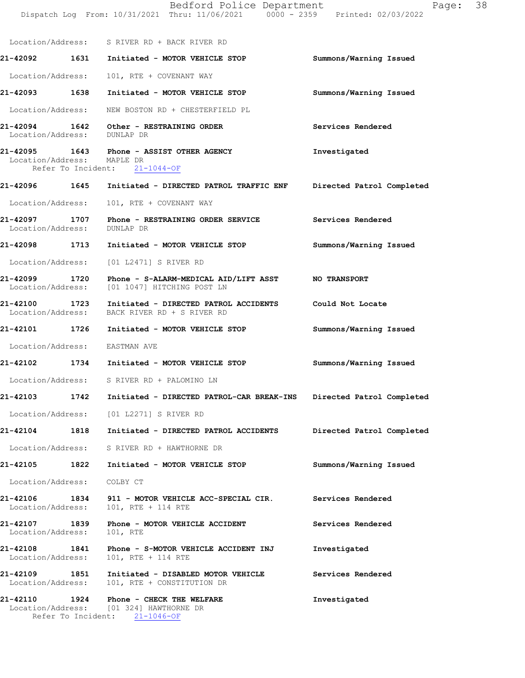|                                      |      | Bedford Police Department<br>Dispatch Log From: 10/31/2021 Thru: 11/06/2021 0000 - 2359 Printed: 02/03/2022      | Page:                     | 38 |
|--------------------------------------|------|------------------------------------------------------------------------------------------------------------------|---------------------------|----|
|                                      |      | Location/Address: S RIVER RD + BACK RIVER RD                                                                     |                           |    |
|                                      |      | 21-42092 1631 Initiated - MOTOR VEHICLE STOP                                                                     | Summons/Warning Issued    |    |
| Location/Address:                    |      | 101, RTE + COVENANT WAY                                                                                          |                           |    |
|                                      |      | 21-42093 1638 Initiated - MOTOR VEHICLE STOP                                                                     | Summons/Warning Issued    |    |
| Location/Address:                    |      | NEW BOSTON RD + CHESTERFIELD PL                                                                                  |                           |    |
| Location/Address: DUNLAP DR          |      | 21-42094 1642 Other - RESTRAINING ORDER                                                                          | Services Rendered         |    |
| Location/Address: MAPLE DR           |      | 21-42095 1643 Phone - ASSIST OTHER AGENCY<br>Refer To Incident: 21-1044-OF                                       | Investigated              |    |
|                                      |      | 21-42096 1645 Initiated - DIRECTED PATROL TRAFFIC ENF Directed Patrol Completed                                  |                           |    |
| Location/Address:                    |      | 101, RTE + COVENANT WAY                                                                                          |                           |    |
| Location/Address:                    |      | 21-42097 1707 Phone - RESTRAINING ORDER SERVICE<br>DUNLAP DR                                                     | Services Rendered         |    |
|                                      |      | 21-42098 1713 Initiated - MOTOR VEHICLE STOP                                                                     | Summons/Warning Issued    |    |
| Location/Address:                    |      | [01 L2471] S RIVER RD                                                                                            |                           |    |
|                                      |      | 21-42099 1720 Phone - S-ALARM-MEDICAL AID/LIFT ASST NO TRANSPORT<br>Location/Address: [01 1047] HITCHING POST LN |                           |    |
| Location/Address:                    |      | 21-42100 1723 Initiated - DIRECTED PATROL ACCIDENTS<br>BACK RIVER RD + S RIVER RD                                | Could Not Locate          |    |
|                                      |      |                                                                                                                  | Summons/Warning Issued    |    |
|                                      |      | Location/Address: EASTMAN AVE                                                                                    |                           |    |
|                                      |      | 21-42102 1734 Initiated - MOTOR VEHICLE STOP                                                                     | Summons/Warning Issued    |    |
| Location/Address:                    |      | S RIVER RD + PALOMINO LN                                                                                         |                           |    |
| 21-42103                             | 1742 | Initiated - DIRECTED PATROL-CAR BREAK-INS                                                                        | Directed Patrol Completed |    |
| Location/Address:                    |      | [01 L2271] S RIVER RD                                                                                            |                           |    |
| 21-42104                             | 1818 | Initiated - DIRECTED PATROL ACCIDENTS                                                                            | Directed Patrol Completed |    |
| Location/Address:                    |      | S RIVER RD + HAWTHORNE DR                                                                                        |                           |    |
| 21-42105                             | 1822 | Initiated - MOTOR VEHICLE STOP                                                                                   | Summons/Warning Issued    |    |
| Location/Address:                    |      | COLBY CT                                                                                                         |                           |    |
| 21-42106<br>Location/Address:        | 1834 | 911 - MOTOR VEHICLE ACC-SPECIAL CIR.<br>101, RTE + 114 RTE                                                       | Services Rendered         |    |
| 21-42107<br>Location/Address:        | 1839 | Phone - MOTOR VEHICLE ACCIDENT<br>101, RTE                                                                       | Services Rendered         |    |
| 21-42108<br>Location/Address:        | 1841 | Phone - S-MOTOR VEHICLE ACCIDENT INJ<br>101, RTE + 114 RTE                                                       | Investigated              |    |
| <b>21-42109</b><br>Location/Address: | 1851 | Initiated - DISABLED MOTOR VEHICLE<br>101, RTE + CONSTITUTION DR                                                 | Services Rendered         |    |
| 21-42110                             | 1924 | Phone - CHECK THE WELFARE<br>Location/Address: [01 324] HAWTHORNE DR                                             | Investigated              |    |

Refer To Incident: 21-1046-OF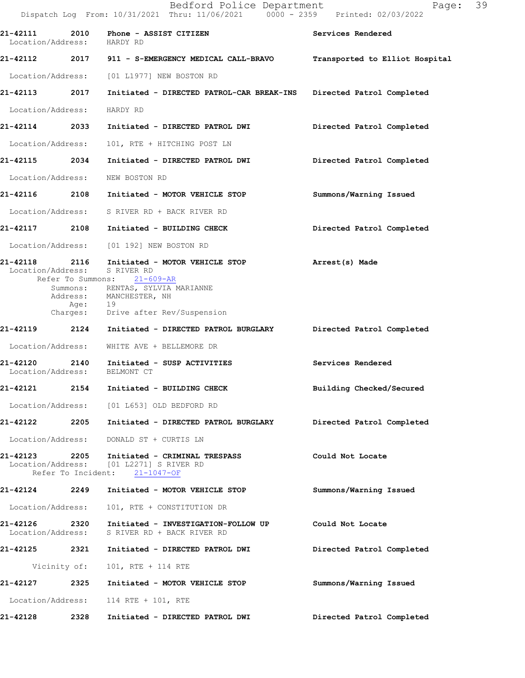|                                             |      | Bedford Police Department<br>Dispatch Log From: 10/31/2021 Thru: 11/06/2021 0000 - 2359 Printed: 02/03/2022                                                                                           | 39<br>Page:                    |
|---------------------------------------------|------|-------------------------------------------------------------------------------------------------------------------------------------------------------------------------------------------------------|--------------------------------|
| 21-42111 2010<br>Location/Address: HARDY RD |      | Phone - ASSIST CITIZEN                                                                                                                                                                                | Services Rendered              |
|                                             |      | 21-42112 2017 911 - S-EMERGENCY MEDICAL CALL-BRAVO                                                                                                                                                    | Transported to Elliot Hospital |
|                                             |      | Location/Address: [01 L1977] NEW BOSTON RD                                                                                                                                                            |                                |
| 21-42113 2017                               |      | Initiated - DIRECTED PATROL-CAR BREAK-INS Directed Patrol Completed                                                                                                                                   |                                |
| Location/Address:                           |      | HARDY RD                                                                                                                                                                                              |                                |
| 21-42114 2033                               |      | Initiated - DIRECTED PATROL DWI                                                                                                                                                                       | Directed Patrol Completed      |
| Location/Address:                           |      | 101, RTE + HITCHING POST LN                                                                                                                                                                           |                                |
| 21-42115 2034                               |      | Initiated - DIRECTED PATROL DWI                                                                                                                                                                       | Directed Patrol Completed      |
| Location/Address:                           |      | NEW BOSTON RD                                                                                                                                                                                         |                                |
|                                             |      | 21-42116 2108 Initiated - MOTOR VEHICLE STOP                                                                                                                                                          | Summons/Warning Issued         |
|                                             |      | Location/Address: S RIVER RD + BACK RIVER RD                                                                                                                                                          |                                |
|                                             |      | 21-42117 2108 Initiated - BUILDING CHECK                                                                                                                                                              | Directed Patrol Completed      |
|                                             |      | Location/Address: [01 192] NEW BOSTON RD                                                                                                                                                              |                                |
| Location/Address:                           | Age: | 21-42118 2116 Initiated - MOTOR VEHICLE STOP<br>S RIVER RD<br>Refer To Summons: 21-609-AR<br>Summons: RENTAS, SYLVIA MARIANNE<br>Address: MANCHESTER, NH<br>19<br>Charges: Drive after Rev/Suspension | Arrest(s) Made                 |
| 21-42119 2124                               |      | Initiated - DIRECTED PATROL BURGLARY                                                                                                                                                                  | Directed Patrol Completed      |
| Location/Address:                           |      | WHITE AVE + BELLEMORE DR                                                                                                                                                                              |                                |
| Location/Address:                           |      | 21-42120 2140 Initiated - SUSP ACTIVITIES<br>BELMONT CT                                                                                                                                               | Services Rendered              |
| 21-42121                                    | 2154 | Initiated - BUILDING CHECK                                                                                                                                                                            | Building Checked/Secured       |
|                                             |      | Location/Address: [01 L653] OLD BEDFORD RD                                                                                                                                                            |                                |
|                                             |      | 21-42122 2205 Initiated - DIRECTED PATROL BURGLARY Directed Patrol Completed                                                                                                                          |                                |
|                                             |      | Location/Address: DONALD ST + CURTIS LN                                                                                                                                                               |                                |
|                                             |      | 21-42123 2205 Initiated - CRIMINAL TRESPASS<br>Location/Address: [01 L2271] S RIVER RD<br>Refer To Incident: 21-1047-OF                                                                               | Could Not Locate               |
|                                             |      | 21-42124 2249 Initiated - MOTOR VEHICLE STOP                                                                                                                                                          | Summons/Warning Issued         |
| Location/Address:                           |      | 101, RTE + CONSTITUTION DR                                                                                                                                                                            |                                |
| Location/Address:                           |      | 21-42126  2320  Initiated - INVESTIGATION-FOLLOW UP<br>S RIVER RD + BACK RIVER RD                                                                                                                     | Could Not Locate               |
| 21-42125 2321                               |      | Initiated - DIRECTED PATROL DWI                                                                                                                                                                       | Directed Patrol Completed      |
|                                             |      | Vicinity of: 101, RTE + 114 RTE                                                                                                                                                                       |                                |
| 21-42127                                    | 2325 | Initiated - MOTOR VEHICLE STOP                                                                                                                                                                        | Summons/Warning Issued         |
| Location/Address:                           |      | 114 RTE + 101, RTE                                                                                                                                                                                    |                                |
| 21-42128                                    | 2328 | Initiated - DIRECTED PATROL DWI                                                                                                                                                                       | Directed Patrol Completed      |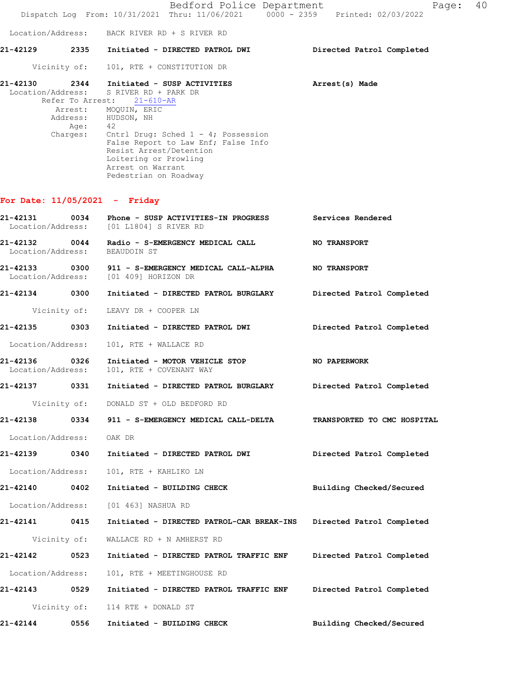Bedford Police Department Fage: 40 Dispatch Log From: 10/31/2021 Thru: 11/06/2021 0000 - 2359 Printed: 02/03/2022 Location/Address: BACK RIVER RD + S RIVER RD **21-42129 2335 Initiated - DIRECTED PATROL DWI Directed Patrol Completed**  Vicinity of: 101, RTE + CONSTITUTION DR **21-42130 2344 Initiated - SUSP ACTIVITIES Arrest(s) Made** Location/Address: S RIVER RD + PARK DR Refer To Arrest: 21-610-AR Arrest: MOQUIN, ERIC Address: HUDSON, NH Age: 42 Charges: Cntrl Drug: Sched 1 - 4; Possession False Report to Law Enf; False Info Resist Arrest/Detention Loitering or Prowling Arrest on Warrant Pedestrian on Roadway

#### **For Date: 11/05/2021 - Friday**

| 21-42131<br>0034<br>Location/Address: |      | Phone - SUSP ACTIVITIES-IN PROGRESS Services Rendered<br>[01 L1804] S RIVER RD         |                             |
|---------------------------------------|------|----------------------------------------------------------------------------------------|-----------------------------|
| 21-42132<br>Location/Address:         | 0044 | Radio - S-EMERGENCY MEDICAL CALL<br>BEAUDOIN ST                                        | <b>NO TRANSPORT</b>         |
| Location/Address:                     |      | 21-42133 0300 911 - S-EMERGENCY MEDICAL CALL-ALPHA NO TRANSPORT<br>[01 409] HORIZON DR |                             |
|                                       |      |                                                                                        | Directed Patrol Completed   |
| Vicinity of:                          |      | LEAVY DR + COOPER LN                                                                   |                             |
|                                       |      |                                                                                        | Directed Patrol Completed   |
| Location/Address:                     |      | 101, RTE + WALLACE RD                                                                  |                             |
| 21-42136 0326<br>Location/Address:    |      | Initiated - MOTOR VEHICLE STOP<br>101, RTE + COVENANT WAY                              | <b>NO PAPERWORK</b>         |
|                                       |      | 21-42137 0331 Initiated - DIRECTED PATROL BURGLARY Directed Patrol Completed           |                             |
|                                       |      | Vicinity of: DONALD ST + OLD BEDFORD RD                                                |                             |
|                                       |      |                                                                                        | TRANSPORTED TO CMC HOSPITAL |
| Location/Address:                     |      | OAK DR                                                                                 |                             |
|                                       |      |                                                                                        | Directed Patrol Completed   |
| Location/Address:                     |      | 101, RTE + KAHLIKO LN                                                                  |                             |
| 21-42140 0402                         |      | Initiated - BUILDING CHECK                                                             | Building Checked/Secured    |
| Location/Address:                     |      | [01 463] NASHUA RD                                                                     |                             |
| 21-42141 0415                         |      | Initiated - DIRECTED PATROL-CAR BREAK-INS Directed Patrol Completed                    |                             |
| Vicinity of:                          |      | WALLACE RD + N AMHERST RD                                                              |                             |
| 21-42142 0523                         |      | Initiated - DIRECTED PATROL TRAFFIC ENF Directed Patrol Completed                      |                             |
| Location/Address:                     |      | 101, RTE + MEETINGHOUSE RD                                                             |                             |
|                                       |      | 21-42143 		 0529 Initiated - DIRECTED PATROL TRAFFIC ENF 		 Directed Patrol Completed  |                             |
|                                       |      | Vicinity of: 114 RTE + DONALD ST                                                       |                             |
|                                       |      |                                                                                        | Building Checked/Secured    |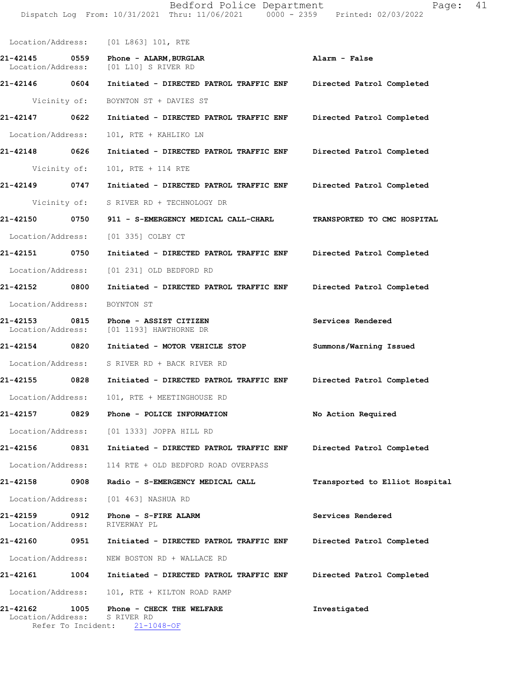Location/Address: [01 L863] 101, RTE **21-42145 0559 Phone - ALARM,BURGLAR Alarm - False**  Location/Address: [01 L10] S RIVER RD **21-42146 0604 Initiated - DIRECTED PATROL TRAFFIC ENF Directed Patrol Completed**  Vicinity of: BOYNTON ST + DAVIES ST **21-42147 0622 Initiated - DIRECTED PATROL TRAFFIC ENF Directed Patrol Completed**  Location/Address: 101, RTE + KAHLIKO LN **21-42148 0626 Initiated - DIRECTED PATROL TRAFFIC ENF Directed Patrol Completed**  Vicinity of: 101, RTE + 114 RTE **21-42149 0747 Initiated - DIRECTED PATROL TRAFFIC ENF Directed Patrol Completed**  Vicinity of: S RIVER RD + TECHNOLOGY DR **21-42150 0750 911 - S-EMERGENCY MEDICAL CALL-CHARL TRANSPORTED TO CMC HOSPITAL**  Location/Address: [01 335] COLBY CT **21-42151 0750 Initiated - DIRECTED PATROL TRAFFIC ENF Directed Patrol Completed**  Location/Address: [01 231] OLD BEDFORD RD **21-42152 0800 Initiated - DIRECTED PATROL TRAFFIC ENF Directed Patrol Completed**  Location/Address: BOYNTON ST **21-42153 0815 Phone - ASSIST CITIZEN Services Rendered**  Location/Address: [01 1193] HAWTHORNE DR **21-42154 0820 Initiated - MOTOR VEHICLE STOP Summons/Warning Issued**  Location/Address: S RIVER RD + BACK RIVER RD **21-42155 0828 Initiated - DIRECTED PATROL TRAFFIC ENF Directed Patrol Completed**  Location/Address: 101, RTE + MEETINGHOUSE RD **21-42157 0829 Phone - POLICE INFORMATION No Action Required**  Location/Address: [01 1333] JOPPA HILL RD **21-42156 0831 Initiated - DIRECTED PATROL TRAFFIC ENF Directed Patrol Completed**  Location/Address: 114 RTE + OLD BEDFORD ROAD OVERPASS **21-42158 0908 Radio - S-EMERGENCY MEDICAL CALL Transported to Elliot Hospital** Location/Address: [01 463] NASHUA RD **21-42159 0912 Phone - S-FIRE ALARM Services Rendered**  Location/Address: **21-42160 0951 Initiated - DIRECTED PATROL TRAFFIC ENF Directed Patrol Completed**  Location/Address: NEW BOSTON RD + WALLACE RD **21-42161 1004 Initiated - DIRECTED PATROL TRAFFIC ENF Directed Patrol Completed**  Location/Address: 101, RTE + KILTON ROAD RAMP **21-42162 1005 Phone - CHECK THE WELFARE Investigated**  Location/Address: S RIVER RD

Refer To Incident: 21-1048-OF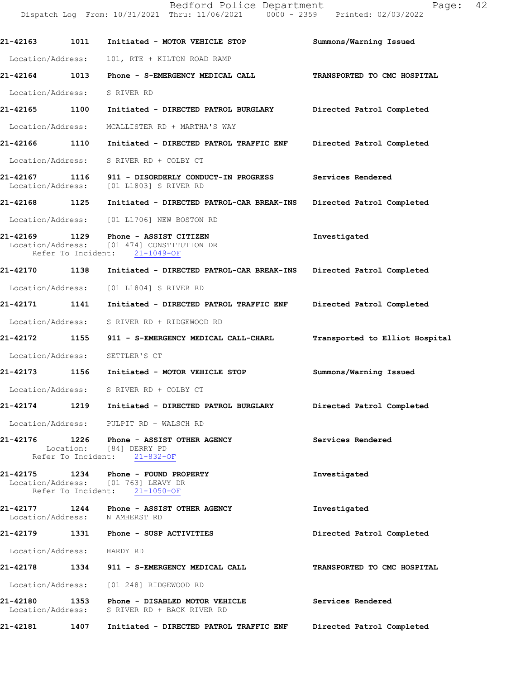Dispatch Log From: 10/31/2021 Thru: 11/06/2021 0000 - 2359 Printed: 02/03/2022 **21-42163 1011 Initiated - MOTOR VEHICLE STOP Summons/Warning Issued**  Location/Address: 101, RTE + KILTON ROAD RAMP **21-42164 1013 Phone - S-EMERGENCY MEDICAL CALL TRANSPORTED TO CMC HOSPITAL**  Location/Address: S RIVER RD **21-42165 1100 Initiated - DIRECTED PATROL BURGLARY Directed Patrol Completed**  Location/Address: MCALLISTER RD + MARTHA'S WAY **21-42166 1110 Initiated - DIRECTED PATROL TRAFFIC ENF Directed Patrol Completed**  Location/Address: S RIVER RD + COLBY CT **21-42167 1116 911 - DISORDERLY CONDUCT-IN PROGRESS Services Rendered**  Location/Address: [01 L1803] S RIVER RD **21-42168 1125 Initiated - DIRECTED PATROL-CAR BREAK-INS Directed Patrol Completed**  Location/Address: [01 L1706] NEW BOSTON RD **21-42169 1129 Phone - ASSIST CITIZEN 1129 Phone - ASSIST CITIZEN Investigated Investigated**  Location/Address: [01 474] CONSTITUTION DR Refer To Incident: 21-1049-OF **21-42170 1138 Initiated - DIRECTED PATROL-CAR BREAK-INS Directed Patrol Completed**  Location/Address: [01 L1804] S RIVER RD **21-42171 1141 Initiated - DIRECTED PATROL TRAFFIC ENF Directed Patrol Completed**  Location/Address: S RIVER RD + RIDGEWOOD RD **21-42172 1155 911 - S-EMERGENCY MEDICAL CALL-CHARL Transported to Elliot Hospital** Location/Address: SETTLER'S CT **21-42173 1156 Initiated - MOTOR VEHICLE STOP Summons/Warning Issued**  Location/Address: S RIVER RD + COLBY CT **21-42174 1219 Initiated - DIRECTED PATROL BURGLARY Directed Patrol Completed**  Location/Address: PULPIT RD + WALSCH RD **21-42176 1226 Phone - ASSIST OTHER AGENCY Services Rendered**  Location: [84] DERRY PD<br>fer To Incident: 21-832-OF Refer To Incident: **21-42175 1234 Phone - FOUND PROPERTY Investigated**  Location/Address: [01 763] LEAVY DR Refer To Incident: 21-1050-OF **21-42177 1244 Phone - ASSIST OTHER AGENCY Investigated**  Location/Address: N AMHERST RD **21-42179 1331 Phone - SUSP ACTIVITIES Directed Patrol Completed**  Location/Address: HARDY RD **21-42178 1334 911 - S-EMERGENCY MEDICAL CALL TRANSPORTED TO CMC HOSPITAL**  Location/Address: [01 248] RIDGEWOOD RD **21-42180 1353 Phone - DISABLED MOTOR VEHICLE Services Rendered**  Location/Address: S RIVER RD + BACK RIVER RD

**21-42181 1407 Initiated - DIRECTED PATROL TRAFFIC ENF Directed Patrol Completed**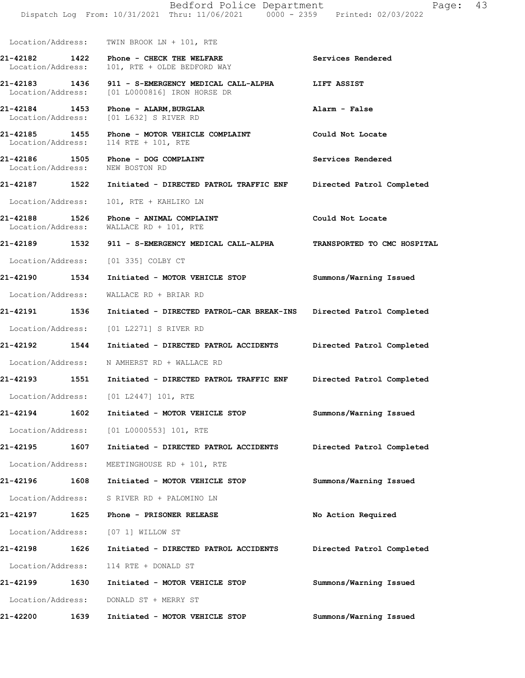|  |  | .<br>oq From: 10/31/2021 Thru: 11/06/2021                0000 - 2359               Printed: 02/03/2022 |  |  |
|--|--|--------------------------------------------------------------------------------------------------------|--|--|
|  |  |                                                                                                        |  |  |

Location/Address: TWIN BROOK LN + 101, RTE

**21-42182 1422 Phone - CHECK THE WELFARE Services Rendered**  Location/Address: 101, RTE + OLDE BEDFORD WAY

**21-42183 1436 911 - S-EMERGENCY MEDICAL CALL-ALPHA LIFT ASSIST**  Location/Address: [01 L0000816] IRON HORSE DR

**21-42184 1453 Phone - ALARM,BURGLAR Alarm - False**  Location/Address: [01 L632] S RIVER RD

**21-42185 1455 Phone - MOTOR VEHICLE COMPLAINT Could Not Locate**  Location/Address: 114 RTE + 101, RTE

21-42186 1505 Phone - DOG COMPLAINT **1200 Services Rendered** Location/Address: NEW BOSTON RD

**21-42187 1522 Initiated - DIRECTED PATROL TRAFFIC ENF Directed Patrol Completed**  Location/Address: 101, RTE + KAHLIKO LN

**21-42188 1526 Phone - ANIMAL COMPLAINT Could Not Locate**  Location/Address: WALLACE RD + 101, RTE

**21-42189 1532 911 - S-EMERGENCY MEDICAL CALL-ALPHA TRANSPORTED TO CMC HOSPITAL**  Location/Address: [01 335] COLBY CT

**21-42190 1534 Initiated - MOTOR VEHICLE STOP Summons/Warning Issued** 

Location/Address: WALLACE RD + BRIAR RD

**21-42191 1536 Initiated - DIRECTED PATROL-CAR BREAK-INS Directed Patrol Completed**  Location/Address: [01 L2271] S RIVER RD

**21-42192 1544 Initiated - DIRECTED PATROL ACCIDENTS Directed Patrol Completed**  Location/Address: N AMHERST RD + WALLACE RD

**21-42193 1551 Initiated - DIRECTED PATROL TRAFFIC ENF Directed Patrol Completed** 

Location/Address: [01 L2447] 101, RTE

**21-42194 1602 Initiated - MOTOR VEHICLE STOP Summons/Warning Issued**  Location/Address: [01 L0000553] 101, RTE

**21-42195 1607 Initiated - DIRECTED PATROL ACCIDENTS Directed Patrol Completed**  Location/Address: MEETINGHOUSE RD + 101, RTE

**21-42196 1608 Initiated - MOTOR VEHICLE STOP Summons/Warning Issued**  Location/Address: S RIVER RD + PALOMINO LN

**21-42197 1625 Phone - PRISONER RELEASE No Action Required**  Location/Address: [07 1] WILLOW ST

**21-42198 1626 Initiated - DIRECTED PATROL ACCIDENTS Directed Patrol Completed**  Location/Address: 114 RTE + DONALD ST **21-42199 1630 Initiated - MOTOR VEHICLE STOP Summons/Warning Issued** 

Location/Address: DONALD ST + MERRY ST

**21-42200 1639 Initiated - MOTOR VEHICLE STOP Summons/Warning Issued**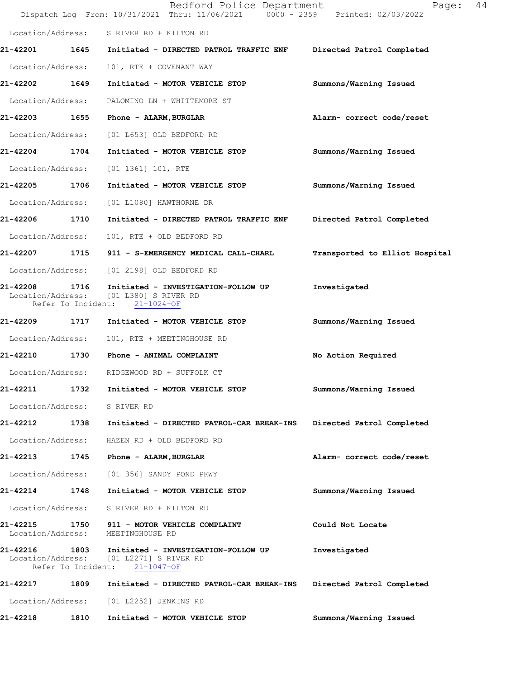|                               |      | Bedford Police Department<br>Dispatch Log From: 10/31/2021 Thru: 11/06/2021 0000 - 2359 Printed: 02/03/2022                       | Page:                          | 44 |
|-------------------------------|------|-----------------------------------------------------------------------------------------------------------------------------------|--------------------------------|----|
|                               |      | Location/Address: S RIVER RD + KILTON RD                                                                                          |                                |    |
| 21-42201 1645                 |      | Initiated - DIRECTED PATROL TRAFFIC ENF                                                                                           | Directed Patrol Completed      |    |
| Location/Address:             |      | 101, RTE + COVENANT WAY                                                                                                           |                                |    |
| 21-42202                      | 1649 | Initiated - MOTOR VEHICLE STOP                                                                                                    | Summons/Warning Issued         |    |
| Location/Address:             |      | PALOMINO LN + WHITTEMORE ST                                                                                                       |                                |    |
| 21-42203 1655                 |      | Phone - ALARM, BURGLAR                                                                                                            | Alarm- correct code/reset      |    |
| Location/Address:             |      | [01 L653] OLD BEDFORD RD                                                                                                          |                                |    |
| 21-42204 1704                 |      | Initiated - MOTOR VEHICLE STOP                                                                                                    | Summons/Warning Issued         |    |
| Location/Address:             |      | $[01 1361] 101$ , RTE                                                                                                             |                                |    |
| 21-42205                      | 1706 | Initiated - MOTOR VEHICLE STOP                                                                                                    | Summons/Warning Issued         |    |
| Location/Address:             |      | [01 L1080] HAWTHORNE DR                                                                                                           |                                |    |
| 21-42206 1710                 |      | Initiated - DIRECTED PATROL TRAFFIC ENF                                                                                           | Directed Patrol Completed      |    |
| Location/Address:             |      | 101, RTE + OLD BEDFORD RD                                                                                                         |                                |    |
|                               |      | 21-42207 1715 911 - S-EMERGENCY MEDICAL CALL-CHARL                                                                                | Transported to Elliot Hospital |    |
| Location/Address:             |      | [01 2198] OLD BEDFORD RD                                                                                                          |                                |    |
| 21-42208<br>Location/Address: | 1716 | Initiated - INVESTIGATION-FOLLOW UP<br>[01 L380] S RIVER RD<br>Refer To Incident: 21-1024-OF                                      | Investigated                   |    |
| 21-42209                      | 1717 | Initiated - MOTOR VEHICLE STOP                                                                                                    | Summons/Warning Issued         |    |
| Location/Address:             |      | 101, RTE + MEETINGHOUSE RD                                                                                                        |                                |    |
| 21-42210 1730                 |      | <b>Phone - ANIMAL COMPLAINT</b>                                                                                                   | No Action Required             |    |
|                               |      | Location/Address: RIDGEWOOD RD + SUFFOLK CT                                                                                       |                                |    |
| 21-42211                      | 1732 | Initiated - MOTOR VEHICLE STOP                                                                                                    | Summons/Warning Issued         |    |
|                               |      | Location/Address: S RIVER RD                                                                                                      |                                |    |
|                               |      | 21-42212 1738 Initiated - DIRECTED PATROL-CAR BREAK-INS Directed Patrol Completed                                                 |                                |    |
| Location/Address:             |      | HAZEN RD + OLD BEDFORD RD                                                                                                         |                                |    |
| 21-42213                      |      | 1745 Phone - ALARM, BURGLAR                                                                                                       | Alarm- correct code/reset      |    |
|                               |      | Location/Address: [01 356] SANDY POND PKWY                                                                                        |                                |    |
| 21-42214 1748                 |      | Initiated - MOTOR VEHICLE STOP                                                                                                    | Summons/Warning Issued         |    |
|                               |      | Location/Address: S RIVER RD + KILTON RD                                                                                          |                                |    |
| Location/Address:             |      | 21-42215 1750 911 - MOTOR VEHICLE COMPLAINT<br>MEETINGHOUSE RD                                                                    | Could Not Locate               |    |
|                               |      | 21-42216  1803    Initiated - INVESTIGATION-FOLLOW UP<br>Location/Address: [01 L2271] S RIVER RD<br>Refer To Incident: 21-1047-OF | Investigated                   |    |
| 21-42217                      | 1809 | Initiated - DIRECTED PATROL-CAR BREAK-INS                                                                                         | Directed Patrol Completed      |    |
|                               |      | Location/Address: [01 L2252] JENKINS RD                                                                                           |                                |    |
| 21-42218 1810                 |      | Initiated - MOTOR VEHICLE STOP                                                                                                    | Summons/Warning Issued         |    |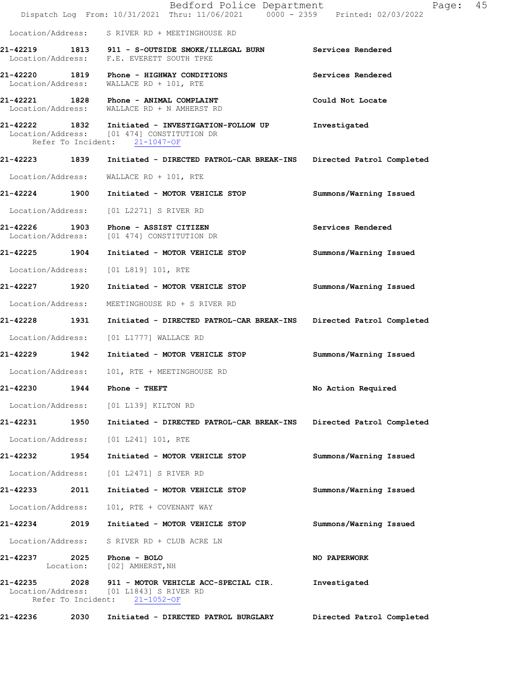|                                |      | Bedford Police Department<br>Dispatch Log From: 10/31/2021 Thru: 11/06/2021 0000 - 2359 Printed: 02/03/2022                      | 45<br>Page:               |
|--------------------------------|------|----------------------------------------------------------------------------------------------------------------------------------|---------------------------|
|                                |      | Location/Address: S RIVER RD + MEETINGHOUSE RD                                                                                   |                           |
|                                |      | 21-42219 1813 911 - S-OUTSIDE SMOKE/ILLEGAL BURN Services Rendered<br>Location/Address: F.E. EVERETT SOUTH TPKE                  |                           |
|                                |      | 21-42220 1819 Phone - HIGHWAY CONDITIONS<br>Location/Address: WALLACE RD + 101, RTE                                              | Services Rendered         |
|                                |      | 21-42221 1828 Phone - ANIMAL COMPLAINT<br>Location/Address: WALLACE RD + N AMHERST RD                                            | Could Not Locate          |
|                                |      | 21-42222 1832 Initiated - INVESTIGATION-FOLLOW UP<br>Location/Address: [01 474] CONSTITUTION DR<br>Refer To Incident: 21-1047-OF | Investigated              |
|                                |      | 21-42223 1839 Initiated - DIRECTED PATROL-CAR BREAK-INS                                                                          | Directed Patrol Completed |
| Location/Address:              |      | WALLACE RD + 101, RTE                                                                                                            |                           |
| 21-42224 1900                  |      | Initiated - MOTOR VEHICLE STOP                                                                                                   | Summons/Warning Issued    |
| Location/Address:              |      | [01 L2271] S RIVER RD                                                                                                            |                           |
|                                |      | 21-42226 1903 Phone - ASSIST CITIZEN<br>Location/Address: [01 474] CONSTITUTION DR                                               | Services Rendered         |
| 21-42225 1904                  |      | Initiated - MOTOR VEHICLE STOP                                                                                                   | Summons/Warning Issued    |
| Location/Address:              |      | [01 L819] 101, RTE                                                                                                               |                           |
| 21-42227 1920                  |      | Initiated - MOTOR VEHICLE STOP                                                                                                   | Summons/Warning Issued    |
| Location/Address:              |      | MEETINGHOUSE RD + S RIVER RD                                                                                                     |                           |
| 21-42228 1931                  |      | Initiated - DIRECTED PATROL-CAR BREAK-INS                                                                                        | Directed Patrol Completed |
|                                |      | Location/Address: [01 L1777] WALLACE RD                                                                                          |                           |
|                                |      | 21-42229 1942 Initiated - MOTOR VEHICLE STOP                                                                                     | Summons/Warning Issued    |
|                                |      | Location/Address: 101, RTE + MEETINGHOUSE RD                                                                                     |                           |
| 21-42230                       | 1944 | Phone - THEFT                                                                                                                    | No Action Required        |
|                                |      | Location/Address: [01 L139] KILTON RD                                                                                            |                           |
| 21-42231 1950                  |      | Initiated - DIRECTED PATROL-CAR BREAK-INS Directed Patrol Completed                                                              |                           |
| Location/Address:              |      | $[01 L241] 101$ , RTE                                                                                                            |                           |
| 21-42232                       | 1954 | Initiated - MOTOR VEHICLE STOP                                                                                                   | Summons/Warning Issued    |
| Location/Address:              |      | [01 L2471] S RIVER RD                                                                                                            |                           |
| 21-42233                       | 2011 | Initiated - MOTOR VEHICLE STOP                                                                                                   | Summons/Warning Issued    |
| Location/Address:              |      | 101, RTE + COVENANT WAY                                                                                                          |                           |
| 21-42234                       | 2019 | Initiated - MOTOR VEHICLE STOP                                                                                                   | Summons/Warning Issued    |
| Location/Address:              |      | S RIVER RD + CLUB ACRE LN                                                                                                        |                           |
| 21-42237                       | 2025 | Phone - BOLO<br>Location: [02] AMHERST, NH                                                                                       | NO PAPERWORK              |
| 21-42235<br>Refer To Incident: |      | 2028 911 - MOTOR VEHICLE ACC-SPECIAL CIR.<br>Location/Address: [01 L1843] S RIVER RD<br>$21 - 1052 - OF$                         | Investigated              |
| 21-42236                       | 2030 | Initiated - DIRECTED PATROL BURGLARY                                                                                             | Directed Patrol Completed |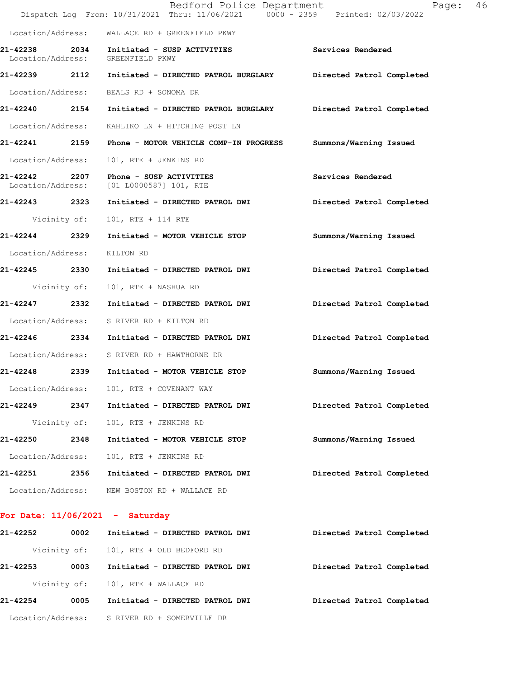|                               |              | Bedford Police Department<br>Dispatch Log From: 10/31/2021 Thru: 11/06/2021 0000 - 2359 Printed: 02/03/2022 | Page:                     | 46 |
|-------------------------------|--------------|-------------------------------------------------------------------------------------------------------------|---------------------------|----|
|                               |              | Location/Address: WALLACE RD + GREENFIELD PKWY                                                              |                           |    |
| 21-42238<br>Location/Address: |              | 2034 Initiated - SUSP ACTIVITIES<br>GREENFIELD PKWY                                                         | Services Rendered         |    |
|                               |              | 21-42239    2112    Initiated - DIRECTED PATROL BURGLARY                                                    | Directed Patrol Completed |    |
|                               |              | Location/Address: BEALS RD + SONOMA DR                                                                      |                           |    |
|                               |              | 21-42240 2154 Initiated - DIRECTED PATROL BURGLARY Directed Patrol Completed                                |                           |    |
|                               |              | Location/Address: KAHLIKO LN + HITCHING POST LN                                                             |                           |    |
|                               |              | 21-42241 2159 Phone - MOTOR VEHICLE COMP-IN PROGRESS                                                        | Summons/Warning Issued    |    |
| Location/Address:             |              | 101, RTE + JENKINS RD                                                                                       |                           |    |
|                               |              | 21-42242 2207 Phone - SUSP ACTIVITIES<br>Location/Address: [01 L0000587] 101, RTE                           | Services Rendered         |    |
| 21-42243 2323                 |              | Initiated - DIRECTED PATROL DWI                                                                             | Directed Patrol Completed |    |
|                               | Vicinity of: | 101, RTE + 114 RTE                                                                                          |                           |    |
| 21-42244 2329                 |              | Initiated - MOTOR VEHICLE STOP                                                                              | Summons/Warning Issued    |    |
| Location/Address:             |              | KILTON RD                                                                                                   |                           |    |
| 21-42245 2330                 |              | Initiated - DIRECTED PATROL DWI                                                                             | Directed Patrol Completed |    |
|                               | Vicinity of: | 101, RTE + NASHUA RD                                                                                        |                           |    |
| 21-42247 2332                 |              | Initiated - DIRECTED PATROL DWI                                                                             | Directed Patrol Completed |    |
|                               |              | Location/Address: S RIVER RD + KILTON RD                                                                    |                           |    |
|                               |              | 21-42246  2334 Initiated - DIRECTED PATROL DWI                                                              | Directed Patrol Completed |    |
|                               |              | Location/Address: S RIVER RD + HAWTHORNE DR                                                                 |                           |    |
|                               |              | 21-42248 2339 Initiated - MOTOR VEHICLE STOP                                                                | Summons/Warning Issued    |    |
| Location/Address:             |              | 101, RTE + COVENANT WAY                                                                                     |                           |    |
| 21-42249                      | 2347         | Initiated - DIRECTED PATROL DWI                                                                             | Directed Patrol Completed |    |
|                               | Vicinity of: | 101, RTE + JENKINS RD                                                                                       |                           |    |
| 21-42250                      | 2348         | Initiated - MOTOR VEHICLE STOP                                                                              | Summons/Warning Issued    |    |
| Location/Address:             |              | 101, RTE + JENKINS RD                                                                                       |                           |    |
| 21-42251                      | 2356         | Initiated - DIRECTED PATROL DWI                                                                             | Directed Patrol Completed |    |
|                               |              | Location/Address: NEW BOSTON RD + WALLACE RD                                                                |                           |    |
|                               |              |                                                                                                             |                           |    |

# **For Date: 11/06/2021 - Saturday**

| 21-42252 | 0002 | Initiated - DIRECTED PATROL DWI              | Directed Patrol Completed |
|----------|------|----------------------------------------------|---------------------------|
|          |      | Vicinity of: 101, RTE + OLD BEDFORD RD       |                           |
| 21-42253 | 0003 | Initiated - DIRECTED PATROL DWI              | Directed Patrol Completed |
|          |      | Vicinity of: 101, RTE + WALLACE RD           |                           |
| 21-42254 | 0005 | Initiated - DIRECTED PATROL DWI              | Directed Patrol Completed |
|          |      | Location/Address: S RIVER RD + SOMERVILLE DR |                           |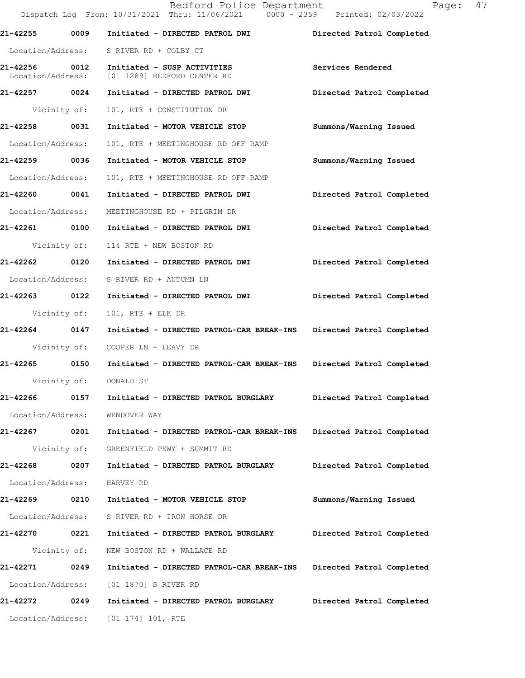|                                    |              | Bedford Police Department<br>Dispatch Log From: 10/31/2021 Thru: 11/06/2021 0000 - 2359 Printed: 02/03/2022 | Page: 47                  |
|------------------------------------|--------------|-------------------------------------------------------------------------------------------------------------|---------------------------|
| 21-42255                           | 0009         | Initiated - DIRECTED PATROL DWI                                                                             | Directed Patrol Completed |
|                                    |              | Location/Address: S RIVER RD + COLBY CT                                                                     |                           |
| 21-42256 0012<br>Location/Address: |              | Initiated - SUSP ACTIVITIES<br>[01 1289] BEDFORD CENTER RD                                                  | Services Rendered         |
| 21-42257 0024                      |              | Initiated - DIRECTED PATROL DWI                                                                             | Directed Patrol Completed |
| Vicinity of:                       |              | 101, RTE + CONSTITUTION DR                                                                                  |                           |
| 21-42258                           | 0031         | Initiated - MOTOR VEHICLE STOP                                                                              | Summons/Warning Issued    |
| Location/Address:                  |              | 101, RTE + MEETINGHOUSE RD OFF RAMP                                                                         |                           |
| 21-42259 0036                      |              | Initiated - MOTOR VEHICLE STOP                                                                              | Summons/Warning Issued    |
| Location/Address:                  |              | 101, RTE + MEETINGHOUSE RD OFF RAMP                                                                         |                           |
| 21-42260 0041                      |              | Initiated - DIRECTED PATROL DWI                                                                             | Directed Patrol Completed |
| Location/Address:                  |              | MEETINGHOUSE RD + PILGRIM DR                                                                                |                           |
|                                    |              |                                                                                                             | Directed Patrol Completed |
|                                    | Vicinity of: | 114 RTE + NEW BOSTON RD                                                                                     |                           |
| 21-42262 0120                      |              | Initiated - DIRECTED PATROL DWI                                                                             | Directed Patrol Completed |
|                                    |              | Location/Address: S RIVER RD + AUTUMN LN                                                                    |                           |
| 21-42263 0122                      |              | Initiated - DIRECTED PATROL DWI                                                                             | Directed Patrol Completed |
|                                    | Vicinity of: | $101$ , RTE + ELK DR                                                                                        |                           |
| 21-42264 0147                      |              | Initiated - DIRECTED PATROL-CAR BREAK-INS Directed Patrol Completed                                         |                           |
|                                    |              | Vicinity of: COOPER LN + LEAVY DR                                                                           |                           |
|                                    |              | 21-42265 0150 Initiated - DIRECTED PATROL-CAR BREAK-INS                                                     | Directed Patrol Completed |
|                                    | Vicinity of: | DONALD ST                                                                                                   |                           |
| 21-42266                           | 0157         | Initiated - DIRECTED PATROL BURGLARY                                                                        | Directed Patrol Completed |
| Location/Address:                  |              | WENDOVER WAY                                                                                                |                           |
| 21-42267 0201                      |              | Initiated - DIRECTED PATROL-CAR BREAK-INS                                                                   | Directed Patrol Completed |
|                                    | Vicinity of: | GREENFIELD PKWY + SUMMIT RD                                                                                 |                           |
| 21-42268                           | 0207         | Initiated - DIRECTED PATROL BURGLARY                                                                        | Directed Patrol Completed |
| Location/Address:                  |              | HARVEY RD                                                                                                   |                           |
| 21-42269                           | 0210         | Initiated - MOTOR VEHICLE STOP                                                                              | Summons/Warning Issued    |
| Location/Address:                  |              | S RIVER RD + IRON HORSE DR                                                                                  |                           |
| 21-42270 0221                      |              | Initiated - DIRECTED PATROL BURGLARY                                                                        | Directed Patrol Completed |
|                                    | Vicinity of: | NEW BOSTON RD + WALLACE RD                                                                                  |                           |
| 21-42271 0249                      |              | Initiated - DIRECTED PATROL-CAR BREAK-INS                                                                   | Directed Patrol Completed |
| Location/Address:                  |              | [01 1870] S RIVER RD                                                                                        |                           |
| 21-42272                           | 0249         | Initiated - DIRECTED PATROL BURGLARY                                                                        | Directed Patrol Completed |
| Location/Address:                  |              | $[01 174] 101$ , RTE                                                                                        |                           |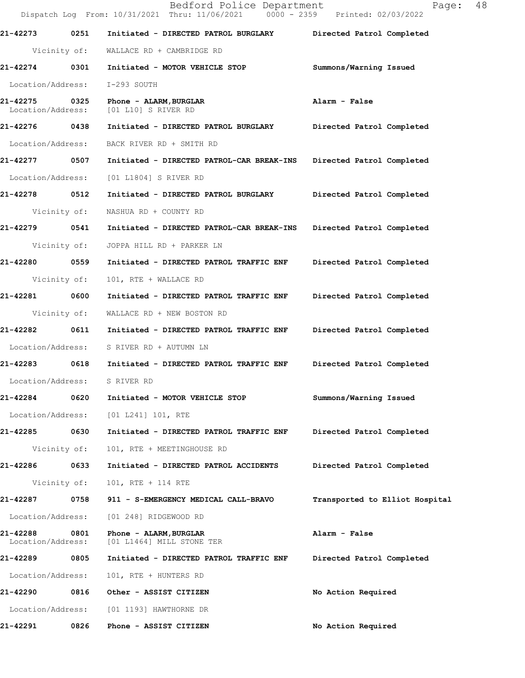|                               |              | Bedford Police Department<br>Dispatch Log From: 10/31/2021 Thru: 11/06/2021 0000 - 2359 Printed: 02/03/2022 | 48<br>Page:                    |
|-------------------------------|--------------|-------------------------------------------------------------------------------------------------------------|--------------------------------|
| 21-42273                      | 0251         | Initiated - DIRECTED PATROL BURGLARY                                                                        | Directed Patrol Completed      |
|                               | Vicinity of: | WALLACE RD + CAMBRIDGE RD                                                                                   |                                |
| 21-42274 0301                 |              | Initiated - MOTOR VEHICLE STOP                                                                              | Summons/Warning Issued         |
| Location/Address:             |              | I-293 SOUTH                                                                                                 |                                |
| 21-42275<br>Location/Address: | 0325         | Phone - ALARM, BURGLAR<br>[01 L10] S RIVER RD                                                               | Alarm - False                  |
| 21-42276 0438                 |              | Initiated - DIRECTED PATROL BURGLARY                                                                        | Directed Patrol Completed      |
| Location/Address:             |              | BACK RIVER RD + SMITH RD                                                                                    |                                |
| 21-42277 0507                 |              | Initiated - DIRECTED PATROL-CAR BREAK-INS                                                                   | Directed Patrol Completed      |
| Location/Address:             |              | [01 L1804] S RIVER RD                                                                                       |                                |
| 21-42278 0512                 |              | Initiated - DIRECTED PATROL BURGLARY                                                                        | Directed Patrol Completed      |
|                               | Vicinity of: | NASHUA RD + COUNTY RD                                                                                       |                                |
| 21-42279                      | 0541         | Initiated - DIRECTED PATROL-CAR BREAK-INS                                                                   | Directed Patrol Completed      |
|                               | Vicinity of: | JOPPA HILL RD + PARKER LN                                                                                   |                                |
| 21-42280 0559                 |              | Initiated - DIRECTED PATROL TRAFFIC ENF                                                                     | Directed Patrol Completed      |
| Vicinity of:                  |              | 101, RTE + WALLACE RD                                                                                       |                                |
| 21-42281                      | 0600         | Initiated - DIRECTED PATROL TRAFFIC ENF                                                                     | Directed Patrol Completed      |
| Vicinity of:                  |              | WALLACE RD + NEW BOSTON RD                                                                                  |                                |
| 21-42282                      | 0611         | Initiated - DIRECTED PATROL TRAFFIC ENF                                                                     | Directed Patrol Completed      |
| Location/Address:             |              | S RIVER RD + AUTUMN LN                                                                                      |                                |
| 21-42283 0618                 |              | Initiated - DIRECTED PATROL TRAFFIC ENF                                                                     | Directed Patrol Completed      |
| Location/Address:             |              | S RIVER RD                                                                                                  |                                |
| 21-42284                      | 0620         | Initiated - MOTOR VEHICLE STOP                                                                              | Summons/Warning Issued         |
| Location/Address:             |              | [01 L241] 101, RTE                                                                                          |                                |
| 21-42285                      | 0630         | Initiated - DIRECTED PATROL TRAFFIC ENF                                                                     | Directed Patrol Completed      |
| Vicinity of:                  |              | 101, RTE + MEETINGHOUSE RD                                                                                  |                                |
| 21-42286                      | 0633         | Initiated - DIRECTED PATROL ACCIDENTS                                                                       | Directed Patrol Completed      |
| Vicinity of:                  |              | 101, RTE + 114 RTE                                                                                          |                                |
| 21-42287                      | 0758         | 911 - S-EMERGENCY MEDICAL CALL-BRAVO                                                                        | Transported to Elliot Hospital |
| Location/Address:             |              | [01 248] RIDGEWOOD RD                                                                                       |                                |
| 21-42288<br>Location/Address: | 0801         | Phone - ALARM, BURGLAR<br>[01 L1464] MILL STONE TER                                                         | Alarm - False                  |
| 21-42289                      | 0805         | Initiated - DIRECTED PATROL TRAFFIC ENF                                                                     | Directed Patrol Completed      |
| Location/Address:             |              | 101, RTE + HUNTERS RD                                                                                       |                                |
| 21-42290                      | 0816         | Other - ASSIST CITIZEN                                                                                      | No Action Required             |
| Location/Address:             |              | [01 1193] HAWTHORNE DR                                                                                      |                                |
| 21-42291                      | 0826         | Phone - ASSIST CITIZEN                                                                                      | No Action Required             |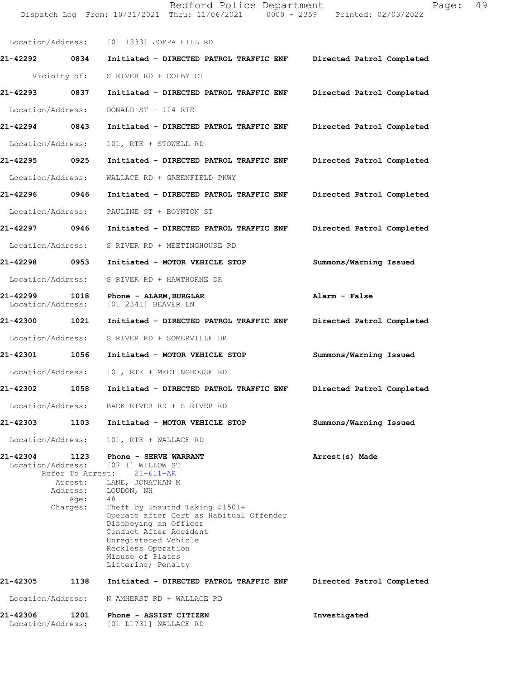| Location/Address:             |                                                                     | [01 1333] JOPPA HILL RD                                                                                                                                                                                                                                                                                                       |                           |
|-------------------------------|---------------------------------------------------------------------|-------------------------------------------------------------------------------------------------------------------------------------------------------------------------------------------------------------------------------------------------------------------------------------------------------------------------------|---------------------------|
| 21-42292                      | 0834                                                                | Initiated - DIRECTED PATROL TRAFFIC ENF                                                                                                                                                                                                                                                                                       | Directed Patrol Completed |
|                               | Vicinity of:                                                        | S RIVER RD + COLBY CT                                                                                                                                                                                                                                                                                                         |                           |
| 21-42293                      | 0837                                                                | Initiated - DIRECTED PATROL TRAFFIC ENF                                                                                                                                                                                                                                                                                       | Directed Patrol Completed |
| Location/Address:             |                                                                     | DONALD ST + 114 RTE                                                                                                                                                                                                                                                                                                           |                           |
| 21-42294                      | 0843                                                                | Initiated - DIRECTED PATROL TRAFFIC ENF                                                                                                                                                                                                                                                                                       | Directed Patrol Completed |
| Location/Address:             |                                                                     | 101, RTE + STOWELL RD                                                                                                                                                                                                                                                                                                         |                           |
| 21-42295                      | 0925                                                                | Initiated - DIRECTED PATROL TRAFFIC ENF                                                                                                                                                                                                                                                                                       | Directed Patrol Completed |
| Location/Address:             |                                                                     | WALLACE RD + GREENFIELD PKWY                                                                                                                                                                                                                                                                                                  |                           |
| 21-42296                      | 0946                                                                | Initiated - DIRECTED PATROL TRAFFIC ENF                                                                                                                                                                                                                                                                                       | Directed Patrol Completed |
| Location/Address:             |                                                                     | PAULINE ST + BOYNTON ST                                                                                                                                                                                                                                                                                                       |                           |
| 21-42297                      | 0946                                                                | Initiated - DIRECTED PATROL TRAFFIC ENF                                                                                                                                                                                                                                                                                       | Directed Patrol Completed |
| Location/Address:             |                                                                     | S RIVER RD + MEETINGHOUSE RD                                                                                                                                                                                                                                                                                                  |                           |
| 21-42298 0953                 |                                                                     | Initiated - MOTOR VEHICLE STOP                                                                                                                                                                                                                                                                                                | Summons/Warning Issued    |
| Location/Address:             |                                                                     | S RIVER RD + HAWTHORNE DR                                                                                                                                                                                                                                                                                                     |                           |
| 21-42299<br>Location/Address: | 1018                                                                | Phone - ALARM, BURGLAR<br>[01 2341] BEAVER LN                                                                                                                                                                                                                                                                                 | Alarm - False             |
| 21-42300                      | 1021                                                                | Initiated - DIRECTED PATROL TRAFFIC ENF                                                                                                                                                                                                                                                                                       | Directed Patrol Completed |
| Location/Address:             |                                                                     | S RIVER RD + SOMERVILLE DR                                                                                                                                                                                                                                                                                                    |                           |
| 21-42301                      | 1056                                                                | Initiated - MOTOR VEHICLE STOP                                                                                                                                                                                                                                                                                                | Summons/Warning Issued    |
| Location/Address:             |                                                                     | 101, RTE + MEETINGHOUSE RD                                                                                                                                                                                                                                                                                                    |                           |
| 21-42302                      | 1058                                                                | Initiated - DIRECTED PATROL TRAFFIC ENF                                                                                                                                                                                                                                                                                       | Directed Patrol Completed |
| Location/Address:             |                                                                     | BACK RIVER RD + S RIVER RD                                                                                                                                                                                                                                                                                                    |                           |
| 21-42303                      | 1103                                                                | Initiated - MOTOR VEHICLE STOP                                                                                                                                                                                                                                                                                                | Summons/Warning Issued    |
| Location/Address:             |                                                                     | 101, RTE + WALLACE RD                                                                                                                                                                                                                                                                                                         |                           |
| 21-42304<br>Location/Address: | 1123<br>Refer To Arrest:<br>Arrest:<br>Address:<br>Age:<br>Charges: | Phone - SERVE WARRANT<br>[07 1] WILLOW ST<br>$21 - 611 - AR$<br>LANE, JONATHAN M<br>LOUDON, NH<br>48<br>Theft by Unauthd Taking \$1501+<br>Operate after Cert as Habitual Offender<br>Disobeying an Officer<br>Conduct After Accident<br>Unregistered Vehicle<br>Reckless Operation<br>Misuse of Plates<br>Littering; Penalty | Arrest(s) Made            |
| 21-42305                      | 1138                                                                | Initiated - DIRECTED PATROL TRAFFIC ENF                                                                                                                                                                                                                                                                                       | Directed Patrol Completed |
| Location/Address:             |                                                                     | N AMHERST RD + WALLACE RD                                                                                                                                                                                                                                                                                                     |                           |
| 21-42306<br>Location/Address: | 1201                                                                | Phone - ASSIST CITIZEN<br>[01 L1731] WALLACE RD                                                                                                                                                                                                                                                                               | Investigated              |

Dispatch Log From: 10/31/2021 Thru: 11/06/2021 0000 - 2359 Printed: 02/03/2022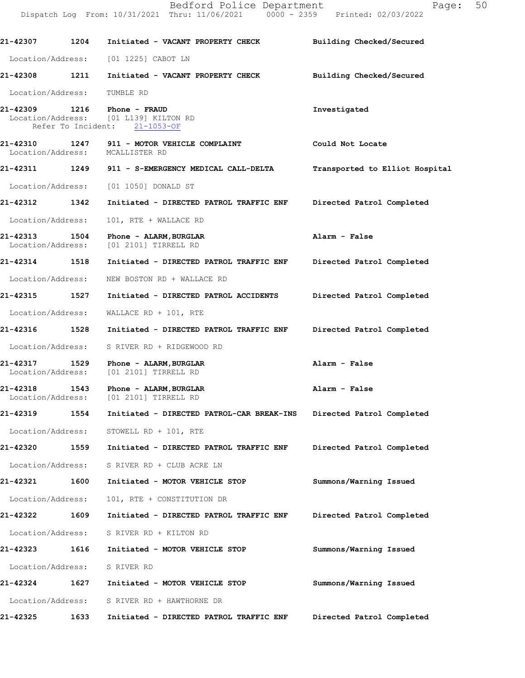Dispatch Log From: 10/31/2021 Thru: 11/06/2021 0000 - 2359 Printed: 02/03/2022 **21-42307 1204 Initiated - VACANT PROPERTY CHECK Building Checked/Secured**  Location/Address: [01 1225] CABOT LN **21-42308 1211 Initiated - VACANT PROPERTY CHECK Building Checked/Secured**  Location/Address: TUMBLE RD **21-42309 1216 Phone - FRAUD Investigated**  Location/Address: [01 L139] KILTON RD Refer To Incident: 21-1053-OF **21-42310 1247 911 - MOTOR VEHICLE COMPLAINT Could Not Locate**  Location/Address: **21-42311 1249 911 - S-EMERGENCY MEDICAL CALL-DELTA Transported to Elliot Hospital** Location/Address: [01 1050] DONALD ST **21-42312 1342 Initiated - DIRECTED PATROL TRAFFIC ENF Directed Patrol Completed**  Location/Address: 101, RTE + WALLACE RD **21-42313 1504 Phone - ALARM,BURGLAR Alarm - False**  Location/Address: [01 2101] TIRRELL RD **21-42314 1518 Initiated - DIRECTED PATROL TRAFFIC ENF Directed Patrol Completed**  Location/Address: NEW BOSTON RD + WALLACE RD **21-42315 1527 Initiated - DIRECTED PATROL ACCIDENTS Directed Patrol Completed**  Location/Address: WALLACE RD + 101, RTE **21-42316 1528 Initiated - DIRECTED PATROL TRAFFIC ENF Directed Patrol Completed**  Location/Address: S RIVER RD + RIDGEWOOD RD **21-42317 1529 Phone - ALARM,BURGLAR Alarm - False**  Location/Address: [01 2101] TIRRELL RD **21-42318 1543 Phone - ALARM,BURGLAR Alarm - False**  [01 2101] TIRRELL RD **21-42319 1554 Initiated - DIRECTED PATROL-CAR BREAK-INS Directed Patrol Completed**  Location/Address: STOWELL RD + 101, RTE **21-42320 1559 Initiated - DIRECTED PATROL TRAFFIC ENF Directed Patrol Completed**  Location/Address: S RIVER RD + CLUB ACRE LN **21-42321 1600 Initiated - MOTOR VEHICLE STOP Summons/Warning Issued**  Location/Address: 101, RTE + CONSTITUTION DR **21-42322 1609 Initiated - DIRECTED PATROL TRAFFIC ENF Directed Patrol Completed**  Location/Address: S RIVER RD + KILTON RD **21-42323 1616 Initiated - MOTOR VEHICLE STOP Summons/Warning Issued**  Location/Address: S RIVER RD **21-42324 1627 Initiated - MOTOR VEHICLE STOP Summons/Warning Issued**  Location/Address: S RIVER RD + HAWTHORNE DR **21-42325 1633 Initiated - DIRECTED PATROL TRAFFIC ENF Directed Patrol Completed**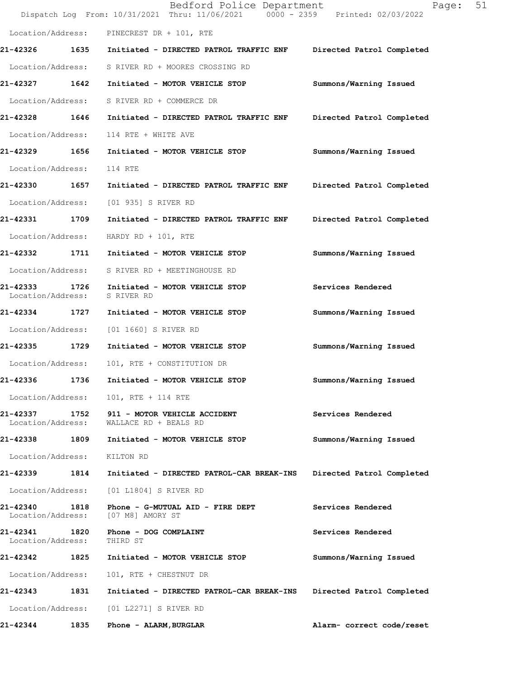|                                    |      | Bedford Police Department<br>Dispatch Log From: 10/31/2021 Thru: 11/06/2021 0000 - 2359 Printed: 02/03/2022 | 51<br>Page:               |
|------------------------------------|------|-------------------------------------------------------------------------------------------------------------|---------------------------|
|                                    |      | Location/Address: PINECREST DR + 101, RTE                                                                   |                           |
|                                    |      | 21-42326 1635 Initiated - DIRECTED PATROL TRAFFIC ENF                                                       | Directed Patrol Completed |
| Location/Address:                  |      | S RIVER RD + MOORES CROSSING RD                                                                             |                           |
| 21-42327 1642                      |      | Initiated - MOTOR VEHICLE STOP                                                                              | Summons/Warning Issued    |
| Location/Address:                  |      | S RIVER RD + COMMERCE DR                                                                                    |                           |
| 21-42328 1646                      |      | Initiated - DIRECTED PATROL TRAFFIC ENF                                                                     | Directed Patrol Completed |
| Location/Address:                  |      | 114 RTE + WHITE AVE                                                                                         |                           |
| 21-42329 1656                      |      | Initiated - MOTOR VEHICLE STOP                                                                              | Summons/Warning Issued    |
| Location/Address:                  |      | 114 RTE                                                                                                     |                           |
| 21-42330                           | 1657 | Initiated - DIRECTED PATROL TRAFFIC ENF                                                                     | Directed Patrol Completed |
| Location/Address:                  |      | [01 935] S RIVER RD                                                                                         |                           |
| 21-42331 1709                      |      | Initiated - DIRECTED PATROL TRAFFIC ENF                                                                     | Directed Patrol Completed |
| Location/Address:                  |      | HARDY RD + $101$ , RTE                                                                                      |                           |
| 21-42332 1711                      |      | Initiated - MOTOR VEHICLE STOP                                                                              | Summons/Warning Issued    |
| Location/Address:                  |      | S RIVER RD + MEETINGHOUSE RD                                                                                |                           |
| 21-42333<br>Location/Address:      | 1726 | Initiated - MOTOR VEHICLE STOP<br>S RIVER RD                                                                | Services Rendered         |
| 21-42334 1727                      |      | Initiated - MOTOR VEHICLE STOP                                                                              | Summons/Warning Issued    |
| Location/Address:                  |      | [01 1660] S RIVER RD                                                                                        |                           |
| 21-42335 1729                      |      | Initiated - MOTOR VEHICLE STOP                                                                              | Summons/Warning Issued    |
| Location/Address:                  |      | 101, RTE + CONSTITUTION DR                                                                                  |                           |
| 21-42336                           | 1736 | Initiated - MOTOR VEHICLE STOP                                                                              | Summons/Warning Issued    |
| Location/Address:                  |      | 101, RTE + 114 RTE                                                                                          |                           |
| 21-42337<br>Location/Address:      |      | 1752 911 - MOTOR VEHICLE ACCIDENT<br>WALLACE RD + BEALS RD                                                  | Services Rendered         |
| 21-42338                           | 1809 | Initiated - MOTOR VEHICLE STOP                                                                              | Summons/Warning Issued    |
| Location/Address:                  |      | KILTON RD                                                                                                   |                           |
| 21-42339 1814                      |      | Initiated - DIRECTED PATROL-CAR BREAK-INS                                                                   | Directed Patrol Completed |
| Location/Address:                  |      | [01 L1804] S RIVER RD                                                                                       |                           |
| 21-42340<br>Location/Address:      | 1818 | Phone - G-MUTUAL AID - FIRE DEPT<br>[07 M8] AMORY ST                                                        | Services Rendered         |
| 21-42341 1820<br>Location/Address: |      | Phone - DOG COMPLAINT<br>THIRD ST                                                                           | Services Rendered         |
| 21-42342                           | 1825 | Initiated - MOTOR VEHICLE STOP                                                                              | Summons/Warning Issued    |
| Location/Address:                  |      | 101, RTE + CHESTNUT DR                                                                                      |                           |
| 21-42343                           | 1831 | Initiated - DIRECTED PATROL-CAR BREAK-INS                                                                   | Directed Patrol Completed |
| Location/Address:                  |      | [01 L2271] S RIVER RD                                                                                       |                           |
| 21-42344                           | 1835 | Phone - ALARM, BURGLAR                                                                                      | Alarm- correct code/reset |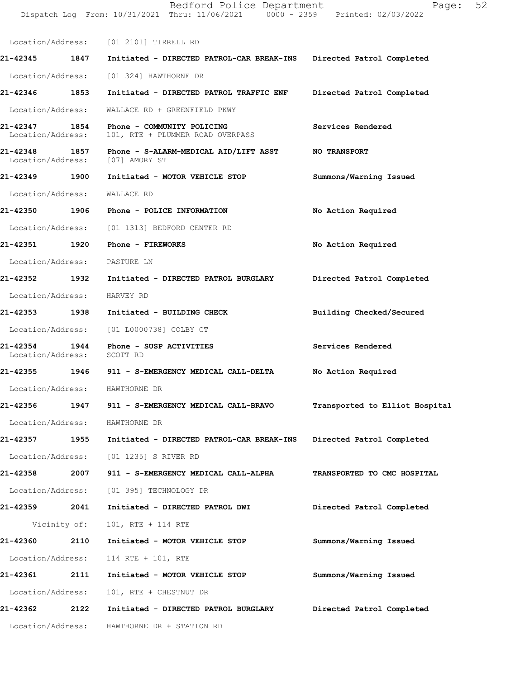|                                    |      | Dispatch Log From: 10/31/2021 Thru: 11/06/2021 0000 - 2359 Printed: 02/03/2022         |                                |
|------------------------------------|------|----------------------------------------------------------------------------------------|--------------------------------|
|                                    |      | Location/Address: [01 2101] TIRRELL RD                                                 |                                |
| 21-42345 1847                      |      | Initiated - DIRECTED PATROL-CAR BREAK-INS Directed Patrol Completed                    |                                |
|                                    |      | Location/Address: [01 324] HAWTHORNE DR                                                |                                |
| 21-42346 1853                      |      | Initiated - DIRECTED PATROL TRAFFIC ENF                                                | Directed Patrol Completed      |
| Location/Address:                  |      | WALLACE RD + GREENFIELD PKWY                                                           |                                |
| 21-42347 1854<br>Location/Address: |      | Phone - COMMUNITY POLICING<br>101, RTE + PLUMMER ROAD OVERPASS                         | Services Rendered              |
|                                    |      | 21-42348 1857 Phone - S-ALARM-MEDICAL AID/LIFT ASST<br>Location/Address: [07] AMORY ST | <b>NO TRANSPORT</b>            |
| 21-42349 1900                      |      | Initiated - MOTOR VEHICLE STOP                                                         | Summons/Warning Issued         |
| Location/Address:                  |      | WALLACE RD                                                                             |                                |
|                                    |      | 21-42350 1906 Phone - POLICE INFORMATION                                               | No Action Required             |
|                                    |      | Location/Address: [01 1313] BEDFORD CENTER RD                                          |                                |
| 21-42351 1920                      |      | Phone - FIREWORKS                                                                      | No Action Required             |
|                                    |      | Location/Address: PASTURE LN                                                           |                                |
| 21-42352 1932                      |      | Initiated - DIRECTED PATROL BURGLARY                                                   | Directed Patrol Completed      |
| Location/Address:                  |      | HARVEY RD                                                                              |                                |
| 21-42353 1938                      |      | Initiated - BUILDING CHECK                                                             | Building Checked/Secured       |
|                                    |      | Location/Address: [01 L0000738] COLBY CT                                               |                                |
| 21-42354 1944<br>Location/Address: |      | Phone - SUSP ACTIVITIES<br>SCOTT RD                                                    | Services Rendered              |
|                                    |      | 21-42355                1946               911 - S-EMERGENCY MEDICAL CALL-DELTA        | No Action Required             |
|                                    |      | Location/Address: HAWTHORNE DR                                                         |                                |
| 21-42356                           | 1947 | 911 - S-EMERGENCY MEDICAL CALL-BRAVO                                                   | Transported to Elliot Hospital |
|                                    |      | Location/Address: HAWTHORNE DR                                                         |                                |
| 21-42357                           | 1955 | Initiated - DIRECTED PATROL-CAR BREAK-INS                                              | Directed Patrol Completed      |
|                                    |      | Location/Address: [01 1235] S RIVER RD                                                 |                                |
|                                    |      | 21-42358 2007 911 - S-EMERGENCY MEDICAL CALL-ALPHA                                     | TRANSPORTED TO CMC HOSPITAL    |
|                                    |      | Location/Address: [01 395] TECHNOLOGY DR                                               |                                |
| 21-42359 2041                      |      | Initiated - DIRECTED PATROL DWI                                                        | Directed Patrol Completed      |
|                                    |      | Vicinity of: 101, RTE + 114 RTE                                                        |                                |
| 21-42360                           | 2110 | Initiated - MOTOR VEHICLE STOP                                                         | Summons/Warning Issued         |
| Location/Address:                  |      | 114 RTE + 101, RTE                                                                     |                                |
| 21-42361                           | 2111 | Initiated - MOTOR VEHICLE STOP                                                         | Summons/Warning Issued         |
| Location/Address:                  |      | 101, RTE + CHESTNUT DR                                                                 |                                |
| 21-42362 2122                      |      | Initiated - DIRECTED PATROL BURGLARY                                                   | Directed Patrol Completed      |
|                                    |      | Location/Address: HAWTHORNE DR + STATION RD                                            |                                |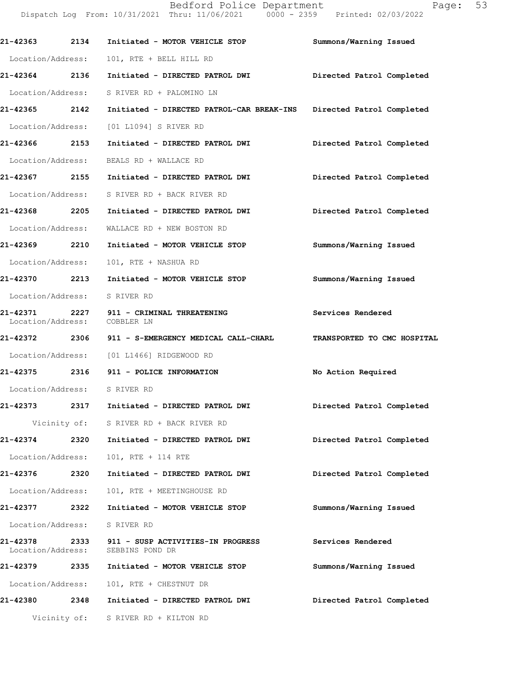| 21-42363 2134                 |              | Initiated - MOTOR VEHICLE STOP                                      | Summons/Warning Issued      |
|-------------------------------|--------------|---------------------------------------------------------------------|-----------------------------|
| Location/Address:             |              | 101, RTE + BELL HILL RD                                             |                             |
| 21-42364 2136                 |              | Initiated - DIRECTED PATROL DWI                                     | Directed Patrol Completed   |
| Location/Address:             |              | S RIVER RD + PALOMINO LN                                            |                             |
| 21-42365 2142                 |              | Initiated - DIRECTED PATROL-CAR BREAK-INS Directed Patrol Completed |                             |
| Location/Address:             |              | [01 L1094] S RIVER RD                                               |                             |
| 21-42366 2153                 |              | Initiated - DIRECTED PATROL DWI                                     | Directed Patrol Completed   |
|                               |              | Location/Address: BEALS RD + WALLACE RD                             |                             |
| 21-42367 2155                 |              | Initiated - DIRECTED PATROL DWI                                     | Directed Patrol Completed   |
|                               |              | Location/Address: S RIVER RD + BACK RIVER RD                        |                             |
| 21-42368 2205                 |              | Initiated - DIRECTED PATROL DWI                                     | Directed Patrol Completed   |
|                               |              | Location/Address: WALLACE RD + NEW BOSTON RD                        |                             |
| 21-42369 2210                 |              | Initiated - MOTOR VEHICLE STOP                                      | Summons/Warning Issued      |
| Location/Address:             |              | 101, RTE + NASHUA RD                                                |                             |
| 21-42370 2213                 |              | Initiated - MOTOR VEHICLE STOP                                      | Summons/Warning Issued      |
| Location/Address: S RIVER RD  |              |                                                                     |                             |
| Location/Address: COBBLER LN  |              | 21-42371 2227 911 - CRIMINAL THREATENING                            | Services Rendered           |
| 21-42372 2306                 |              | 911 - S-EMERGENCY MEDICAL CALL-CHARL                                | TRANSPORTED TO CMC HOSPITAL |
|                               |              | Location/Address: [01 L1466] RIDGEWOOD RD                           |                             |
| 21-42375 2316                 |              | 911 - POLICE INFORMATION                                            | No Action Required          |
| Location/Address: S RIVER RD  |              |                                                                     |                             |
| 21-42373 2317                 |              | Initiated - DIRECTED PATROL DWI                                     | Directed Patrol Completed   |
|                               | Vicinity of: | S RIVER RD + BACK RIVER RD                                          |                             |
| 21-42374                      | 2320         | Initiated - DIRECTED PATROL DWI                                     | Directed Patrol Completed   |
| Location/Address:             |              | 101, RTE + 114 RTE                                                  |                             |
| 21-42376                      | 2320         | Initiated - DIRECTED PATROL DWI                                     | Directed Patrol Completed   |
| Location/Address:             |              | 101, RTE + MEETINGHOUSE RD                                          |                             |
| 21-42377 2322                 |              | Initiated - MOTOR VEHICLE STOP                                      | Summons/Warning Issued      |
| Location/Address:             |              | S RIVER RD                                                          |                             |
| 21-42378<br>Location/Address: |              | 2333 911 - SUSP ACTIVITIES-IN PROGRESS<br>SEBBINS POND DR           | Services Rendered           |
| 21-42379 2335                 |              | Initiated - MOTOR VEHICLE STOP                                      | Summons/Warning Issued      |
| Location/Address:             |              | 101, RTE + CHESTNUT DR                                              |                             |
|                               |              | 21-42380 2348 Initiated - DIRECTED PATROL DWI                       | Directed Patrol Completed   |
|                               |              | Vicinity of: S RIVER RD + KILTON RD                                 |                             |